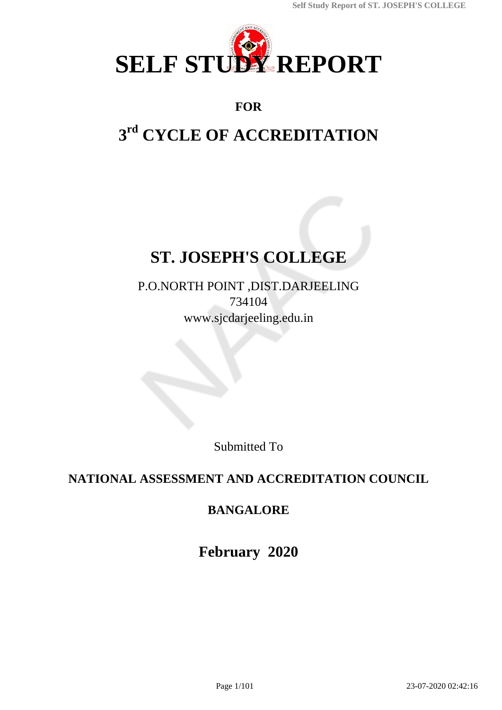

### **FOR**

# **3 rd CYCLE OF ACCREDITATION**

# **ST. JOSEPH'S COLLEGE**

P.O.NORTH POINT ,DIST.DARJEELING 734104 www.sjcdarjeeling.edu.in

Submitted To

# **NATIONAL ASSESSMENT AND ACCREDITATION COUNCIL**

# **BANGALORE**

**February 2020**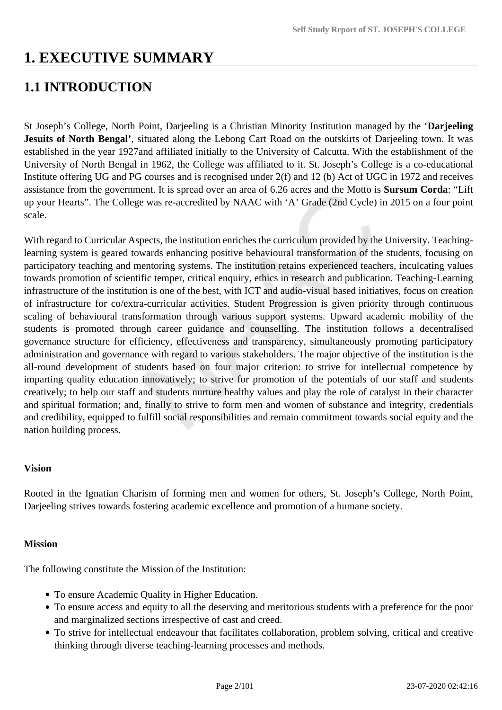# **1. EXECUTIVE SUMMARY**

# **1.1 INTRODUCTION**

St Joseph's College, North Point, Darjeeling is a Christian Minority Institution managed by the '**Darjeeling Jesuits of North Bengal'**, situated along the Lebong Cart Road on the outskirts of Darjeeling town. It was established in the year 1927and affiliated initially to the University of Calcutta. With the establishment of the University of North Bengal in 1962, the College was affiliated to it. St. Joseph's College is a co-educational Institute offering UG and PG courses and is recognised under 2(f) and 12 (b) Act of UGC in 1972 and receives assistance from the government. It is spread over an area of 6.26 acres and the Motto is **Sursum Corda**: "Lift up your Hearts". The College was re-accredited by NAAC with 'A' Grade (2nd Cycle) in 2015 on a four point scale.

With regard to Curricular Aspects, the institution enriches the curriculum provided by the University. Teachinglearning system is geared towards enhancing positive behavioural transformation of the students, focusing on participatory teaching and mentoring systems. The institution retains experienced teachers, inculcating values towards promotion of scientific temper, critical enquiry, ethics in research and publication. Teaching-Learning infrastructure of the institution is one of the best, with ICT and audio-visual based initiatives, focus on creation of infrastructure for co/extra-curricular activities. Student Progression is given priority through continuous scaling of behavioural transformation through various support systems. Upward academic mobility of the students is promoted through career guidance and counselling. The institution follows a decentralised governance structure for efficiency, effectiveness and transparency, simultaneously promoting participatory administration and governance with regard to various stakeholders. The major objective of the institution is the all-round development of students based on four major criterion: to strive for intellectual competence by imparting quality education innovatively; to strive for promotion of the potentials of our staff and students creatively; to help our staff and students nurture healthy values and play the role of catalyst in their character and spiritual formation; and, finally to strive to form men and women of substance and integrity, credentials and credibility, equipped to fulfill social responsibilities and remain commitment towards social equity and the nation building process.

#### **Vision**

Rooted in the Ignatian Charism of forming men and women for others, St. Joseph's College, North Point, Darjeeling strives towards fostering academic excellence and promotion of a humane society.

#### **Mission**

The following constitute the Mission of the Institution:

- To ensure Academic Quality in Higher Education.
- To ensure access and equity to all the deserving and meritorious students with a preference for the poor and marginalized sections irrespective of cast and creed.
- To strive for intellectual endeavour that facilitates collaboration, problem solving, critical and creative thinking through diverse teaching-learning processes and methods.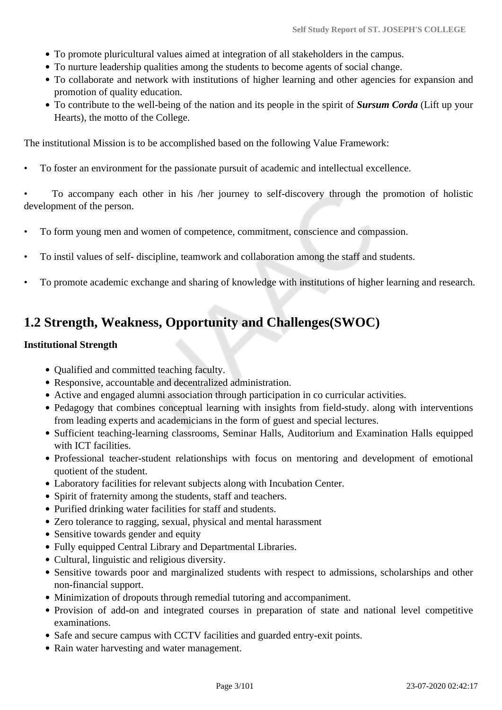- To promote pluricultural values aimed at integration of all stakeholders in the campus.
- To nurture leadership qualities among the students to become agents of social change.
- To collaborate and network with institutions of higher learning and other agencies for expansion and promotion of quality education.
- To contribute to the well-being of the nation and its people in the spirit of *Sursum Corda* (Lift up your Hearts), the motto of the College.

The institutional Mission is to be accomplished based on the following Value Framework:

• To foster an environment for the passionate pursuit of academic and intellectual excellence.

• To accompany each other in his /her journey to self-discovery through the promotion of holistic development of the person.

- To form young men and women of competence, commitment, conscience and compassion.
- To instil values of self- discipline, teamwork and collaboration among the staff and students.
- To promote academic exchange and sharing of knowledge with institutions of higher learning and research.

# **1.2 Strength, Weakness, Opportunity and Challenges(SWOC)**

#### **Institutional Strength**

- Qualified and committed teaching faculty.
- Responsive, accountable and decentralized administration.
- Active and engaged alumni association through participation in co curricular activities.
- Pedagogy that combines conceptual learning with insights from field-study. along with interventions from leading experts and academicians in the form of guest and special lectures.
- Sufficient teaching-learning classrooms, Seminar Halls, Auditorium and Examination Halls equipped with ICT facilities.
- Professional teacher-student relationships with focus on mentoring and development of emotional quotient of the student.
- Laboratory facilities for relevant subjects along with Incubation Center.
- Spirit of fraternity among the students, staff and teachers.
- Purified drinking water facilities for staff and students.
- Zero tolerance to ragging, sexual, physical and mental harassment
- Sensitive towards gender and equity
- Fully equipped Central Library and Departmental Libraries.
- Cultural, linguistic and religious diversity.
- Sensitive towards poor and marginalized students with respect to admissions, scholarships and other non-financial support.
- Minimization of dropouts through remedial tutoring and accompaniment.
- Provision of add-on and integrated courses in preparation of state and national level competitive examinations.
- Safe and secure campus with CCTV facilities and guarded entry-exit points.
- Rain water harvesting and water management.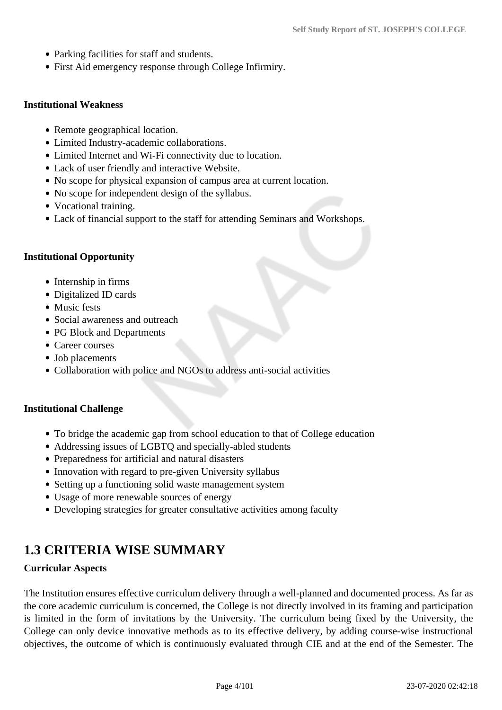- Parking facilities for staff and students.
- First Aid emergency response through College Infirmiry.

#### **Institutional Weakness**

- Remote geographical location.
- Limited Industry-academic collaborations.
- Limited Internet and Wi-Fi connectivity due to location.
- Lack of user friendly and interactive Website.
- No scope for physical expansion of campus area at current location.
- No scope for independent design of the syllabus.
- Vocational training.
- Lack of financial support to the staff for attending Seminars and Workshops.

#### **Institutional Opportunity**

- Internship in firms
- Digitalized ID cards
- Music fests
- Social awareness and outreach
- PG Block and Departments
- Career courses
- Job placements
- Collaboration with police and NGOs to address anti-social activities

#### **Institutional Challenge**

- To bridge the academic gap from school education to that of College education
- Addressing issues of LGBTQ and specially-abled students
- Preparedness for artificial and natural disasters
- Innovation with regard to pre-given University syllabus
- Setting up a functioning solid waste management system
- Usage of more renewable sources of energy
- Developing strategies for greater consultative activities among faculty

# **1.3 CRITERIA WISE SUMMARY**

#### **Curricular Aspects**

The Institution ensures effective curriculum delivery through a well-planned and documented process. As far as the core academic curriculum is concerned, the College is not directly involved in its framing and participation is limited in the form of invitations by the University. The curriculum being fixed by the University, the College can only device innovative methods as to its effective delivery, by adding course-wise instructional objectives, the outcome of which is continuously evaluated through CIE and at the end of the Semester. The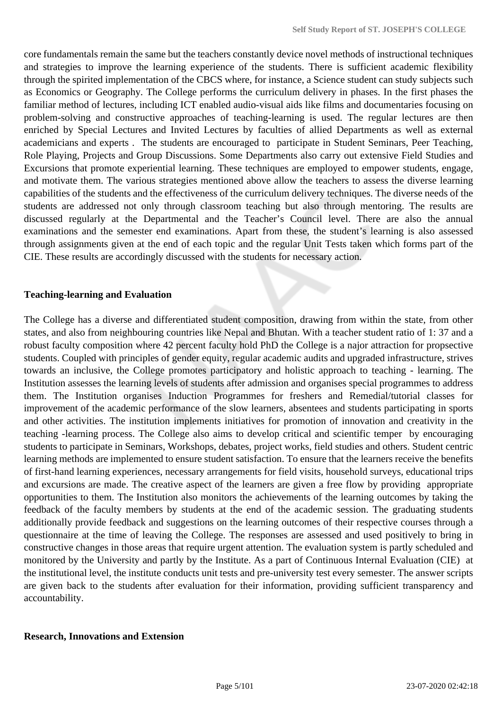core fundamentals remain the same but the teachers constantly device novel methods of instructional techniques and strategies to improve the learning experience of the students. There is sufficient academic flexibility through the spirited implementation of the CBCS where, for instance, a Science student can study subjects such as Economics or Geography. The College performs the curriculum delivery in phases. In the first phases the familiar method of lectures, including ICT enabled audio-visual aids like films and documentaries focusing on problem-solving and constructive approaches of teaching-learning is used. The regular lectures are then enriched by Special Lectures and Invited Lectures by faculties of allied Departments as well as external academicians and experts . The students are encouraged to participate in Student Seminars, Peer Teaching, Role Playing, Projects and Group Discussions. Some Departments also carry out extensive Field Studies and Excursions that promote experiential learning. These techniques are employed to empower students, engage, and motivate them. The various strategies mentioned above allow the teachers to assess the diverse learning capabilities of the students and the effectiveness of the curriculum delivery techniques. The diverse needs of the students are addressed not only through classroom teaching but also through mentoring. The results are discussed regularly at the Departmental and the Teacher's Council level. There are also the annual examinations and the semester end examinations. Apart from these, the student's learning is also assessed through assignments given at the end of each topic and the regular Unit Tests taken which forms part of the CIE. These results are accordingly discussed with the students for necessary action.

#### **Teaching-learning and Evaluation**

The College has a diverse and differentiated student composition, drawing from within the state, from other states, and also from neighbouring countries like Nepal and Bhutan. With a teacher student ratio of 1: 37 and a robust faculty composition where 42 percent faculty hold PhD the College is a najor attraction for propsective students. Coupled with principles of gender equity, regular academic audits and upgraded infrastructure, strives towards an inclusive, the College promotes participatory and holistic approach to teaching - learning. The Institution assesses the learning levels of students after admission and organises special programmes to address them. The Institution organises Induction Programmes for freshers and Remedial/tutorial classes for improvement of the academic performance of the slow learners, absentees and students participating in sports and other activities. The institution implements initiatives for promotion of innovation and creativity in the teaching -learning process. The College also aims to develop critical and scientific temper by encouraging students to participate in Seminars, Workshops, debates, project works, field studies and others. Student centric learning methods are implemented to ensure student satisfaction. To ensure that the learners receive the benefits of first-hand learning experiences, necessary arrangements for field visits, household surveys, educational trips and excursions are made. The creative aspect of the learners are given a free flow by providing appropriate opportunities to them. The Institution also monitors the achievements of the learning outcomes by taking the feedback of the faculty members by students at the end of the academic session. The graduating students additionally provide feedback and suggestions on the learning outcomes of their respective courses through a questionnaire at the time of leaving the College. The responses are assessed and used positively to bring in constructive changes in those areas that require urgent attention. The evaluation system is partly scheduled and monitored by the University and partly by the Institute. As a part of Continuous Internal Evaluation (CIE) at the institutional level, the institute conducts unit tests and pre-university test every semester. The answer scripts are given back to the students after evaluation for their information, providing sufficient transparency and accountability.

#### **Research, Innovations and Extension**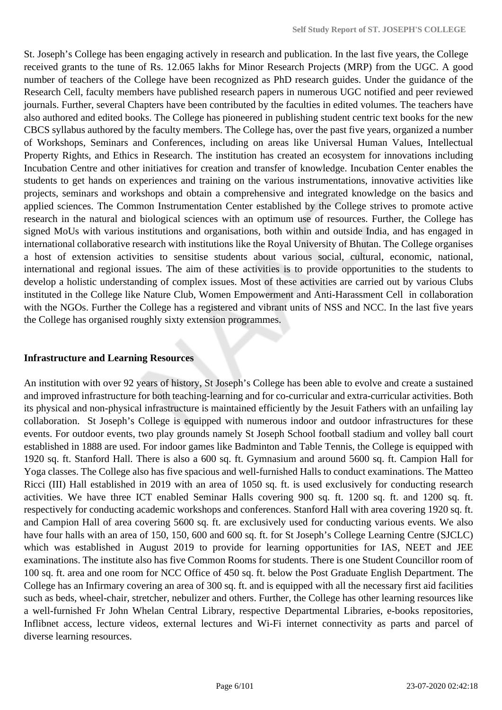St. Joseph's College has been engaging actively in research and publication. In the last five years, the College received grants to the tune of Rs. 12.065 lakhs for Minor Research Projects (MRP) from the UGC. A good number of teachers of the College have been recognized as PhD research guides. Under the guidance of the Research Cell, faculty members have published research papers in numerous UGC notified and peer reviewed journals. Further, several Chapters have been contributed by the faculties in edited volumes. The teachers have also authored and edited books. The College has pioneered in publishing student centric text books for the new CBCS syllabus authored by the faculty members. The College has, over the past five years, organized a number of Workshops, Seminars and Conferences, including on areas like Universal Human Values, Intellectual Property Rights, and Ethics in Research. The institution has created an ecosystem for innovations including Incubation Centre and other initiatives for creation and transfer of knowledge. Incubation Center enables the students to get hands on experiences and training on the various instrumentations, innovative activities like projects, seminars and workshops and obtain a comprehensive and integrated knowledge on the basics and applied sciences. The Common Instrumentation Center established by the College strives to promote active research in the natural and biological sciences with an optimum use of resources. Further, the College has signed MoUs with various institutions and organisations, both within and outside India, and has engaged in international collaborative research with institutions like the Royal University of Bhutan. The College organises a host of extension activities to sensitise students about various social, cultural, economic, national, international and regional issues. The aim of these activities is to provide opportunities to the students to develop a holistic understanding of complex issues. Most of these activities are carried out by various Clubs instituted in the College like Nature Club, Women Empowerment and Anti-Harassment Cell in collaboration with the NGOs. Further the College has a registered and vibrant units of NSS and NCC. In the last five years the College has organised roughly sixty extension programmes.

#### **Infrastructure and Learning Resources**

An institution with over 92 years of history, St Joseph's College has been able to evolve and create a sustained and improved infrastructure for both teaching-learning and for co-curricular and extra-curricular activities. Both its physical and non-physical infrastructure is maintained efficiently by the Jesuit Fathers with an unfailing lay collaboration. St Joseph's College is equipped with numerous indoor and outdoor infrastructures for these events. For outdoor events, two play grounds namely St Joseph School football stadium and volley ball court established in 1888 are used. For indoor games like Badminton and Table Tennis, the College is equipped with 1920 sq. ft. Stanford Hall. There is also a 600 sq. ft. Gymnasium and around 5600 sq. ft. Campion Hall for Yoga classes. The College also has five spacious and well-furnished Halls to conduct examinations. The Matteo Ricci (III) Hall established in 2019 with an area of 1050 sq. ft. is used exclusively for conducting research activities. We have three ICT enabled Seminar Halls covering 900 sq. ft. 1200 sq. ft. and 1200 sq. ft. respectively for conducting academic workshops and conferences. Stanford Hall with area covering 1920 sq. ft. and Campion Hall of area covering 5600 sq. ft. are exclusively used for conducting various events. We also have four halls with an area of 150, 150, 600 and 600 sq. ft. for St Joseph's College Learning Centre (SJCLC) which was established in August 2019 to provide for learning opportunities for IAS, NEET and JEE examinations. The institute also has five Common Rooms for students. There is one Student Councillor room of 100 sq. ft. area and one room for NCC Office of 450 sq. ft. below the Post Graduate English Department. The College has an Infirmary covering an area of 300 sq. ft. and is equipped with all the necessary first aid facilities such as beds, wheel-chair, stretcher, nebulizer and others. Further, the College has other learning resources like a well-furnished Fr John Whelan Central Library, respective Departmental Libraries, e-books repositories, Inflibnet access, lecture videos, external lectures and Wi-Fi internet connectivity as parts and parcel of diverse learning resources.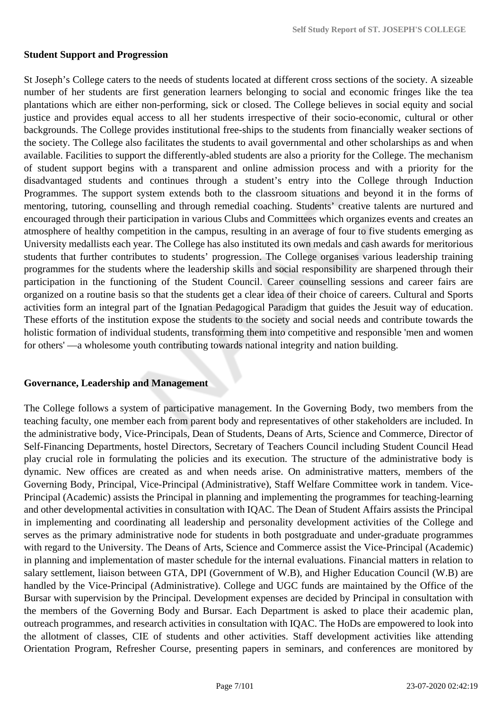#### **Student Support and Progression**

St Joseph's College caters to the needs of students located at different cross sections of the society. A sizeable number of her students are first generation learners belonging to social and economic fringes like the tea plantations which are either non-performing, sick or closed. The College believes in social equity and social justice and provides equal access to all her students irrespective of their socio-economic, cultural or other backgrounds. The College provides institutional free-ships to the students from financially weaker sections of the society. The College also facilitates the students to avail governmental and other scholarships as and when available. Facilities to support the differently-abled students are also a priority for the College. The mechanism of student support begins with a transparent and online admission process and with a priority for the disadvantaged students and continues through a student's entry into the College through Induction Programmes. The support system extends both to the classroom situations and beyond it in the forms of mentoring, tutoring, counselling and through remedial coaching. Students' creative talents are nurtured and encouraged through their participation in various Clubs and Committees which organizes events and creates an atmosphere of healthy competition in the campus, resulting in an average of four to five students emerging as University medallists each year. The College has also instituted its own medals and cash awards for meritorious students that further contributes to students' progression. The College organises various leadership training programmes for the students where the leadership skills and social responsibility are sharpened through their participation in the functioning of the Student Council. Career counselling sessions and career fairs are organized on a routine basis so that the students get a clear idea of their choice of careers. Cultural and Sports activities form an integral part of the Ignatian Pedagogical Paradigm that guides the Jesuit way of education. These efforts of the institution expose the students to the society and social needs and contribute towards the holistic formation of individual students, transforming them into competitive and responsible 'men and women for others' —a wholesome youth contributing towards national integrity and nation building.

#### **Governance, Leadership and Management**

The College follows a system of participative management. In the Governing Body, two members from the teaching faculty, one member each from parent body and representatives of other stakeholders are included. In the administrative body, Vice-Principals, Dean of Students, Deans of Arts, Science and Commerce, Director of Self-Financing Departments, hostel Directors, Secretary of Teachers Council including Student Council Head play crucial role in formulating the policies and its execution. The structure of the administrative body is dynamic. New offices are created as and when needs arise. On administrative matters, members of the Governing Body, Principal, Vice-Principal (Administrative), Staff Welfare Committee work in tandem. Vice-Principal (Academic) assists the Principal in planning and implementing the programmes for teaching-learning and other developmental activities in consultation with IQAC. The Dean of Student Affairs assists the Principal in implementing and coordinating all leadership and personality development activities of the College and serves as the primary administrative node for students in both postgraduate and under-graduate programmes with regard to the University. The Deans of Arts, Science and Commerce assist the Vice-Principal (Academic) in planning and implementation of master schedule for the internal evaluations. Financial matters in relation to salary settlement, liaison between GTA, DPI (Government of W.B), and Higher Education Council (W.B) are handled by the Vice-Principal (Administrative). College and UGC funds are maintained by the Office of the Bursar with supervision by the Principal. Development expenses are decided by Principal in consultation with the members of the Governing Body and Bursar. Each Department is asked to place their academic plan, outreach programmes, and research activities in consultation with IQAC. The HoDs are empowered to look into the allotment of classes, CIE of students and other activities. Staff development activities like attending Orientation Program, Refresher Course, presenting papers in seminars, and conferences are monitored by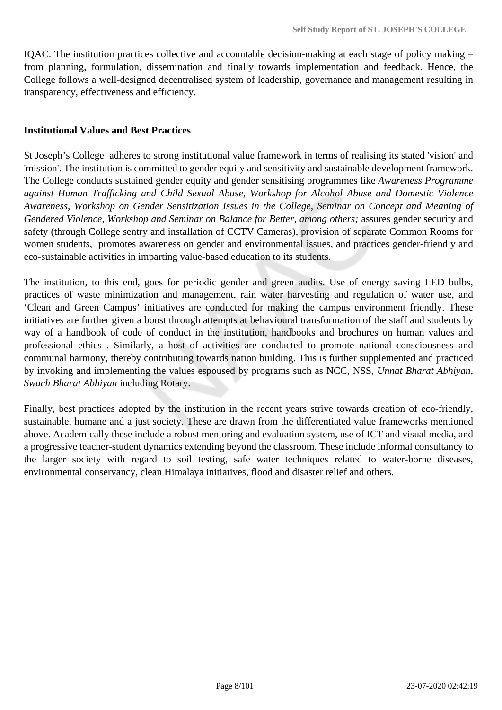IQAC. The institution practices collective and accountable decision-making at each stage of policy making – from planning, formulation, dissemination and finally towards implementation and feedback. Hence, the College follows a well-designed decentralised system of leadership, governance and management resulting in transparency, effectiveness and efficiency.

#### **Institutional Values and Best Practices**

St Joseph's College adheres to strong institutional value framework in terms of realising its stated 'vision' and 'mission'. The institution is committed to gender equity and sensitivity and sustainable development framework. The College conducts sustained gender equity and gender sensitising programmes like *Awareness Programme against Human Trafficking and Child Sexual Abuse*, *Workshop for Alcohol Abuse and Domestic Violence Awareness, Workshop on Gender Sensitization Issues in the College, Seminar on Concept and Meaning of Gendered Violence, Workshop and Seminar on Balance for Better, among others;* assures gender security and safety (through College sentry and installation of CCTV Cameras), provision of separate Common Rooms for women students, promotes awareness on gender and environmental issues, and practices gender-friendly and eco-sustainable activities in imparting value-based education to its students.

The institution, to this end, goes for periodic gender and green audits. Use of energy saving LED bulbs, practices of waste minimization and management, rain water harvesting and regulation of water use, and 'Clean and Green Campus' initiatives are conducted for making the campus environment friendly. These initiatives are further given a boost through attempts at behavioural transformation of the staff and students by way of a handbook of code of conduct in the institution, handbooks and brochures on human values and professional ethics . Similarly, a host of activities are conducted to promote national consciousness and communal harmony, thereby contributing towards nation building. This is further supplemented and practiced by invoking and implementing the values espoused by programs such as NCC, NSS, *Unnat Bharat Abhiyan, Swach Bharat Abhiyan* including Rotary.

Finally, best practices adopted by the institution in the recent years strive towards creation of eco-friendly, sustainable, humane and a just society. These are drawn from the differentiated value frameworks mentioned above. Academically these include a robust mentoring and evaluation system, use of ICT and visual media, and a progressive teacher-student dynamics extending beyond the classroom. These include informal consultancy to the larger society with regard to soil testing, safe water techniques related to water-borne diseases, environmental conservancy, clean Himalaya initiatives, flood and disaster relief and others.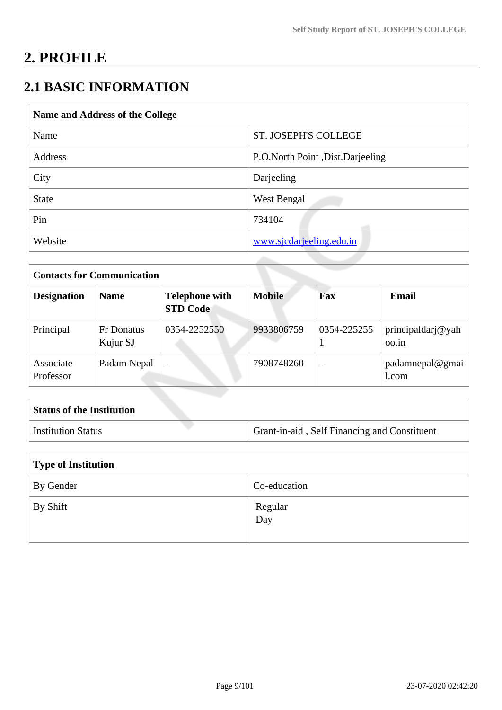# **2. PROFILE**

# **2.1 BASIC INFORMATION**

| Name and Address of the College |                                  |  |
|---------------------------------|----------------------------------|--|
| Name                            | <b>ST. JOSEPH'S COLLEGE</b>      |  |
| Address                         | P.O.North Point, Dist.Darjeeling |  |
| City                            | Darjeeling                       |  |
| <b>State</b>                    | West Bengal                      |  |
| Pin                             | 734104                           |  |
| Website                         | www.sjcdarjeeling.edu.in         |  |

| <b>Contacts for Communication</b> |                               |                                          |               |                          |                            |
|-----------------------------------|-------------------------------|------------------------------------------|---------------|--------------------------|----------------------------|
| <b>Designation</b>                | <b>Name</b>                   | <b>Telephone with</b><br><b>STD Code</b> | <b>Mobile</b> | Fax                      | <b>Email</b>               |
| Principal                         | <b>Fr Donatus</b><br>Kujur SJ | 0354-2252550                             | 9933806759    | 0354-225255              | principaldarj@yah<br>00.1n |
| Associate<br>Professor            | Padam Nepal                   | $\overline{\phantom{0}}$                 | 7908748260    | $\overline{\phantom{a}}$ | padamnepal@gmai<br>1.com   |

| <b>Status of the Institution</b> |                                              |
|----------------------------------|----------------------------------------------|
| <b>Institution Status</b>        | Grant-in-aid, Self Financing and Constituent |

| <b>Type of Institution</b> |                |
|----------------------------|----------------|
| By Gender                  | Co-education   |
| By Shift                   | Regular<br>Day |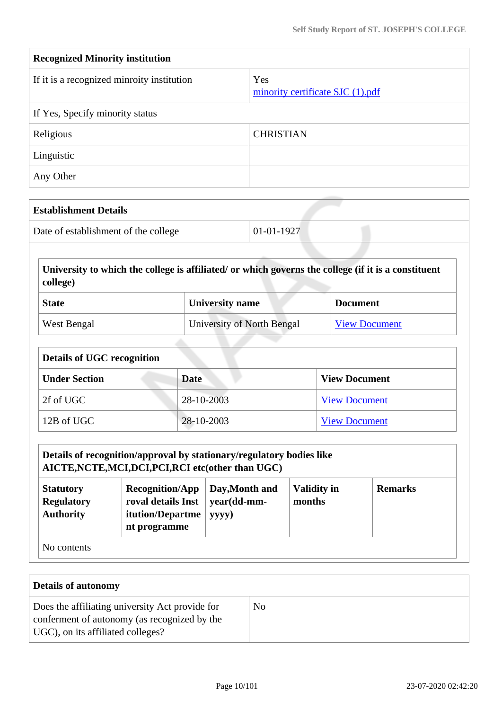| <b>Recognized Minority institution</b>     |                                         |  |
|--------------------------------------------|-----------------------------------------|--|
| If it is a recognized minroity institution | Yes<br>minority certificate SJC (1).pdf |  |
| If Yes, Specify minority status            |                                         |  |
| Religious                                  | <b>CHRISTIAN</b>                        |  |
| Linguistic                                 |                                         |  |
| Any Other                                  |                                         |  |

| <b>Establishment Details</b>         |              |
|--------------------------------------|--------------|
| Date of establishment of the college | $01-01-1927$ |

 **University to which the college is affiliated/ or which governs the college (if it is a constituent college)**

| <b>State</b> | University name            | <b>Document</b>      |
|--------------|----------------------------|----------------------|
| West Bengal  | University of North Bengal | <b>View Document</b> |

| <b>Details of UGC recognition</b> |             |                      |  |
|-----------------------------------|-------------|----------------------|--|
| <b>Under Section</b>              | <b>Date</b> | <b>View Document</b> |  |
| 2f of UGC                         | 28-10-2003  | <b>View Document</b> |  |
| 12B of UGC                        | 28-10-2003  | <b>View Document</b> |  |

| Details of recognition/approval by stationary/regulatory bodies like<br>AICTE, NCTE, MCI, DCI, PCI, RCI etc(other than UGC)                                                                                                               |  |  |  |  |
|-------------------------------------------------------------------------------------------------------------------------------------------------------------------------------------------------------------------------------------------|--|--|--|--|
| <b>Validity in</b><br>Day, Month and<br><b>Remarks</b><br><b>Recognition/App</b><br><b>Statutory</b><br>roval details Inst<br>year(dd-mm-<br><b>Regulatory</b><br>months<br><b>Authority</b><br>itution/Departme<br>yyyy)<br>nt programme |  |  |  |  |
| No contents                                                                                                                                                                                                                               |  |  |  |  |

| <b>Details of autonomy</b>                                                                                                           |                |
|--------------------------------------------------------------------------------------------------------------------------------------|----------------|
| Does the affiliating university Act provide for<br>conferment of autonomy (as recognized by the<br>UGC), on its affiliated colleges? | N <sub>0</sub> |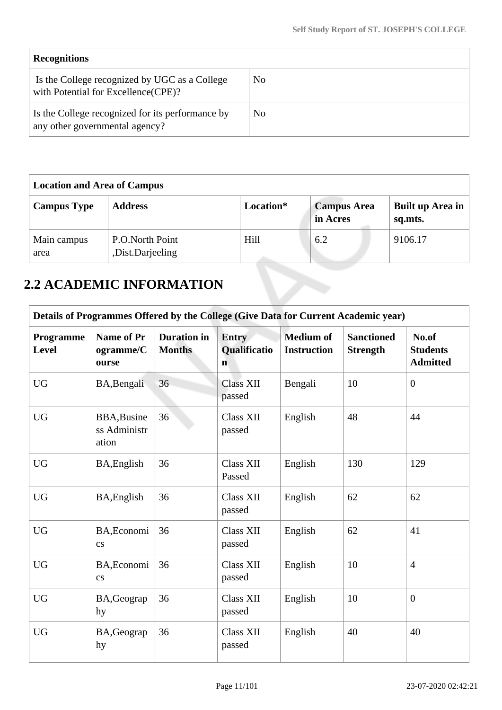| <b>Recognitions</b>                                                                  |     |
|--------------------------------------------------------------------------------------|-----|
| Is the College recognized by UGC as a College<br>with Potential for Excellence(CPE)? | No  |
| Is the College recognized for its performance by<br>any other governmental agency?   | No. |

| <b>Location and Area of Campus</b> |                                     |           |                                |                             |
|------------------------------------|-------------------------------------|-----------|--------------------------------|-----------------------------|
| <b>Campus Type</b>                 | <b>Address</b>                      | Location* | <b>Campus Area</b><br>in Acres | Built up Area in<br>sq.mts. |
| Main campus<br>area                | P.O.North Point<br>,Dist.Darjeeling | Hill      | 6.2                            | 9106.17                     |

# **2.2 ACADEMIC INFORMATION**

|                           | Details of Programmes Offered by the College (Give Data for Current Academic year) |                                     |                                      |                                        |                                      |                                             |  |
|---------------------------|------------------------------------------------------------------------------------|-------------------------------------|--------------------------------------|----------------------------------------|--------------------------------------|---------------------------------------------|--|
| <b>Programme</b><br>Level | Name of Pr<br>ogramme/C<br>ourse                                                   | <b>Duration</b> in<br><b>Months</b> | Entry<br>Qualificatio<br>$\mathbf n$ | <b>Medium of</b><br><b>Instruction</b> | <b>Sanctioned</b><br><b>Strength</b> | No.of<br><b>Students</b><br><b>Admitted</b> |  |
| <b>UG</b>                 | BA, Bengali                                                                        | 36                                  | <b>Class XII</b><br>passed           | Bengali                                | 10                                   | $\overline{0}$                              |  |
| <b>UG</b>                 | <b>BBA, Busine</b><br>ss Administr<br>ation                                        | 36                                  | <b>Class XII</b><br>passed           | English                                | 48                                   | 44                                          |  |
| <b>UG</b>                 | BA, English                                                                        | 36                                  | Class XII<br>Passed                  | English                                | 130                                  | 129                                         |  |
| <b>UG</b>                 | BA, English                                                                        | 36                                  | <b>Class XII</b><br>passed           | English                                | 62                                   | 62                                          |  |
| <b>UG</b>                 | BA, Economi<br>$\mathbf{c}\mathbf{s}$                                              | 36                                  | <b>Class XII</b><br>passed           | English                                | 62                                   | 41                                          |  |
| <b>UG</b>                 | BA, Economi<br>$\mathbf{c}\mathbf{s}$                                              | 36                                  | <b>Class XII</b><br>passed           | English                                | 10                                   | $\overline{4}$                              |  |
| <b>UG</b>                 | BA, Geograp<br>hy                                                                  | 36                                  | <b>Class XII</b><br>passed           | English                                | 10                                   | $\overline{0}$                              |  |
| <b>UG</b>                 | BA, Geograp<br>hy                                                                  | 36                                  | Class XII<br>passed                  | English                                | 40                                   | 40                                          |  |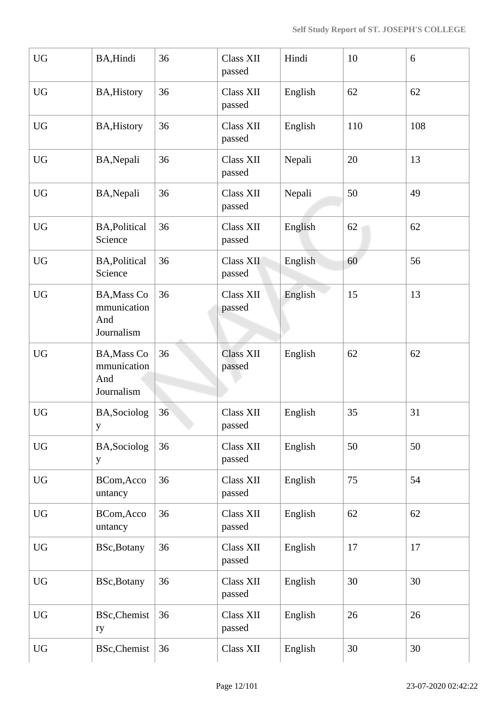| <b>UG</b>              | BA, Hindi                                              | 36 | <b>Class XII</b><br>passed | Hindi   | 10  | 6   |
|------------------------|--------------------------------------------------------|----|----------------------------|---------|-----|-----|
| <b>UG</b>              | <b>BA, History</b>                                     | 36 | Class XII<br>passed        | English | 62  | 62  |
| <b>UG</b>              | <b>BA, History</b>                                     | 36 | Class XII<br>passed        | English | 110 | 108 |
| <b>UG</b>              | BA, Nepali                                             | 36 | <b>Class XII</b><br>passed | Nepali  | 20  | 13  |
| <b>UG</b>              | BA, Nepali                                             | 36 | Class XII<br>passed        | Nepali  | 50  | 49  |
| <b>UG</b>              | <b>BA, Political</b><br>Science                        | 36 | Class XII<br>passed        | English | 62  | 62  |
| <b>UG</b>              | <b>BA, Political</b><br>Science                        | 36 | Class XII<br>passed        | English | 60  | 56  |
| <b>UG</b>              | <b>BA, Mass Co</b><br>mmunication<br>And<br>Journalism | 36 | <b>Class XII</b><br>passed | English | 15  | 13  |
| <b>UG</b>              | <b>BA, Mass Co</b><br>mmunication<br>And<br>Journalism | 36 | <b>Class XII</b><br>passed | English | 62  | 62  |
| <b>UG</b>              | BA, Sociolog<br>y                                      | 36 | Class XII<br>passed        | English | 35  | 31  |
| $\mathbf{U}\mathbf{G}$ | <b>BA,Sociolog</b><br>y                                | 36 | Class XII<br>passed        | English | 50  | 50  |
| <b>UG</b>              | BCom, Acco<br>untancy                                  | 36 | Class XII<br>passed        | English | 75  | 54  |
| <b>UG</b>              | BCom, Acco<br>untancy                                  | 36 | Class XII<br>passed        | English | 62  | 62  |
| ${\rm U}{\rm G}$       | <b>BSc, Botany</b>                                     | 36 | Class XII<br>passed        | English | 17  | 17  |
| <b>UG</b>              | <b>BSc, Botany</b>                                     | 36 | Class XII<br>passed        | English | 30  | 30  |
| <b>UG</b>              | <b>BSc, Chemist</b><br>ry                              | 36 | Class XII<br>passed        | English | 26  | 26  |
| ${\rm U}{\rm G}$       | <b>BSc, Chemist</b>                                    | 36 | Class XII                  | English | 30  | 30  |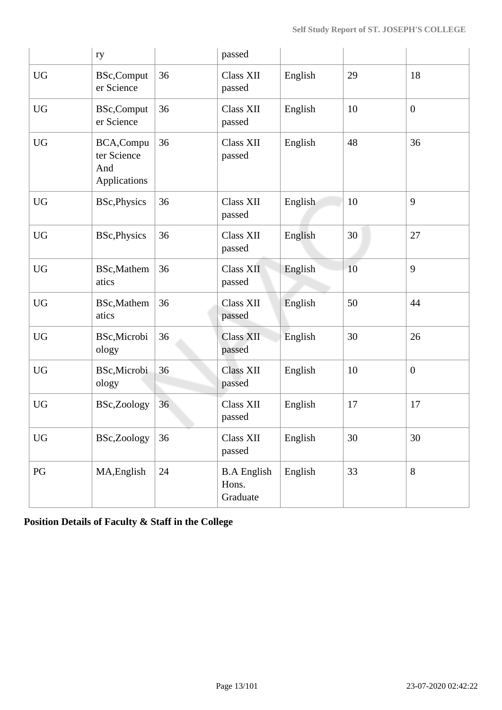|           | ry                                               |    | passed                                  |         |    |                |
|-----------|--------------------------------------------------|----|-----------------------------------------|---------|----|----------------|
| <b>UG</b> | <b>BSc,Comput</b><br>er Science                  | 36 | <b>Class XII</b><br>passed              | English | 29 | 18             |
| <b>UG</b> | BSc,Comput<br>er Science                         | 36 | <b>Class XII</b><br>passed              | English | 10 | $\overline{0}$ |
| <b>UG</b> | BCA, Compu<br>ter Science<br>And<br>Applications | 36 | <b>Class XII</b><br>passed              | English | 48 | 36             |
| <b>UG</b> | <b>BSc, Physics</b>                              | 36 | <b>Class XII</b><br>passed              | English | 10 | 9              |
| <b>UG</b> | <b>BSc, Physics</b>                              | 36 | <b>Class XII</b><br>passed              | English | 30 | 27             |
| <b>UG</b> | <b>BSc,Mathem</b><br>atics                       | 36 | <b>Class XII</b><br>passed              | English | 10 | 9              |
| <b>UG</b> | BSc, Mathem<br>atics                             | 36 | <b>Class XII</b><br>passed              | English | 50 | 44             |
| <b>UG</b> | BSc, Microbi<br>ology                            | 36 | <b>Class XII</b><br>passed              | English | 30 | 26             |
| <b>UG</b> | BSc, Microbi<br>ology                            | 36 | <b>Class XII</b><br>passed              | English | 10 | $\overline{0}$ |
| <b>UG</b> | BSc,Zoology                                      | 36 | <b>Class XII</b><br>passed              | English | 17 | 17             |
| <b>UG</b> | BSc,Zoology                                      | 36 | Class XII<br>passed                     | English | 30 | 30             |
| PG        | MA, English                                      | 24 | <b>B.A English</b><br>Hons.<br>Graduate | English | 33 | 8              |

**Position Details of Faculty & Staff in the College**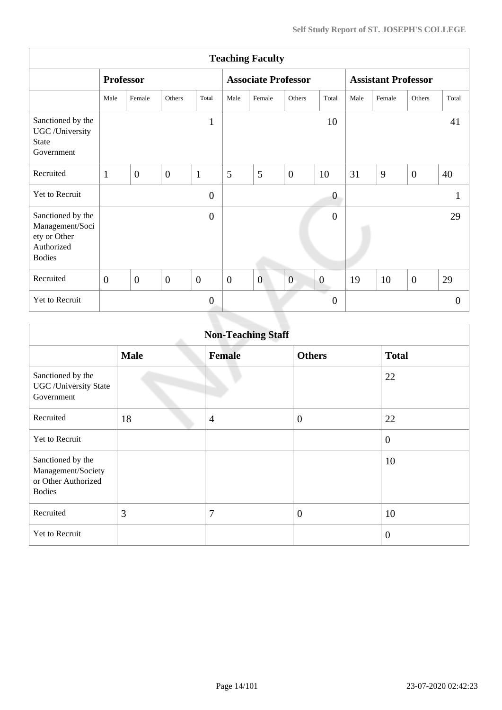| <b>Teaching Faculty</b>                                                             |                |                  |                |                |                            |                |                |                            |      |        |                |                |
|-------------------------------------------------------------------------------------|----------------|------------------|----------------|----------------|----------------------------|----------------|----------------|----------------------------|------|--------|----------------|----------------|
|                                                                                     |                | <b>Professor</b> |                |                | <b>Associate Professor</b> |                |                | <b>Assistant Professor</b> |      |        |                |                |
|                                                                                     | Male           | Female           | Others         | Total          | Male                       | Female         | Others         | Total                      | Male | Female | Others         | Total          |
| Sanctioned by the<br>UGC /University<br><b>State</b><br>Government                  |                |                  |                | $\mathbf{1}$   |                            |                |                | 10                         |      |        |                | 41             |
| Recruited                                                                           | $\mathbf{1}$   | $\overline{0}$   | $\overline{0}$ | $\mathbf{1}$   | 5                          | 5              | $\overline{0}$ | 10                         | 31   | 9      | $\overline{0}$ | 40             |
| Yet to Recruit                                                                      |                |                  |                | $\overline{0}$ |                            |                |                | $\boldsymbol{0}$           |      |        |                |                |
| Sanctioned by the<br>Management/Soci<br>ety or Other<br>Authorized<br><b>Bodies</b> |                |                  |                | $\overline{0}$ |                            |                |                | $\boldsymbol{0}$           |      |        |                | 29             |
| Recruited                                                                           | $\overline{0}$ | $\overline{0}$   | $\overline{0}$ | $\overline{0}$ | $\overline{0}$             | $\overline{0}$ | $\overline{0}$ | $\boldsymbol{0}$           | 19   | 10     | $\overline{0}$ | 29             |
| Yet to Recruit                                                                      |                |                  |                | $\overline{0}$ |                            |                |                | $\overline{0}$             |      |        |                | $\overline{0}$ |
|                                                                                     |                |                  |                |                |                            |                |                |                            |      |        |                |                |

| <b>Non-Teaching Staff</b>                                                       |             |                |                  |                  |  |  |
|---------------------------------------------------------------------------------|-------------|----------------|------------------|------------------|--|--|
|                                                                                 | <b>Male</b> | <b>Female</b>  | <b>Others</b>    | <b>Total</b>     |  |  |
| Sanctioned by the<br><b>UGC</b> / University State<br>Government                |             |                |                  | 22               |  |  |
| Recruited                                                                       | 18          | $\overline{4}$ | $\boldsymbol{0}$ | 22               |  |  |
| <b>Yet to Recruit</b>                                                           |             |                |                  | $\boldsymbol{0}$ |  |  |
| Sanctioned by the<br>Management/Society<br>or Other Authorized<br><b>Bodies</b> |             |                |                  | 10               |  |  |
| Recruited                                                                       | 3           | 7              | $\boldsymbol{0}$ | 10               |  |  |
| Yet to Recruit                                                                  |             |                |                  | $\overline{0}$   |  |  |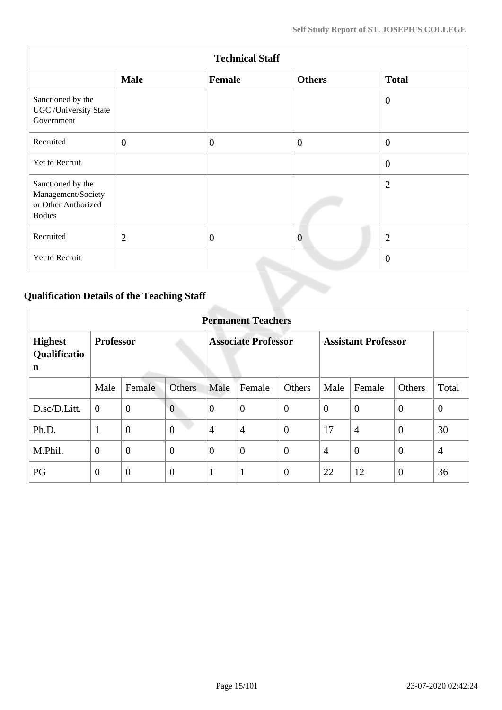| <b>Technical Staff</b>                                                          |                |              |                |                  |  |  |  |
|---------------------------------------------------------------------------------|----------------|--------------|----------------|------------------|--|--|--|
|                                                                                 | <b>Male</b>    | Female       | <b>Others</b>  | <b>Total</b>     |  |  |  |
| Sanctioned by the<br><b>UGC</b> / University State<br>Government                |                |              |                | $\overline{0}$   |  |  |  |
| Recruited                                                                       | $\mathbf{0}$   | $\theta$     | $\overline{0}$ | $\boldsymbol{0}$ |  |  |  |
| Yet to Recruit                                                                  |                |              |                | $\theta$         |  |  |  |
| Sanctioned by the<br>Management/Society<br>or Other Authorized<br><b>Bodies</b> |                |              |                | $\overline{2}$   |  |  |  |
| Recruited                                                                       | $\overline{2}$ | $\mathbf{0}$ | $\overline{0}$ | $\overline{2}$   |  |  |  |
| Yet to Recruit                                                                  |                |              |                | $\overline{0}$   |  |  |  |

# **Qualification Details of the Teaching Staff**

|                                     | <b>Permanent Teachers</b> |                |                |                            |                |                |                            |                |                |                |
|-------------------------------------|---------------------------|----------------|----------------|----------------------------|----------------|----------------|----------------------------|----------------|----------------|----------------|
| <b>Highest</b><br>Qualificatio<br>n | <b>Professor</b>          |                |                | <b>Associate Professor</b> |                |                | <b>Assistant Professor</b> |                |                |                |
|                                     | Male                      | Female         | <b>Others</b>  | Male                       | Female         | Others         | Male                       | Female         | Others         | Total          |
| D.sc/D.Litt.                        | $\overline{0}$            | $\mathbf{0}$   | $\overline{0}$ | $\theta$                   | $\overline{0}$ | $\theta$       | $\overline{0}$             | $\theta$       | $\overline{0}$ | $\overline{0}$ |
| Ph.D.                               | 1                         | $\overline{0}$ | $\overline{0}$ | $\overline{4}$             | $\overline{4}$ | $\overline{0}$ | 17                         | $\overline{4}$ | $\theta$       | 30             |
| M.Phil.                             | $\overline{0}$            | $\overline{0}$ | $\overline{0}$ | $\theta$                   | $\overline{0}$ | $\overline{0}$ | $\overline{4}$             | $\overline{0}$ | $\overline{0}$ | $\overline{4}$ |
| PG                                  | $\theta$                  | $\overline{0}$ | $\overline{0}$ | $\mathbf{1}$               | $\mathbf{1}$   | $\overline{0}$ | 22                         | 12             | $\theta$       | 36             |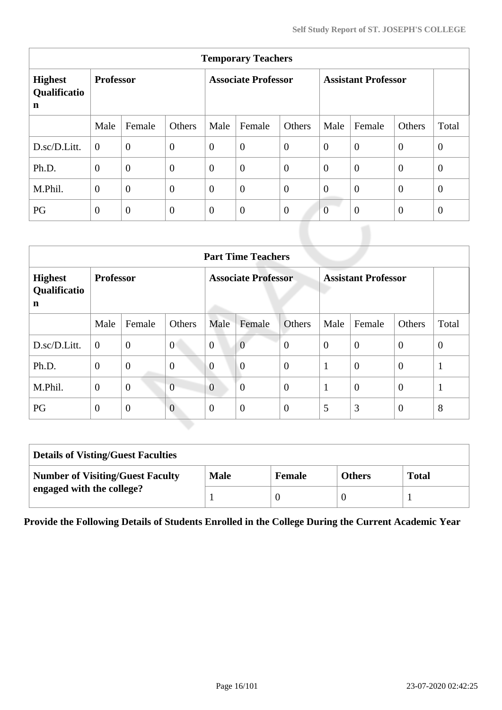| <b>Temporary Teachers</b>           |                  |                  |                            |                |                |                            |                |                |                |                |
|-------------------------------------|------------------|------------------|----------------------------|----------------|----------------|----------------------------|----------------|----------------|----------------|----------------|
| <b>Highest</b><br>Qualificatio<br>n | <b>Professor</b> |                  | <b>Associate Professor</b> |                |                | <b>Assistant Professor</b> |                |                |                |                |
|                                     | Male             | Female           | Others                     | Male           | Female         | Others                     | Male           | Female         | Others         | Total          |
| D.sc/D.Litt.                        | $\theta$         | $\overline{0}$   | $\boldsymbol{0}$           | $\overline{0}$ | $\overline{0}$ | $\overline{0}$             | $\overline{0}$ | $\overline{0}$ | $\overline{0}$ | $\overline{0}$ |
| Ph.D.                               | $\overline{0}$   | $\boldsymbol{0}$ | $\overline{0}$             | $\overline{0}$ | $\overline{0}$ | $\overline{0}$             | $\overline{0}$ | $\overline{0}$ | $\theta$       | $\overline{0}$ |
| M.Phil.                             | $\overline{0}$   | $\overline{0}$   | $\overline{0}$             | $\overline{0}$ | $\overline{0}$ | $\overline{0}$             | $\overline{0}$ | $\overline{0}$ | $\overline{0}$ | $\overline{0}$ |
| PG                                  | $\overline{0}$   | $\boldsymbol{0}$ | $\mathbf{0}$               | $\overline{0}$ | $\overline{0}$ | $\overline{0}$             | $\overline{0}$ | $\overline{0}$ | $\overline{0}$ | $\theta$       |

|                                     | <b>Part Time Teachers</b> |                |                            |                |                |                            |          |                |                |                |
|-------------------------------------|---------------------------|----------------|----------------------------|----------------|----------------|----------------------------|----------|----------------|----------------|----------------|
| <b>Highest</b><br>Qualificatio<br>n | <b>Professor</b>          |                | <b>Associate Professor</b> |                |                | <b>Assistant Professor</b> |          |                |                |                |
|                                     | Male                      | Female         | Others                     | Male           | Female         | Others                     | Male     | Female         | Others         | Total          |
| D.sc/D.Litt.                        | $\boldsymbol{0}$          | $\mathbf{0}$   | $\overline{0}$             | $\overline{0}$ | $\overline{0}$ | $\overline{0}$             | $\theta$ | $\overline{0}$ | $\overline{0}$ | $\overline{0}$ |
| Ph.D.                               | $\overline{0}$            | $\overline{0}$ | $\overline{0}$             | $\overline{0}$ | $\overline{0}$ | $\overline{0}$             | 1        | $\theta$       | $\overline{0}$ | $\mathbf{1}$   |
| M.Phil.                             | $\theta$                  | $\overline{0}$ | $\overline{0}$             | $\overline{0}$ | $\theta$       | $\overline{0}$             | 1        | $\overline{0}$ | $\overline{0}$ | $\mathbf{1}$   |
| PG                                  | $\overline{0}$            | $\overline{0}$ | $\overline{0}$             | $\theta$       | $\overline{0}$ | $\overline{0}$             | 5        | 3              | $\overline{0}$ | 8              |

| <b>Details of Visting/Guest Faculties</b> |             |               |               |              |  |  |
|-------------------------------------------|-------------|---------------|---------------|--------------|--|--|
| <b>Number of Visiting/Guest Faculty</b>   | <b>Male</b> | <b>Female</b> | <b>Others</b> | <b>Total</b> |  |  |
| engaged with the college?                 |             |               |               |              |  |  |

**Provide the Following Details of Students Enrolled in the College During the Current Academic Year**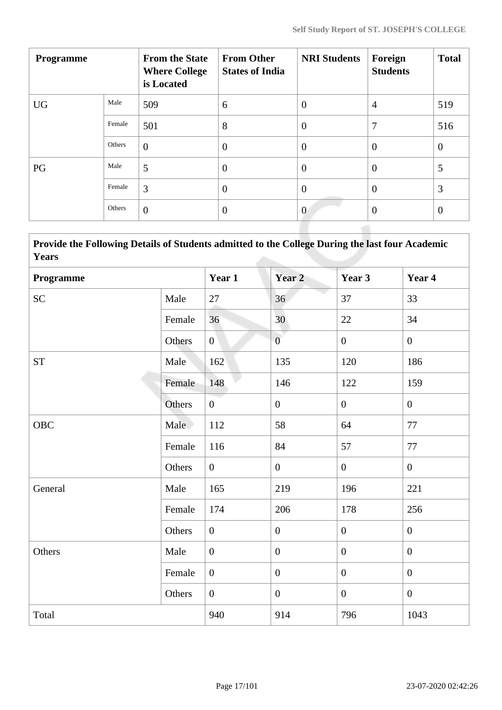| <b>Programme</b> |        | <b>From the State</b><br><b>Where College</b><br>is Located | <b>From Other</b><br><b>States of India</b> | <b>NRI Students</b> | Foreign<br><b>Students</b> | <b>Total</b>     |
|------------------|--------|-------------------------------------------------------------|---------------------------------------------|---------------------|----------------------------|------------------|
| <b>UG</b>        | Male   | 509                                                         | 6                                           | $\boldsymbol{0}$    | $\overline{4}$             | 519              |
|                  | Female | 501                                                         | 8                                           | $\overline{0}$      | 7                          | 516              |
|                  | Others | $\overline{0}$                                              | $\overline{0}$                              | $\overline{0}$      | $\overline{0}$             | $\boldsymbol{0}$ |
| PG               | Male   | 5                                                           | $\overline{0}$                              | $\overline{0}$      | $\overline{0}$             | 5                |
|                  | Female | 3                                                           | $\overline{0}$                              | $\overline{0}$      | $\overline{0}$             | 3                |
|                  | Others | $\overline{0}$                                              | $\overline{0}$                              | $\overline{0}$      | $\overline{0}$             | $\overline{0}$   |

| <b>Provide the Following Details of Students admitted to the College During the last four Academic</b> |  |
|--------------------------------------------------------------------------------------------------------|--|
| Years                                                                                                  |  |

| Programme          |        | Year 1         | Year <sub>2</sub> | Year 3           | Year 4           |
|--------------------|--------|----------------|-------------------|------------------|------------------|
| <b>SC</b>          | Male   | 27             | 36                | 37               | 33               |
|                    | Female | 36             | 30                | 22               | 34               |
|                    | Others | $\overline{0}$ | $\overline{0}$    | $\overline{0}$   | $\overline{0}$   |
| ${\cal S}{\cal T}$ | Male   | 162            | 135               | 120              | 186              |
|                    | Female | 148            | 146               | 122              | 159              |
|                    | Others | $\overline{0}$ | $\mathbf{0}$      | $\overline{0}$   | $\overline{0}$   |
| OBC                | Male   | 112            | 58                | 64               | 77               |
|                    | Female | 116            | 84                | 57               | $77\,$           |
|                    | Others | $\overline{0}$ | $\overline{0}$    | $\overline{0}$   | $\overline{0}$   |
| General            | Male   | 165            | 219               | 196              | 221              |
|                    | Female | 174            | 206               | 178              | 256              |
|                    | Others | $\overline{0}$ | $\overline{0}$    | $\mathbf{0}$     | $\mathbf{0}$     |
| Others             | Male   | $\overline{0}$ | $\boldsymbol{0}$  | $\boldsymbol{0}$ | $\overline{0}$   |
|                    | Female | $\overline{0}$ | $\boldsymbol{0}$  | $\boldsymbol{0}$ | $\boldsymbol{0}$ |
|                    | Others | $\overline{0}$ | $\boldsymbol{0}$  | $\mathbf{0}$     | $\overline{0}$   |
| Total              |        | 940            | 914               | 796              | 1043             |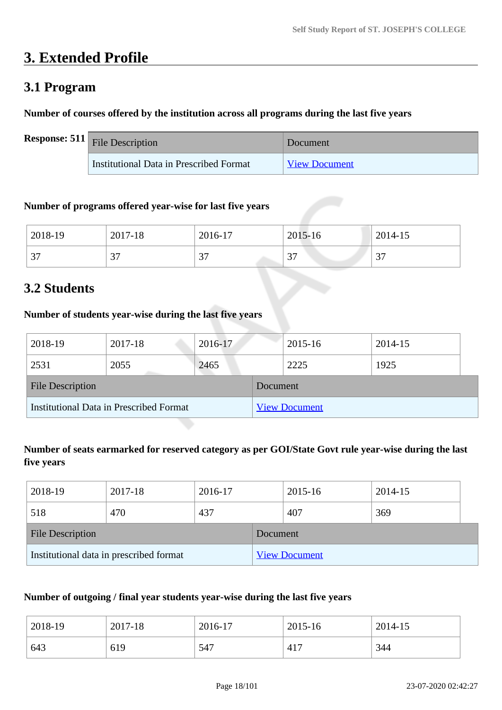# **3. Extended Profile**

### **3.1 Program**

#### **Number of courses offered by the institution across all programs during the last five years**

| <b>Response: 511</b> File Description   | Document             |
|-----------------------------------------|----------------------|
| Institutional Data in Prescribed Format | <b>View Document</b> |

#### **Number of programs offered year-wise for last five years**

| 2018-19  | 2017-18  | 2016-17 | 2015-16 | 2014-15 |
|----------|----------|---------|---------|---------|
| $\Omega$ | $\cap$   | $\sim$  | $\sim$  | $\sim$  |
| ، ب      | <u>.</u> | ، ب     | ◡       | ັ       |

### **3.2 Students**

#### **Number of students year-wise during the last five years**

| 2018-19                                        | 2017-18 | 2016-17 |          | 2015-16              | 2014-15 |
|------------------------------------------------|---------|---------|----------|----------------------|---------|
| 2531                                           | 2055    | 2465    |          | 2225                 | 1925    |
| <b>File Description</b>                        |         |         | Document |                      |         |
| <b>Institutional Data in Prescribed Format</b> |         |         |          | <b>View Document</b> |         |

#### **Number of seats earmarked for reserved category as per GOI/State Govt rule year-wise during the last five years**

| 2018-19                                 | 2017-18 | 2016-17 |                      | 2015-16 | 2014-15 |  |
|-----------------------------------------|---------|---------|----------------------|---------|---------|--|
| 518                                     | 470     | 437     |                      | 407     | 369     |  |
| <b>File Description</b>                 |         |         | Document             |         |         |  |
| Institutional data in prescribed format |         |         | <b>View Document</b> |         |         |  |

#### **Number of outgoing / final year students year-wise during the last five years**

| 2018-19 | 2017-18 | 2016-17 | 2015-16 | 2014-15 |
|---------|---------|---------|---------|---------|
| 643     | 619     | 547     | 417     | 344     |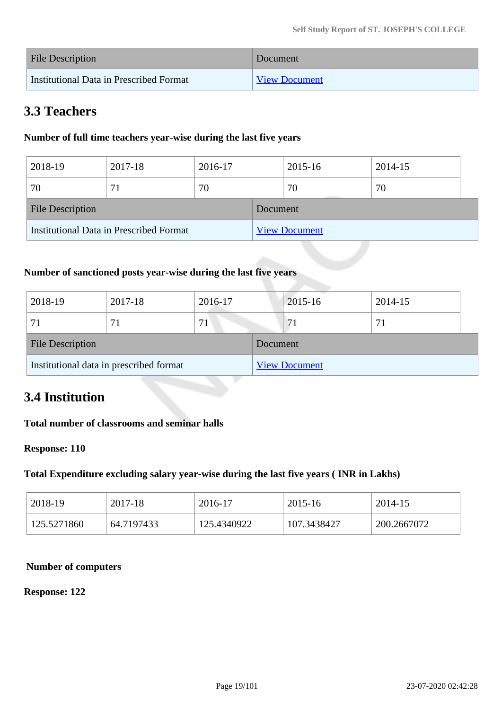| File Description                        | Document             |
|-----------------------------------------|----------------------|
| Institutional Data in Prescribed Format | <b>View Document</b> |

### **3.3 Teachers**

#### **Number of full time teachers year-wise during the last five years**

| 2018-19                                 | 2017-18 | 2016-17 |          | 2015-16              | 2014-15 |  |
|-----------------------------------------|---------|---------|----------|----------------------|---------|--|
| 70                                      | 71      | 70      |          | 70                   | 70      |  |
| <b>File Description</b>                 |         |         | Document |                      |         |  |
| Institutional Data in Prescribed Format |         |         |          | <b>View Document</b> |         |  |

#### **Number of sanctioned posts year-wise during the last five years**

| 2018-19                                 | 2017-18 | 2016-17 |          | 2015-16              | 2014-15 |
|-----------------------------------------|---------|---------|----------|----------------------|---------|
|                                         |         | 71      |          | 71                   |         |
| <b>File Description</b>                 |         |         | Document |                      |         |
| Institutional data in prescribed format |         |         |          | <b>View Document</b> |         |

### **3.4 Institution**

#### **Total number of classrooms and seminar halls**

#### **Response: 110**

#### **Total Expenditure excluding salary year-wise during the last five years ( INR in Lakhs)**

| 2018-19     | 2017-18    | 2016-17     | 2015-16     | 2014-15     |
|-------------|------------|-------------|-------------|-------------|
| 125.5271860 | 64.7197433 | 125.4340922 | 107.3438427 | 200.2667072 |

#### **Number of computers**

#### **Response: 122**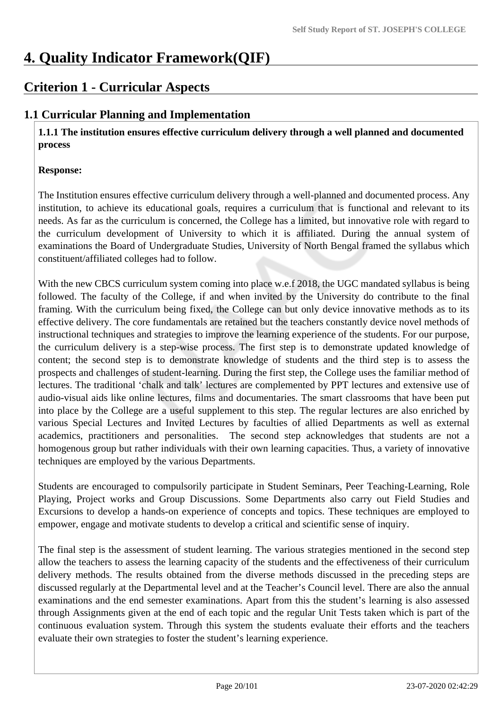# **4. Quality Indicator Framework(QIF)**

# **Criterion 1 - Curricular Aspects**

### **1.1 Curricular Planning and Implementation**

 **1.1.1 The institution ensures effective curriculum delivery through a well planned and documented process** 

#### **Response:**

The Institution ensures effective curriculum delivery through a well-planned and documented process. Any institution, to achieve its educational goals, requires a curriculum that is functional and relevant to its needs. As far as the curriculum is concerned, the College has a limited, but innovative role with regard to the curriculum development of University to which it is affiliated. During the annual system of examinations the Board of Undergraduate Studies, University of North Bengal framed the syllabus which constituent/affiliated colleges had to follow.

With the new CBCS curriculum system coming into place w.e.f 2018, the UGC mandated syllabus is being followed. The faculty of the College, if and when invited by the University do contribute to the final framing. With the curriculum being fixed, the College can but only device innovative methods as to its effective delivery. The core fundamentals are retained but the teachers constantly device novel methods of instructional techniques and strategies to improve the learning experience of the students. For our purpose, the curriculum delivery is a step-wise process. The first step is to demonstrate updated knowledge of content; the second step is to demonstrate knowledge of students and the third step is to assess the prospects and challenges of student-learning. During the first step, the College uses the familiar method of lectures. The traditional 'chalk and talk' lectures are complemented by PPT lectures and extensive use of audio-visual aids like online lectures, films and documentaries. The smart classrooms that have been put into place by the College are a useful supplement to this step. The regular lectures are also enriched by various Special Lectures and Invited Lectures by faculties of allied Departments as well as external academics, practitioners and personalities. The second step acknowledges that students are not a homogenous group but rather individuals with their own learning capacities. Thus, a variety of innovative techniques are employed by the various Departments.

Students are encouraged to compulsorily participate in Student Seminars, Peer Teaching-Learning, Role Playing, Project works and Group Discussions. Some Departments also carry out Field Studies and Excursions to develop a hands-on experience of concepts and topics. These techniques are employed to empower, engage and motivate students to develop a critical and scientific sense of inquiry.

The final step is the assessment of student learning. The various strategies mentioned in the second step allow the teachers to assess the learning capacity of the students and the effectiveness of their curriculum delivery methods. The results obtained from the diverse methods discussed in the preceding steps are discussed regularly at the Departmental level and at the Teacher's Council level. There are also the annual examinations and the end semester examinations. Apart from this the student's learning is also assessed through Assignments given at the end of each topic and the regular Unit Tests taken which is part of the continuous evaluation system. Through this system the students evaluate their efforts and the teachers evaluate their own strategies to foster the student's learning experience.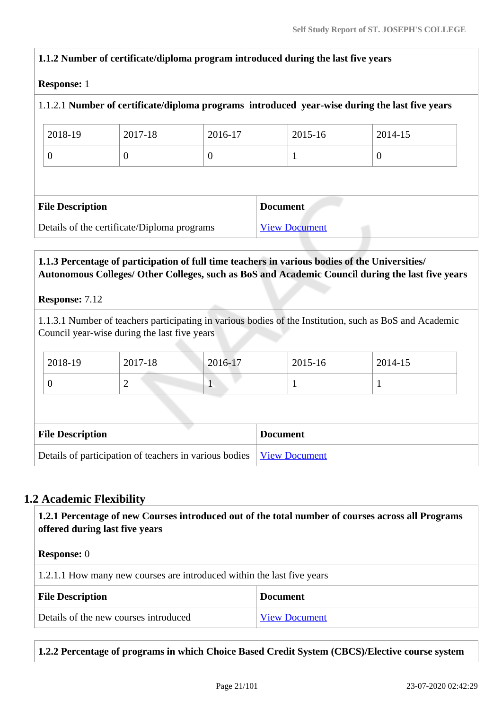# **1.1.2 Number of certificate/diploma program introduced during the last five years Response:** 1 1.1.2.1 **Number of certificate/diploma programs introduced year-wise during the last five years** 2018-19 2017-18 2016-17 2015-16 2014-15  $0 \hspace{1.6cm} 0 \hspace{1.6cm} 1 \hspace{1.6cm} 0$ **File Description Document** Details of the certificate/Diploma programs [View Document](https://assessmentonline.naac.gov.in/storage/app/hei/SSR/105388/1.1.2_1581352236_4253.xlsx) **1.1.3 Percentage of participation of full time teachers in various bodies of the Universities/ Autonomous Colleges/ Other Colleges, such as BoS and Academic Council during the last five years Response:** 7.12

1.1.3.1 Number of teachers participating in various bodies of the Institution, such as BoS and Academic Council year-wise during the last five years

| 2018-19                                                | 2017-18        | 2016-17 | 2015-16              | 2014-15 |  |
|--------------------------------------------------------|----------------|---------|----------------------|---------|--|
| $\boldsymbol{0}$                                       | $\overline{2}$ |         |                      |         |  |
|                                                        |                |         |                      |         |  |
| <b>File Description</b>                                |                |         | <b>Document</b>      |         |  |
| Details of participation of teachers in various bodies |                |         | <b>View Document</b> |         |  |

### **1.2 Academic Flexibility**

 **1.2.1 Percentage of new Courses introduced out of the total number of courses across all Programs offered during last five years**

#### **Response:** 0

| 1.2.1.1 How many new courses are introduced within the last five years |                      |  |
|------------------------------------------------------------------------|----------------------|--|
| <b>File Description</b>                                                | <b>Document</b>      |  |
| Details of the new courses introduced                                  | <b>View Document</b> |  |

**1.2.2 Percentage of programs in which Choice Based Credit System (CBCS)/Elective course system**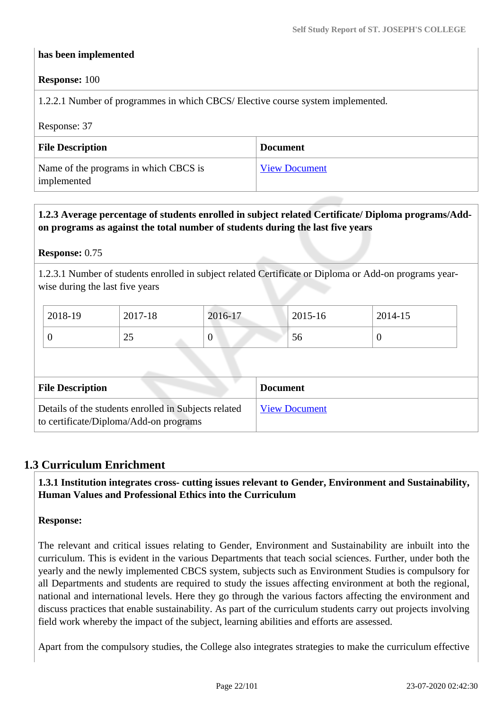#### **has been implemented**

#### **Response:** 100

1.2.2.1 Number of programmes in which CBCS/ Elective course system implemented.

Response: 37

| <b>File Description</b>                              | <b>Document</b>      |
|------------------------------------------------------|----------------------|
| Name of the programs in which CBCS is<br>implemented | <b>View Document</b> |

#### **1.2.3 Average percentage of students enrolled in subject related Certificate/ Diploma programs/Addon programs as against the total number of students during the last five years**

#### **Response:** 0.75

1.2.3.1 Number of students enrolled in subject related Certificate or Diploma or Add-on programs yearwise during the last five years

| 2018-19 | 2017-18  | 2016-17        | 2015-16 | 2014-15 |
|---------|----------|----------------|---------|---------|
|         | Ωc<br>رے | $\overline{0}$ | 56      |         |

| <b>File Description</b>                                                                        | <b>Document</b>      |
|------------------------------------------------------------------------------------------------|----------------------|
| Details of the students enrolled in Subjects related<br>to certificate/Diploma/Add-on programs | <b>View Document</b> |

#### **1.3 Curriculum Enrichment**

 **1.3.1 Institution integrates cross- cutting issues relevant to Gender, Environment and Sustainability, Human Values and Professional Ethics into the Curriculum**

#### **Response:**

The relevant and critical issues relating to Gender, Environment and Sustainability are inbuilt into the curriculum. This is evident in the various Departments that teach social sciences. Further, under both the yearly and the newly implemented CBCS system, subjects such as Environment Studies is compulsory for all Departments and students are required to study the issues affecting environment at both the regional, national and international levels. Here they go through the various factors affecting the environment and discuss practices that enable sustainability. As part of the curriculum students carry out projects involving field work whereby the impact of the subject, learning abilities and efforts are assessed.

Apart from the compulsory studies, the College also integrates strategies to make the curriculum effective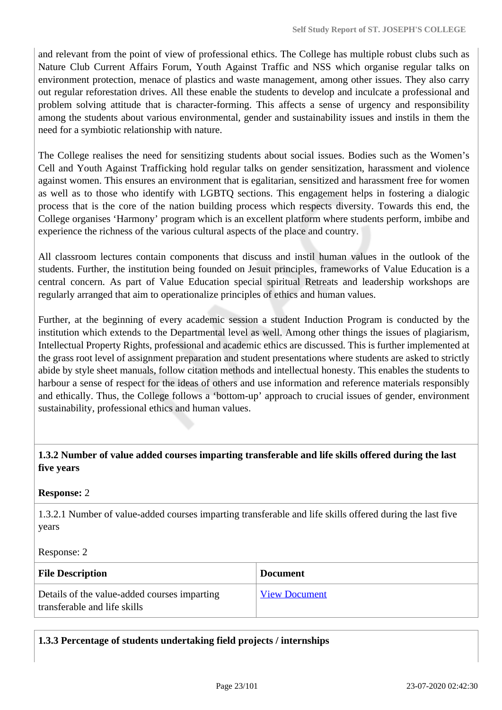and relevant from the point of view of professional ethics. The College has multiple robust clubs such as Nature Club Current Affairs Forum, Youth Against Traffic and NSS which organise regular talks on environment protection, menace of plastics and waste management, among other issues. They also carry out regular reforestation drives. All these enable the students to develop and inculcate a professional and problem solving attitude that is character-forming. This affects a sense of urgency and responsibility among the students about various environmental, gender and sustainability issues and instils in them the need for a symbiotic relationship with nature.

The College realises the need for sensitizing students about social issues. Bodies such as the Women's Cell and Youth Against Trafficking hold regular talks on gender sensitization, harassment and violence against women. This ensures an environment that is egalitarian, sensitized and harassment free for women as well as to those who identify with LGBTQ sections. This engagement helps in fostering a dialogic process that is the core of the nation building process which respects diversity. Towards this end, the College organises 'Harmony' program which is an excellent platform where students perform, imbibe and experience the richness of the various cultural aspects of the place and country.

All classroom lectures contain components that discuss and instil human values in the outlook of the students. Further, the institution being founded on Jesuit principles, frameworks of Value Education is a central concern. As part of Value Education special spiritual Retreats and leadership workshops are regularly arranged that aim to operationalize principles of ethics and human values.

Further, at the beginning of every academic session a student Induction Program is conducted by the institution which extends to the Departmental level as well. Among other things the issues of plagiarism, Intellectual Property Rights, professional and academic ethics are discussed. This is further implemented at the grass root level of assignment preparation and student presentations where students are asked to strictly abide by style sheet manuals, follow citation methods and intellectual honesty. This enables the students to harbour a sense of respect for the ideas of others and use information and reference materials responsibly and ethically. Thus, the College follows a 'bottom-up' approach to crucial issues of gender, environment sustainability, professional ethics and human values.

#### **1.3.2 Number of value added courses imparting transferable and life skills offered during the last five years**

#### **Response:** 2

1.3.2.1 Number of value-added courses imparting transferable and life skills offered during the last five years

#### Response: 2

| <b>File Description</b>                                                      | <b>Document</b>      |
|------------------------------------------------------------------------------|----------------------|
| Details of the value-added courses imparting<br>transferable and life skills | <b>View Document</b> |

**1.3.3 Percentage of students undertaking field projects / internships**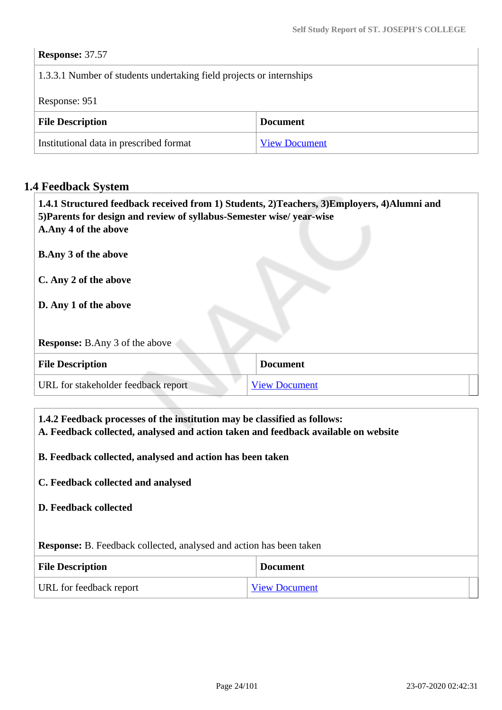#### **Response:** 37.57

#### 1.3.3.1 Number of students undertaking field projects or internships

Response: 951

| <b>File Description</b>                 | <b>Document</b>      |
|-----------------------------------------|----------------------|
| Institutional data in prescribed format | <b>View Document</b> |

#### **1.4 Feedback System**

| 1.4.1 Structured feedback received from 1) Students, 2) Teachers, 3) Employers, 4) Alumni and<br>5) Parents for design and review of syllabus-Semester wise/year-wise<br>A.Any 4 of the above |                      |
|-----------------------------------------------------------------------------------------------------------------------------------------------------------------------------------------------|----------------------|
| <b>B.Any 3 of the above</b>                                                                                                                                                                   |                      |
| C. Any 2 of the above                                                                                                                                                                         |                      |
| D. Any 1 of the above                                                                                                                                                                         |                      |
| <b>Response:</b> B.Any 3 of the above                                                                                                                                                         |                      |
| <b>File Description</b>                                                                                                                                                                       | <b>Document</b>      |
| URL for stakeholder feedback report                                                                                                                                                           | <b>View Document</b> |

 **1.4.2 Feedback processes of the institution may be classified as follows: A. Feedback collected, analysed and action taken and feedback available on website B. Feedback collected, analysed and action has been taken C. Feedback collected and analysed D. Feedback collected Response:** B. Feedback collected, analysed and action has been taken **File Description Document** 

URL for feedback report [View Document](https://sjcdarjeeling.edu.in/userfiles/file/AQAR/1.4.1%20Annual%20Stakeholders%20Report-converted.pdf)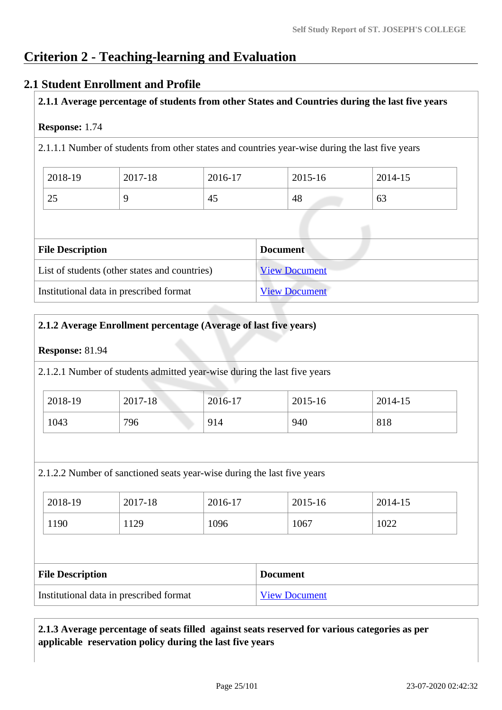# **Criterion 2 - Teaching-learning and Evaluation**

#### **2.1 Student Enrollment and Profile**

**2.1.1 Average percentage of students from other States and Countries during the last five years**

#### **Response:** 1.74

2.1.1.1 Number of students from other states and countries year-wise during the last five years

| 2018-19             | 2017-18 | 2016-17 | 2015-16 | 2014-15 |
|---------------------|---------|---------|---------|---------|
| $\sim$ $\sim$<br>25 |         | 45      | 48      | 63      |

| <b>File Description</b>                       | <b>Document</b>      |
|-----------------------------------------------|----------------------|
| List of students (other states and countries) | <b>View Document</b> |
| Institutional data in prescribed format       | <b>View Document</b> |

#### **2.1.2 Average Enrollment percentage (Average of last five years)**

#### **Response:** 81.94

2.1.2.1 Number of students admitted year-wise during the last five years

| 2018-19 | 2017-18 | 2016-17 | 2015-16 | 2014-15 |
|---------|---------|---------|---------|---------|
| 1043    | 796     | 914     | 940     | 818     |

2.1.2.2 Number of sanctioned seats year-wise during the last five years

| 2018-19 | 2017-18 | 2016-17 | 2015-16 | 2014-15 |
|---------|---------|---------|---------|---------|
| 1190    | 129     | 1096    | 1067    | 1022    |

| <b>File Description</b>                 | <b>Document</b>      |
|-----------------------------------------|----------------------|
| Institutional data in prescribed format | <b>View Document</b> |

#### **2.1.3 Average percentage of seats filled against seats reserved for various categories as per applicable reservation policy during the last five years**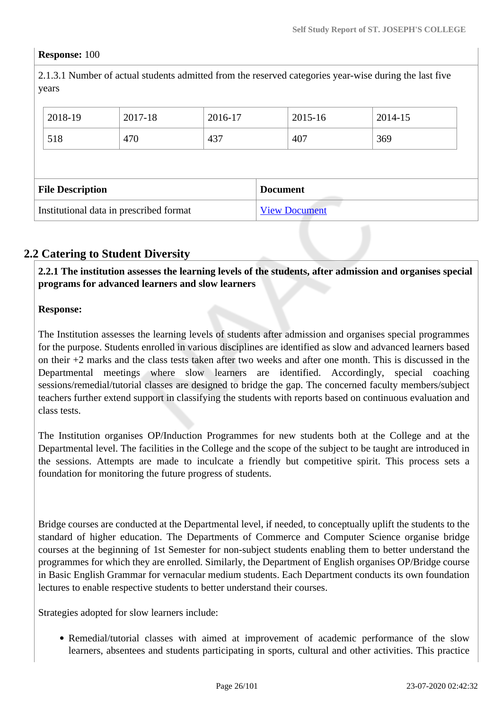#### **Response:** 100

2.1.3.1 Number of actual students admitted from the reserved categories year-wise during the last five years

| 2018-19                 | 2017-18 | 2016-17 |                 | 2015-16 | 2014-15 |
|-------------------------|---------|---------|-----------------|---------|---------|
| 518                     | 470     | 437     |                 | 407     | 369     |
|                         |         |         |                 |         |         |
|                         |         |         |                 |         |         |
| <b>File Description</b> |         |         | <b>Document</b> |         |         |

#### **2.2 Catering to Student Diversity**

 **2.2.1 The institution assesses the learning levels of the students, after admission and organises special programs for advanced learners and slow learners**

#### **Response:**

The Institution assesses the learning levels of students after admission and organises special programmes for the purpose. Students enrolled in various disciplines are identified as slow and advanced learners based on their +2 marks and the class tests taken after two weeks and after one month. This is discussed in the Departmental meetings where slow learners are identified. Accordingly, special coaching sessions/remedial/tutorial classes are designed to bridge the gap. The concerned faculty members/subject teachers further extend support in classifying the students with reports based on continuous evaluation and class tests.

The Institution organises OP/Induction Programmes for new students both at the College and at the Departmental level. The facilities in the College and the scope of the subject to be taught are introduced in the sessions. Attempts are made to inculcate a friendly but competitive spirit. This process sets a foundation for monitoring the future progress of students.

Bridge courses are conducted at the Departmental level, if needed, to conceptually uplift the students to the standard of higher education. The Departments of Commerce and Computer Science organise bridge courses at the beginning of 1st Semester for non-subject students enabling them to better understand the programmes for which they are enrolled. Similarly, the Department of English organises OP/Bridge course in Basic English Grammar for vernacular medium students. Each Department conducts its own foundation lectures to enable respective students to better understand their courses.

Strategies adopted for slow learners include:

• Remedial/tutorial classes with aimed at improvement of academic performance of the slow learners, absentees and students participating in sports, cultural and other activities. This practice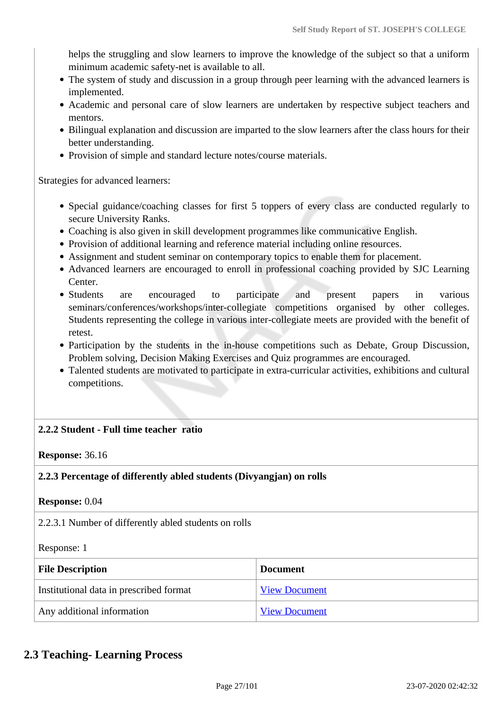helps the struggling and slow learners to improve the knowledge of the subject so that a uniform minimum academic safety-net is available to all.

- The system of study and discussion in a group through peer learning with the advanced learners is implemented.
- Academic and personal care of slow learners are undertaken by respective subject teachers and mentors.
- Bilingual explanation and discussion are imparted to the slow learners after the class hours for their better understanding.
- Provision of simple and standard lecture notes/course materials.

Strategies for advanced learners:

- Special guidance/coaching classes for first 5 toppers of every class are conducted regularly to secure University Ranks.
- Coaching is also given in skill development programmes like communicative English.
- Provision of additional learning and reference material including online resources.
- Assignment and student seminar on contemporary topics to enable them for placement.
- Advanced learners are encouraged to enroll in professional coaching provided by SJC Learning Center.
- Students are encouraged to participate and present papers in various seminars/conferences/workshops/inter-collegiate competitions organised by other colleges. Students representing the college in various inter-collegiate meets are provided with the benefit of retest.
- Participation by the students in the in-house competitions such as Debate, Group Discussion, Problem solving, Decision Making Exercises and Quiz programmes are encouraged.
- Talented students are motivated to participate in extra-curricular activities, exhibitions and cultural competitions.

#### **2.2.2 Student - Full time teacher ratio**

**Response:** 36.16

**2.2.3 Percentage of differently abled students (Divyangjan) on rolls**

**Response:** 0.04

2.2.3.1 Number of differently abled students on rolls

Response: 1

| <b>File Description</b>                 | <b>Document</b>      |
|-----------------------------------------|----------------------|
| Institutional data in prescribed format | <b>View Document</b> |
| Any additional information              | <b>View Document</b> |

#### **2.3 Teaching- Learning Process**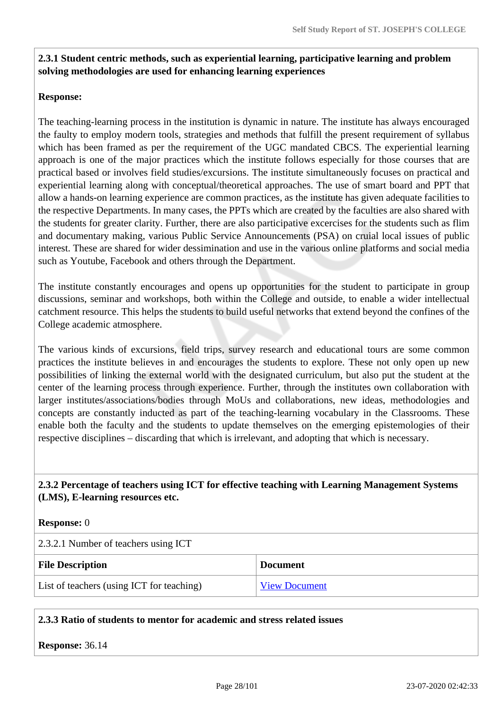#### **2.3.1 Student centric methods, such as experiential learning, participative learning and problem solving methodologies are used for enhancing learning experiences**

#### **Response:**

The teaching-learning process in the institution is dynamic in nature. The institute has always encouraged the faulty to employ modern tools, strategies and methods that fulfill the present requirement of syllabus which has been framed as per the requirement of the UGC mandated CBCS. The experiential learning approach is one of the major practices which the institute follows especially for those courses that are practical based or involves field studies/excursions. The institute simultaneously focuses on practical and experiential learning along with conceptual/theoretical approaches. The use of smart board and PPT that allow a hands-on learning experience are common practices, as the institute has given adequate facilities to the respective Departments. In many cases, the PPTs which are created by the faculties are also shared with the students for greater clarity. Further, there are also participative excercises for the students such as flim and documentary making, various Public Service Announcements (PSA) on cruial local issues of public interest. These are shared for wider dessimination and use in the various online platforms and social media such as Youtube, Facebook and others through the Department.

The institute constantly encourages and opens up opportunities for the student to participate in group discussions, seminar and workshops, both within the College and outside, to enable a wider intellectual catchment resource. This helps the students to build useful networks that extend beyond the confines of the College academic atmosphere.

The various kinds of excursions, field trips, survey research and educational tours are some common practices the institute believes in and encourages the students to explore. These not only open up new possibilities of linking the external world with the designated curriculum, but also put the student at the center of the learning process through experience. Further, through the institutes own collaboration with larger institutes/associations/bodies through MoUs and collaborations, new ideas, methodologies and concepts are constantly inducted as part of the teaching-learning vocabulary in the Classrooms. These enable both the faculty and the students to update themselves on the emerging epistemologies of their respective disciplines – discarding that which is irrelevant, and adopting that which is necessary.

#### **2.3.2 Percentage of teachers using ICT for effective teaching with Learning Management Systems (LMS), E-learning resources etc.**

#### **Response:** 0

| 2.3.2.1 Number of teachers using ICT      |                      |  |
|-------------------------------------------|----------------------|--|
| <b>File Description</b>                   | <b>Document</b>      |  |
| List of teachers (using ICT for teaching) | <b>View Document</b> |  |

#### **2.3.3 Ratio of students to mentor for academic and stress related issues**

**Response:** 36.14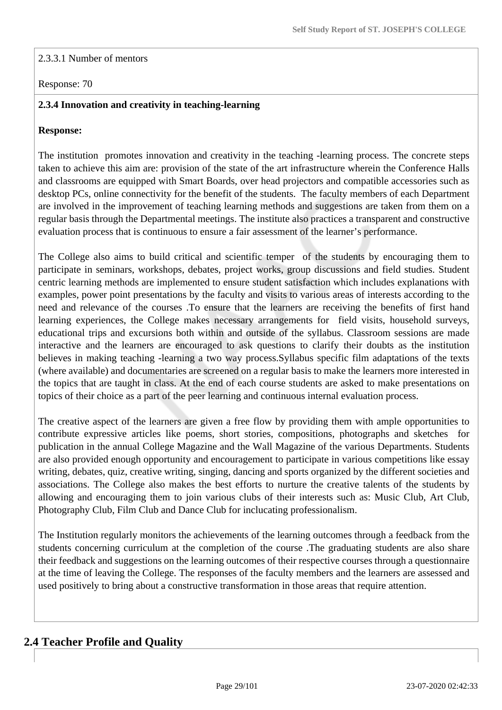#### 2.3.3.1 Number of mentors

#### Response: 70

#### **2.3.4 Innovation and creativity in teaching-learning**

#### **Response:**

The institution promotes innovation and creativity in the teaching -learning process. The concrete steps taken to achieve this aim are: provision of the state of the art infrastructure wherein the Conference Halls and classrooms are equipped with Smart Boards, over head projectors and compatible accessories such as desktop PCs, online connectivity for the benefit of the students. The faculty members of each Department are involved in the improvement of teaching learning methods and suggestions are taken from them on a regular basis through the Departmental meetings. The institute also practices a transparent and constructive evaluation process that is continuous to ensure a fair assessment of the learner's performance.

The College also aims to build critical and scientific temper of the students by encouraging them to participate in seminars, workshops, debates, project works, group discussions and field studies. Student centric learning methods are implemented to ensure student satisfaction which includes explanations with examples, power point presentations by the faculty and visits to various areas of interests according to the need and relevance of the courses .To ensure that the learners are receiving the benefits of first hand learning experiences, the College makes necessary arrangements for field visits, household surveys, educational trips and excursions both within and outside of the syllabus. Classroom sessions are made interactive and the learners are encouraged to ask questions to clarify their doubts as the institution believes in making teaching -learning a two way process.Syllabus specific film adaptations of the texts (where available) and documentaries are screened on a regular basis to make the learners more interested in the topics that are taught in class. At the end of each course students are asked to make presentations on topics of their choice as a part of the peer learning and continuous internal evaluation process.

The creative aspect of the learners are given a free flow by providing them with ample opportunities to contribute expressive articles like poems, short stories, compositions, photographs and sketches for publication in the annual College Magazine and the Wall Magazine of the various Departments. Students are also provided enough opportunity and encouragement to participate in various competitions like essay writing, debates, quiz, creative writing, singing, dancing and sports organized by the different societies and associations. The College also makes the best efforts to nurture the creative talents of the students by allowing and encouraging them to join various clubs of their interests such as: Music Club, Art Club, Photography Club, Film Club and Dance Club for inclucating professionalism.

The Institution regularly monitors the achievements of the learning outcomes through a feedback from the students concerning curriculum at the completion of the course .The graduating students are also share their feedback and suggestions on the learning outcomes of their respective courses through a questionnaire at the time of leaving the College. The responses of the faculty members and the learners are assessed and used positively to bring about a constructive transformation in those areas that require attention.

#### **2.4 Teacher Profile and Quality**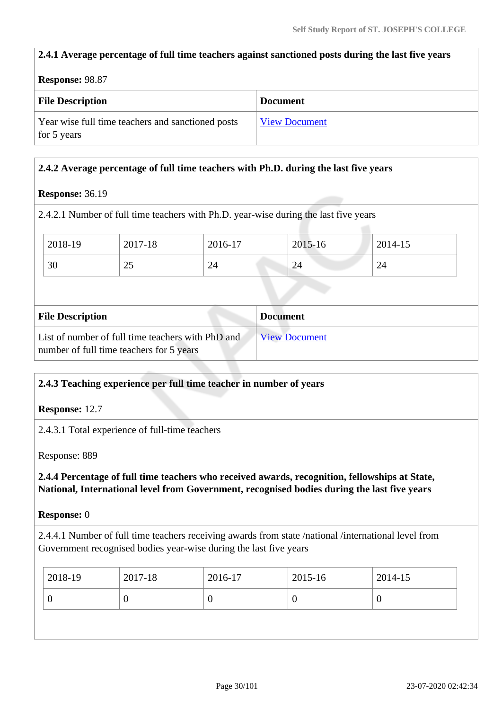#### **2.4.1 Average percentage of full time teachers against sanctioned posts during the last five years**

**Response:** 98.87

| <b>File Description</b>                                          | <b>Document</b>      |
|------------------------------------------------------------------|----------------------|
| Year wise full time teachers and sanctioned posts<br>for 5 years | <b>View Document</b> |

#### **2.4.2 Average percentage of full time teachers with Ph.D. during the last five years**

#### **Response:** 36.19

2.4.2.1 Number of full time teachers with Ph.D. year-wise during the last five years

| 2018-19 | 2017-18              | 2016-17 | 2015-16                 | 2014-15                              |
|---------|----------------------|---------|-------------------------|--------------------------------------|
| 30      | $\sim$ $\sim$<br>ن ک | 24      | $\mathbf{\Omega}$<br>44 | ⌒<br>′ ∠<br>$\overline{\phantom{0}}$ |

| <b>File Description</b>                                                                       | <b>Document</b>      |
|-----------------------------------------------------------------------------------------------|----------------------|
| List of number of full time teachers with PhD and<br>number of full time teachers for 5 years | <b>View Document</b> |

#### **2.4.3 Teaching experience per full time teacher in number of years**

**Response:** 12.7

2.4.3.1 Total experience of full-time teachers

Response: 889

 **2.4.4 Percentage of full time teachers who received awards, recognition, fellowships at State, National, International level from Government, recognised bodies during the last five years**

**Response:** 0

2.4.4.1 Number of full time teachers receiving awards from state /national /international level from Government recognised bodies year-wise during the last five years

| 2018-19<br>2017-18<br>2016-17 | 2015-16 | 2014-15 |
|-------------------------------|---------|---------|
|                               | ν       | ν       |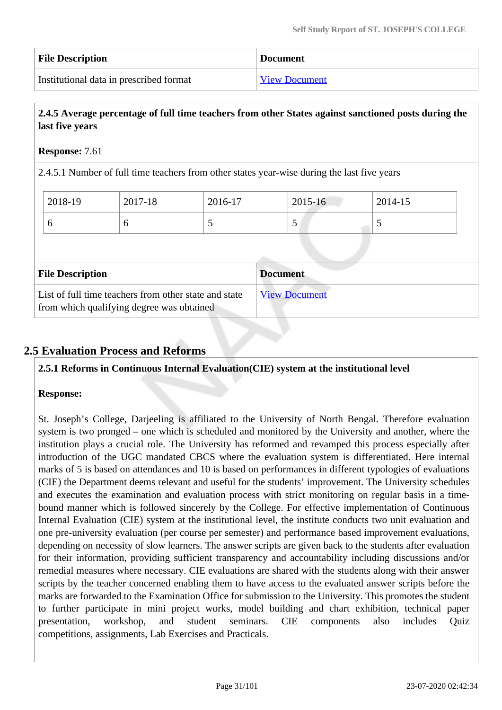| <b>File Description</b>                 | <b>Document</b>      |
|-----------------------------------------|----------------------|
| Institutional data in prescribed format | <b>View Document</b> |

#### **2.4.5 Average percentage of full time teachers from other States against sanctioned posts during the last five years**

#### **Response:** 7.61

2.4.5.1 Number of full time teachers from other states year-wise during the last five years

| 2018-19                 | 2017-18 | 2016-17 | $2015 - 16$     | 2014-15 |  |
|-------------------------|---------|---------|-----------------|---------|--|
| 6                       | 6       |         | 5               |         |  |
|                         |         |         |                 |         |  |
|                         |         |         |                 |         |  |
| <b>File Description</b> |         |         | <b>Document</b> |         |  |

#### **2.5 Evaluation Process and Reforms**

#### **2.5.1 Reforms in Continuous Internal Evaluation(CIE) system at the institutional level**

#### **Response:**

St. Joseph's College, Darjeeling is affiliated to the University of North Bengal. Therefore evaluation system is two pronged – one which is scheduled and monitored by the University and another, where the institution plays a crucial role. The University has reformed and revamped this process especially after introduction of the UGC mandated CBCS where the evaluation system is differentiated. Here internal marks of 5 is based on attendances and 10 is based on performances in different typologies of evaluations (CIE) the Department deems relevant and useful for the students' improvement. The University schedules and executes the examination and evaluation process with strict monitoring on regular basis in a timebound manner which is followed sincerely by the College. For effective implementation of Continuous Internal Evaluation (CIE) system at the institutional level, the institute conducts two unit evaluation and one pre-university evaluation (per course per semester) and performance based improvement evaluations, depending on necessity of slow learners. The answer scripts are given back to the students after evaluation for their information, providing sufficient transparency and accountability including discussions and/or remedial measures where necessary. CIE evaluations are shared with the students along with their answer scripts by the teacher concerned enabling them to have access to the evaluated answer scripts before the marks are forwarded to the Examination Office for submission to the University. This promotes the student to further participate in mini project works, model building and chart exhibition, technical paper presentation, workshop, and student seminars. CIE components also includes Quiz competitions, assignments, Lab Exercises and Practicals.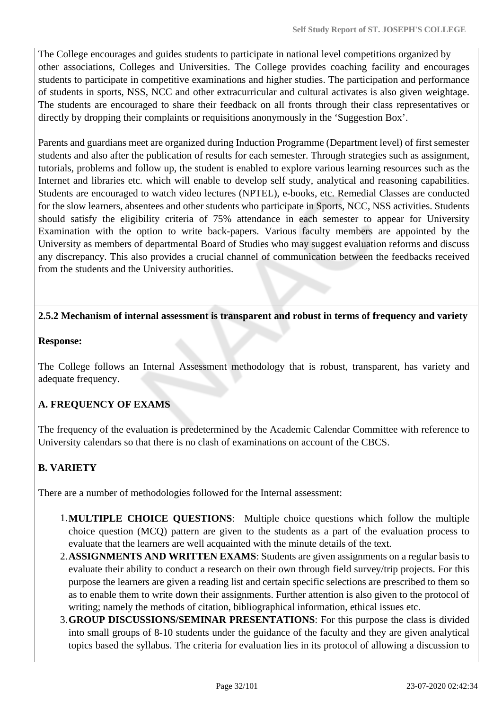The College encourages and guides students to participate in national level competitions organized by other associations, Colleges and Universities. The College provides coaching facility and encourages students to participate in competitive examinations and higher studies. The participation and performance of students in sports, NSS, NCC and other extracurricular and cultural activates is also given weightage. The students are encouraged to share their feedback on all fronts through their class representatives or directly by dropping their complaints or requisitions anonymously in the 'Suggestion Box'.

Parents and guardians meet are organized during Induction Programme (Department level) of first semester students and also after the publication of results for each semester. Through strategies such as assignment, tutorials, problems and follow up, the student is enabled to explore various learning resources such as the Internet and libraries etc. which will enable to develop self study, analytical and reasoning capabilities. Students are encouraged to watch video lectures (NPTEL), e-books, etc. Remedial Classes are conducted for the slow learners, absentees and other students who participate in Sports, NCC, NSS activities. Students should satisfy the eligibility criteria of 75% attendance in each semester to appear for University Examination with the option to write back-papers. Various faculty members are appointed by the University as members of departmental Board of Studies who may suggest evaluation reforms and discuss any discrepancy. This also provides a crucial channel of communication between the feedbacks received from the students and the University authorities.

#### **2.5.2 Mechanism of internal assessment is transparent and robust in terms of frequency and variety**

#### **Response:**

The College follows an Internal Assessment methodology that is robust, transparent, has variety and adequate frequency.

#### **A. FREQUENCY OF EXAMS**

The frequency of the evaluation is predetermined by the Academic Calendar Committee with reference to University calendars so that there is no clash of examinations on account of the CBCS.

#### **B. VARIETY**

There are a number of methodologies followed for the Internal assessment:

- 1.**MULTIPLE CHOICE QUESTIONS**: Multiple choice questions which follow the multiple choice question (MCQ) pattern are given to the students as a part of the evaluation process to evaluate that the learners are well acquainted with the minute details of the text.
- 2.**ASSIGNMENTS AND WRITTEN EXAMS**: Students are given assignments on a regular basis to evaluate their ability to conduct a research on their own through field survey/trip projects. For this purpose the learners are given a reading list and certain specific selections are prescribed to them so as to enable them to write down their assignments. Further attention is also given to the protocol of writing; namely the methods of citation, bibliographical information, ethical issues etc.
- 3.**GROUP DISCUSSIONS/SEMINAR PRESENTATIONS**: For this purpose the class is divided into small groups of 8-10 students under the guidance of the faculty and they are given analytical topics based the syllabus. The criteria for evaluation lies in its protocol of allowing a discussion to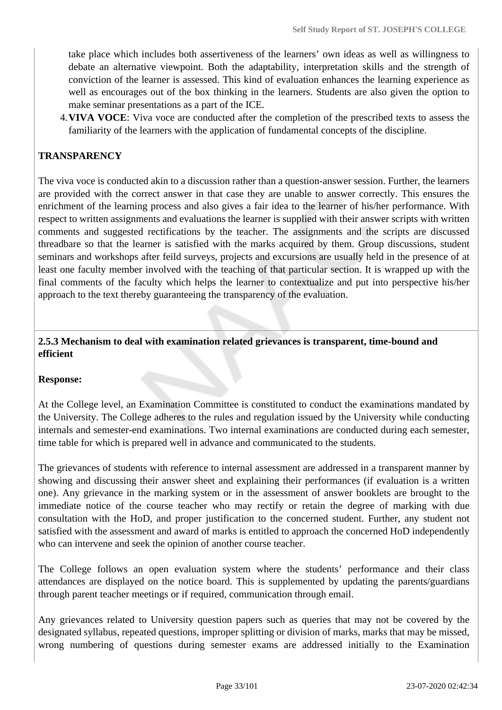take place which includes both assertiveness of the learners' own ideas as well as willingness to debate an alternative viewpoint. Both the adaptability, interpretation skills and the strength of conviction of the learner is assessed. This kind of evaluation enhances the learning experience as well as encourages out of the box thinking in the learners. Students are also given the option to make seminar presentations as a part of the ICE.

4.**VIVA VOCE**: Viva voce are conducted after the completion of the prescribed texts to assess the familiarity of the learners with the application of fundamental concepts of the discipline.

#### **TRANSPARENCY**

The viva voce is conducted akin to a discussion rather than a question-answer session. Further, the learners are provided with the correct answer in that case they are unable to answer correctly. This ensures the enrichment of the learning process and also gives a fair idea to the learner of his/her performance. With respect to written assignments and evaluations the learner is supplied with their answer scripts with written comments and suggested rectifications by the teacher. The assignments and the scripts are discussed threadbare so that the learner is satisfied with the marks acquired by them. Group discussions, student seminars and workshops after feild surveys, projects and excursions are usually held in the presence of at least one faculty member involved with the teaching of that particular section. It is wrapped up with the final comments of the faculty which helps the learner to contextualize and put into perspective his/her approach to the text thereby guaranteeing the transparency of the evaluation.

#### **2.5.3 Mechanism to deal with examination related grievances is transparent, time-bound and efficient**

#### **Response:**

At the College level, an Examination Committee is constituted to conduct the examinations mandated by the University. The College adheres to the rules and regulation issued by the University while conducting internals and semester-end examinations. Two internal examinations are conducted during each semester, time table for which is prepared well in advance and communicated to the students.

The grievances of students with reference to internal assessment are addressed in a transparent manner by showing and discussing their answer sheet and explaining their performances (if evaluation is a written one). Any grievance in the marking system or in the assessment of answer booklets are brought to the immediate notice of the course teacher who may rectify or retain the degree of marking with due consultation with the HoD, and proper justification to the concerned student. Further, any student not satisfied with the assessment and award of marks is entitled to approach the concerned HoD independently who can intervene and seek the opinion of another course teacher.

The College follows an open evaluation system where the students' performance and their class attendances are displayed on the notice board. This is supplemented by updating the parents/guardians through parent teacher meetings or if required, communication through email.

Any grievances related to University question papers such as queries that may not be covered by the designated syllabus, repeated questions, improper splitting or division of marks, marks that may be missed, wrong numbering of questions during semester exams are addressed initially to the Examination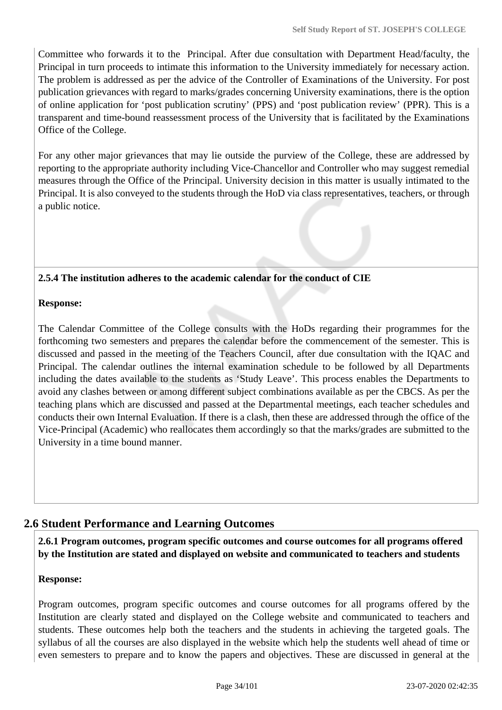Committee who forwards it to the Principal. After due consultation with Department Head/faculty, the Principal in turn proceeds to intimate this information to the University immediately for necessary action. The problem is addressed as per the advice of the Controller of Examinations of the University. For post publication grievances with regard to marks/grades concerning University examinations, there is the option of online application for 'post publication scrutiny' (PPS) and 'post publication review' (PPR). This is a transparent and time-bound reassessment process of the University that is facilitated by the Examinations Office of the College.

For any other major grievances that may lie outside the purview of the College, these are addressed by reporting to the appropriate authority including Vice-Chancellor and Controller who may suggest remedial measures through the Office of the Principal. University decision in this matter is usually intimated to the Principal. It is also conveyed to the students through the HoD via class representatives, teachers, or through a public notice.

#### **2.5.4 The institution adheres to the academic calendar for the conduct of CIE**

#### **Response:**

The Calendar Committee of the College consults with the HoDs regarding their programmes for the forthcoming two semesters and prepares the calendar before the commencement of the semester. This is discussed and passed in the meeting of the Teachers Council, after due consultation with the IQAC and Principal. The calendar outlines the internal examination schedule to be followed by all Departments including the dates available to the students as 'Study Leave'. This process enables the Departments to avoid any clashes between or among different subject combinations available as per the CBCS. As per the teaching plans which are discussed and passed at the Departmental meetings, each teacher schedules and conducts their own Internal Evaluation. If there is a clash, then these are addressed through the office of the Vice-Principal (Academic) who reallocates them accordingly so that the marks/grades are submitted to the University in a time bound manner.

#### **2.6 Student Performance and Learning Outcomes**

 **2.6.1 Program outcomes, program specific outcomes and course outcomes for all programs offered by the Institution are stated and displayed on website and communicated to teachers and students**

#### **Response:**

Program outcomes, program specific outcomes and course outcomes for all programs offered by the Institution are clearly stated and displayed on the College website and communicated to teachers and students. These outcomes help both the teachers and the students in achieving the targeted goals. The syllabus of all the courses are also displayed in the website which help the students well ahead of time or even semesters to prepare and to know the papers and objectives. These are discussed in general at the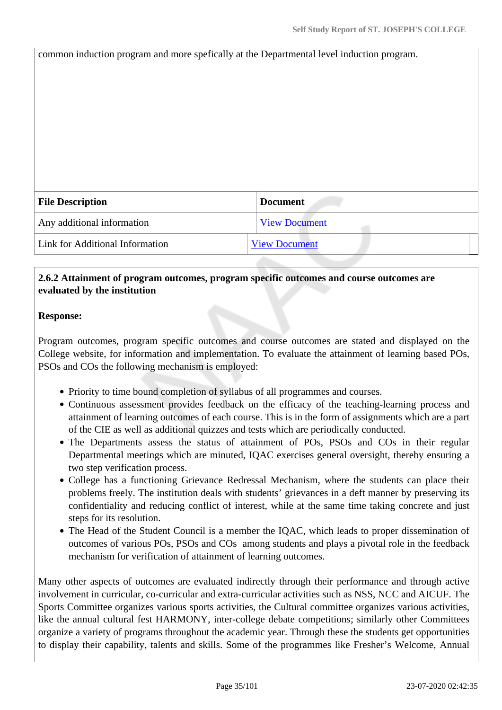common induction program and more spefically at the Departmental level induction program.

| <b>File Description</b>         | <b>Document</b>      |
|---------------------------------|----------------------|
| Any additional information      | <b>View Document</b> |
| Link for Additional Information | <b>View Document</b> |
|                                 |                      |

#### **2.6.2 Attainment of program outcomes, program specific outcomes and course outcomes are evaluated by the institution**

#### **Response:**

Program outcomes, program specific outcomes and course outcomes are stated and displayed on the College website, for information and implementation. To evaluate the attainment of learning based POs, PSOs and COs the following mechanism is employed:

- Priority to time bound completion of syllabus of all programmes and courses.
- Continuous assessment provides feedback on the efficacy of the teaching-learning process and attainment of learning outcomes of each course. This is in the form of assignments which are a part of the CIE as well as additional quizzes and tests which are periodically conducted.
- The Departments assess the status of attainment of POs, PSOs and COs in their regular Departmental meetings which are minuted, IQAC exercises general oversight, thereby ensuring a two step verification process.
- College has a functioning Grievance Redressal Mechanism, where the students can place their problems freely. The institution deals with students' grievances in a deft manner by preserving its confidentiality and reducing conflict of interest, while at the same time taking concrete and just steps for its resolution.
- The Head of the Student Council is a member the IQAC, which leads to proper dissemination of outcomes of various POs, PSOs and COs among students and plays a pivotal role in the feedback mechanism for verification of attainment of learning outcomes.

Many other aspects of outcomes are evaluated indirectly through their performance and through active involvement in curricular, co-curricular and extra-curricular activities such as NSS, NCC and AICUF. The Sports Committee organizes various sports activities, the Cultural committee organizes various activities, like the annual cultural fest HARMONY, inter-college debate competitions; similarly other Committees organize a variety of programs throughout the academic year. Through these the students get opportunities to display their capability, talents and skills. Some of the programmes like Fresher's Welcome, Annual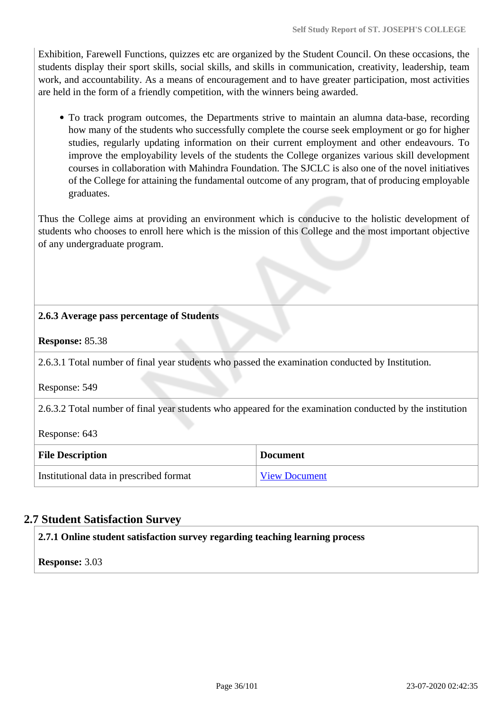Exhibition, Farewell Functions, quizzes etc are organized by the Student Council. On these occasions, the students display their sport skills, social skills, and skills in communication, creativity, leadership, team work, and accountability. As a means of encouragement and to have greater participation, most activities are held in the form of a friendly competition, with the winners being awarded.

To track program outcomes, the Departments strive to maintain an alumna data-base, recording how many of the students who successfully complete the course seek employment or go for higher studies, regularly updating information on their current employment and other endeavours. To improve the employability levels of the students the College organizes various skill development courses in collaboration with Mahindra Foundation. The SJCLC is also one of the novel initiatives of the College for attaining the fundamental outcome of any program, that of producing employable graduates.

Thus the College aims at providing an environment which is conducive to the holistic development of students who chooses to enroll here which is the mission of this College and the most important objective of any undergraduate program.

#### **2.6.3 Average pass percentage of Students**

#### **Response:** 85.38

2.6.3.1 Total number of final year students who passed the examination conducted by Institution.

Response: 549

2.6.3.2 Total number of final year students who appeared for the examination conducted by the institution

Response: 643

| <b>File Description</b>                 | <b>Document</b>      |
|-----------------------------------------|----------------------|
| Institutional data in prescribed format | <b>View Document</b> |

#### **2.7 Student Satisfaction Survey**

#### **2.7.1 Online student satisfaction survey regarding teaching learning process**

**Response:** 3.03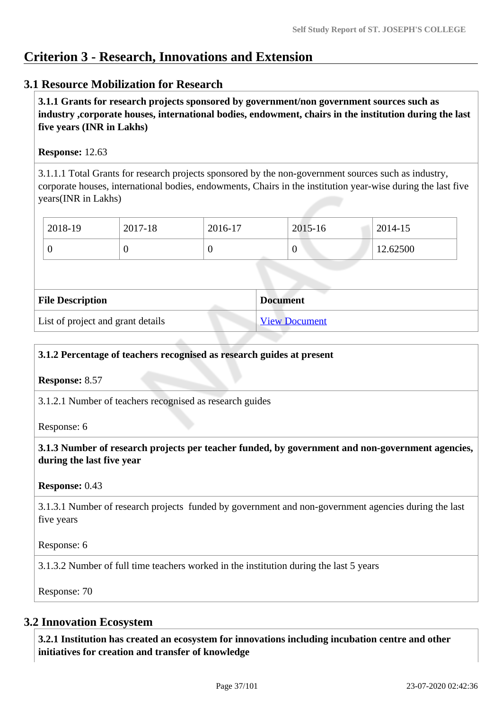# **Criterion 3 - Research, Innovations and Extension**

# **3.1 Resource Mobilization for Research**

 **3.1.1 Grants for research projects sponsored by government/non government sources such as industry ,corporate houses, international bodies, endowment, chairs in the institution during the last five years (INR in Lakhs)** 

### **Response:** 12.63

3.1.1.1 Total Grants for research projects sponsored by the non-government sources such as industry, corporate houses, international bodies, endowments, Chairs in the institution year-wise during the last five years(INR in Lakhs)

| 2018-19 | 2017-18 | 2016-17 | 2015-16 | 2014-15  |
|---------|---------|---------|---------|----------|
|         | ◡       |         | v       | 12.62500 |

| <b>File Description</b>           | <b>Document</b>      |
|-----------------------------------|----------------------|
| List of project and grant details | <b>View Document</b> |

### **3.1.2 Percentage of teachers recognised as research guides at present**

**Response:** 8.57

3.1.2.1 Number of teachers recognised as research guides

Response: 6

 **3.1.3 Number of research projects per teacher funded, by government and non-government agencies, during the last five year**

#### **Response:** 0.43

3.1.3.1 Number of research projects funded by government and non-government agencies during the last five years

Response: 6

3.1.3.2 Number of full time teachers worked in the institution during the last 5 years

Response: 70

# **3.2 Innovation Ecosystem**

 **3.2.1 Institution has created an ecosystem for innovations including incubation centre and other initiatives for creation and transfer of knowledge**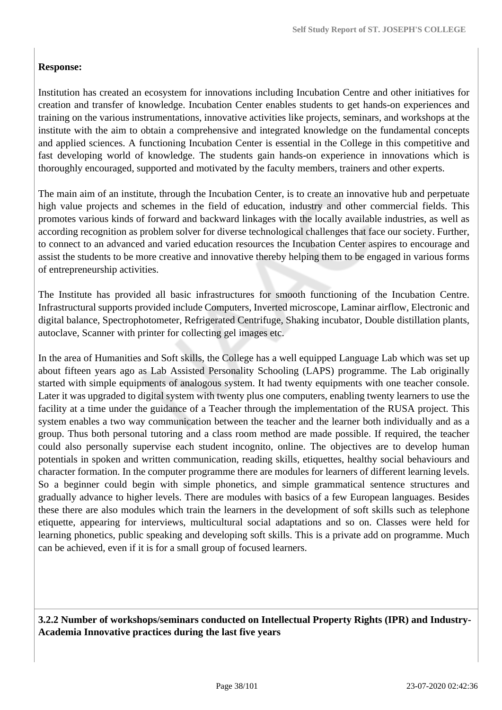# **Response:**

Institution has created an ecosystem for innovations including Incubation Centre and other initiatives for creation and transfer of knowledge. Incubation Center enables students to get hands-on experiences and training on the various instrumentations, innovative activities like projects, seminars, and workshops at the institute with the aim to obtain a comprehensive and integrated knowledge on the fundamental concepts and applied sciences. A functioning Incubation Center is essential in the College in this competitive and fast developing world of knowledge. The students gain hands-on experience in innovations which is thoroughly encouraged, supported and motivated by the faculty members, trainers and other experts.

The main aim of an institute, through the Incubation Center, is to create an innovative hub and perpetuate high value projects and schemes in the field of education, industry and other commercial fields. This promotes various kinds of forward and backward linkages with the locally available industries, as well as according recognition as problem solver for diverse technological challenges that face our society. Further, to connect to an advanced and varied education resources the Incubation Center aspires to encourage and assist the students to be more creative and innovative thereby helping them to be engaged in various forms of entrepreneurship activities.

The Institute has provided all basic infrastructures for smooth functioning of the Incubation Centre. Infrastructural supports provided include Computers, Inverted microscope, Laminar airflow, Electronic and digital balance, Spectrophotometer, Refrigerated Centrifuge, Shaking incubator, Double distillation plants, autoclave, Scanner with printer for collecting gel images etc.

In the area of Humanities and Soft skills, the College has a well equipped Language Lab which was set up about fifteen years ago as Lab Assisted Personality Schooling (LAPS) programme. The Lab originally started with simple equipments of analogous system. It had twenty equipments with one teacher console. Later it was upgraded to digital system with twenty plus one computers, enabling twenty learners to use the facility at a time under the guidance of a Teacher through the implementation of the RUSA project. This system enables a two way communication between the teacher and the learner both individually and as a group. Thus both personal tutoring and a class room method are made possible. If required, the teacher could also personally supervise each student incognito, online. The objectives are to develop human potentials in spoken and written communication, reading skills, etiquettes, healthy social behaviours and character formation. In the computer programme there are modules for learners of different learning levels. So a beginner could begin with simple phonetics, and simple grammatical sentence structures and gradually advance to higher levels. There are modules with basics of a few European languages. Besides these there are also modules which train the learners in the development of soft skills such as telephone etiquette, appearing for interviews, multicultural social adaptations and so on. Classes were held for learning phonetics, public speaking and developing soft skills. This is a private add on programme. Much can be achieved, even if it is for a small group of focused learners.

 **3.2.2 Number of workshops/seminars conducted on Intellectual Property Rights (IPR) and Industry-Academia Innovative practices during the last five years**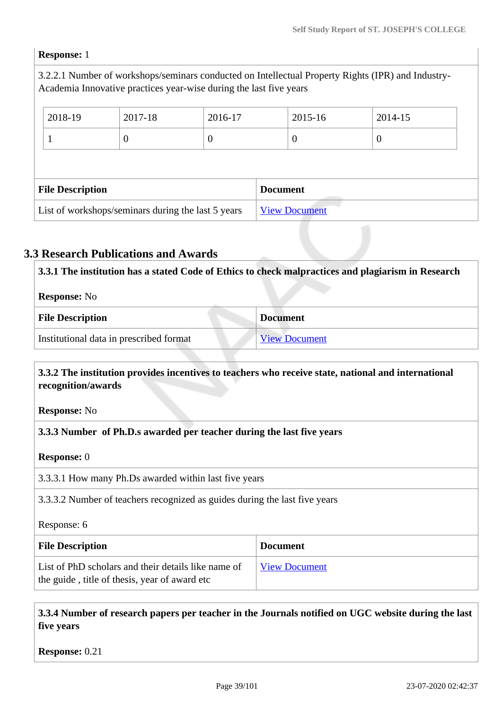#### **Response:** 1

3.2.2.1 Number of workshops/seminars conducted on Intellectual Property Rights (IPR) and Industry-Academia Innovative practices year-wise during the last five years

| 2018-19                 | 2017-18 | 2016-17  |                 | 2015-16 | 2014-15 |  |
|-------------------------|---------|----------|-----------------|---------|---------|--|
|                         | $\cup$  | $\theta$ |                 |         | 0       |  |
|                         |         |          |                 |         |         |  |
|                         |         |          |                 |         |         |  |
| <b>File Description</b> |         |          | <b>Document</b> |         |         |  |

# **3.3 Research Publications and Awards**

| 3.3.1 The institution has a stated Code of Ethics to check malpractices and plagiarism in Research |                 |  |
|----------------------------------------------------------------------------------------------------|-----------------|--|
| <b>Response:</b> No                                                                                |                 |  |
| <b>File Description</b>                                                                            | <b>Document</b> |  |
| Institutional data in prescribed format<br><b>View Document</b>                                    |                 |  |

### **3.3.2 The institution provides incentives to teachers who receive state, national and international recognition/awards**

**Response:** No

### **3.3.3 Number of Ph.D.s awarded per teacher during the last five years**

#### **Response:** 0

3.3.3.1 How many Ph.Ds awarded within last five years

3.3.3.2 Number of teachers recognized as guides during the last five years

Response: 6

| <b>File Description</b>                                                                              | <b>Document</b>      |
|------------------------------------------------------------------------------------------------------|----------------------|
| List of PhD scholars and their details like name of<br>the guide, title of thesis, year of award etc | <b>View Document</b> |

 **3.3.4 Number of research papers per teacher in the Journals notified on UGC website during the last five years**

**Response:** 0.21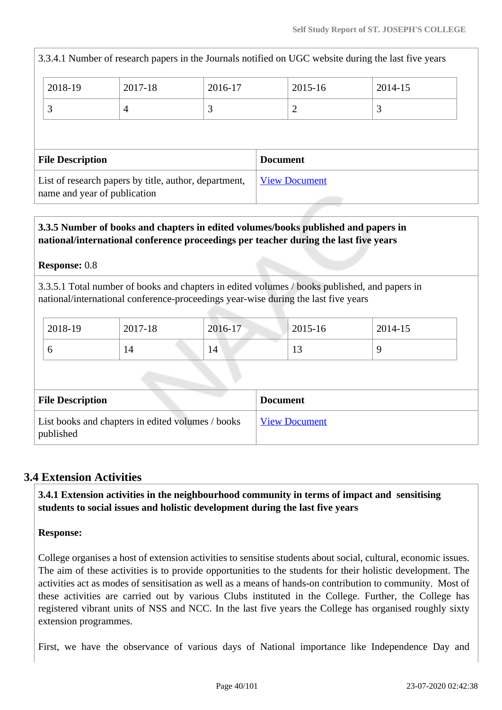|                                                                                       |         |         |  |                      | 3.3.4.1 Number of research papers in the Journals notified on UGC website during the last five years |  |
|---------------------------------------------------------------------------------------|---------|---------|--|----------------------|------------------------------------------------------------------------------------------------------|--|
| 2018-19                                                                               | 2017-18 | 2016-17 |  | 2015-16              | 2014-15                                                                                              |  |
| 3                                                                                     | 4       | 3       |  | 2                    | 3                                                                                                    |  |
|                                                                                       |         |         |  |                      |                                                                                                      |  |
| <b>File Description</b><br><b>Document</b>                                            |         |         |  |                      |                                                                                                      |  |
| List of research papers by title, author, department,<br>name and year of publication |         |         |  | <b>View Document</b> |                                                                                                      |  |

# **3.3.5 Number of books and chapters in edited volumes/books published and papers in national/international conference proceedings per teacher during the last five years**

# **Response:** 0.8

3.3.5.1 Total number of books and chapters in edited volumes / books published, and papers in national/international conference-proceedings year-wise during the last five years

| 2018-19 | 2017-18 | 2016-17      | $2015 - 16$ | 2014-15 |
|---------|---------|--------------|-------------|---------|
| ິ       |         | $14^{\circ}$ |             |         |

| <b>File Description</b>                                        | <b>Document</b>      |
|----------------------------------------------------------------|----------------------|
| List books and chapters in edited volumes / books<br>published | <b>View Document</b> |

# **3.4 Extension Activities**

 **3.4.1 Extension activities in the neighbourhood community in terms of impact and sensitising students to social issues and holistic development during the last five years**

# **Response:**

College organises a host of extension activities to sensitise students about social, cultural, economic issues. The aim of these activities is to provide opportunities to the students for their holistic development. The activities act as modes of sensitisation as well as a means of hands-on contribution to community. Most of these activities are carried out by various Clubs instituted in the College. Further, the College has registered vibrant units of NSS and NCC. In the last five years the College has organised roughly sixty extension programmes.

First, we have the observance of various days of National importance like Independence Day and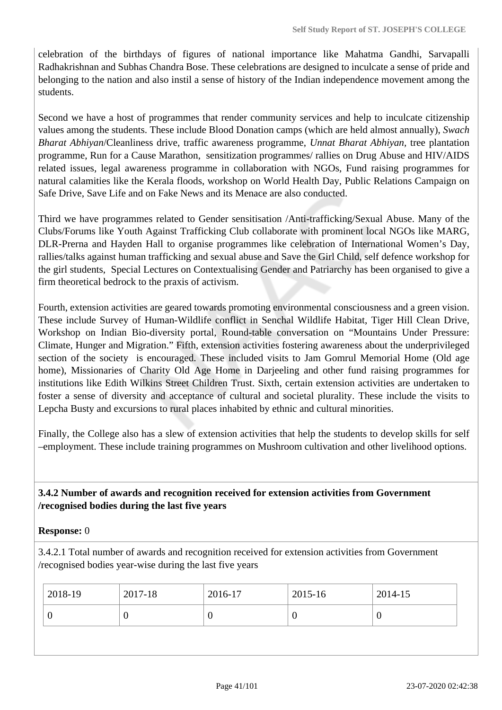celebration of the birthdays of figures of national importance like Mahatma Gandhi, Sarvapalli Radhakrishnan and Subhas Chandra Bose. These celebrations are designed to inculcate a sense of pride and belonging to the nation and also instil a sense of history of the Indian independence movement among the students.

Second we have a host of programmes that render community services and help to inculcate citizenship values among the students. These include Blood Donation camps (which are held almost annually), *Swach Bharat Abhiyan*/Cleanliness drive, traffic awareness programme, *Unnat Bharat Abhiyan,* tree plantation programme, Run for a Cause Marathon, sensitization programmes/ rallies on Drug Abuse and HIV/AIDS related issues, legal awareness programme in collaboration with NGOs, Fund raising programmes for natural calamities like the Kerala floods, workshop on World Health Day, Public Relations Campaign on Safe Drive, Save Life and on Fake News and its Menace are also conducted.

Third we have programmes related to Gender sensitisation /Anti-trafficking/Sexual Abuse. Many of the Clubs/Forums like Youth Against Trafficking Club collaborate with prominent local NGOs like MARG, DLR-Prerna and Hayden Hall to organise programmes like celebration of International Women's Day, rallies/talks against human trafficking and sexual abuse and Save the Girl Child, self defence workshop for the girl students, Special Lectures on Contextualising Gender and Patriarchy has been organised to give a firm theoretical bedrock to the praxis of activism.

Fourth, extension activities are geared towards promoting environmental consciousness and a green vision. These include Survey of Human-Wildlife conflict in Senchal Wildlife Habitat, Tiger Hill Clean Drive, Workshop on Indian Bio-diversity portal, Round-table conversation on "Mountains Under Pressure: Climate, Hunger and Migration." Fifth, extension activities fostering awareness about the underprivileged section of the society is encouraged. These included visits to Jam Gomrul Memorial Home (Old age home), Missionaries of Charity Old Age Home in Darjeeling and other fund raising programmes for institutions like Edith Wilkins Street Children Trust. Sixth, certain extension activities are undertaken to foster a sense of diversity and acceptance of cultural and societal plurality. These include the visits to Lepcha Busty and excursions to rural places inhabited by ethnic and cultural minorities.

Finally, the College also has a slew of extension activities that help the students to develop skills for self –employment. These include training programmes on Mushroom cultivation and other livelihood options.

 **3.4.2 Number of awards and recognition received for extension activities from Government /recognised bodies during the last five years**

### **Response:** 0

3.4.2.1 Total number of awards and recognition received for extension activities from Government /recognised bodies year-wise during the last five years

| 2018-19 | 2017-18 | 2016-17 | $\frac{12015-16}{ }$ | 2014-15 |
|---------|---------|---------|----------------------|---------|
|         |         |         |                      |         |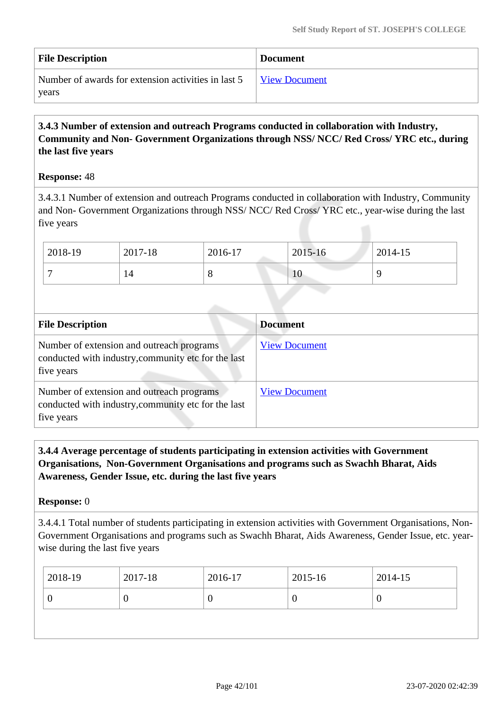| <b>File Description</b>                             | <b>Document</b>      |
|-----------------------------------------------------|----------------------|
| Number of awards for extension activities in last 5 | <b>View Document</b> |
| years                                               |                      |

# **3.4.3 Number of extension and outreach Programs conducted in collaboration with Industry, Community and Non- Government Organizations through NSS/ NCC/ Red Cross/ YRC etc., during the last five years**

### **Response:** 48

3.4.3.1 Number of extension and outreach Programs conducted in collaboration with Industry, Community and Non- Government Organizations through NSS/ NCC/ Red Cross/ YRC etc., year-wise during the last five years

| $2018-19$ | 2017-18 | 2016-17 | 2015-16        | 2014-15 |
|-----------|---------|---------|----------------|---------|
|           | 14      | $\circ$ | 1 <sub>U</sub> |         |

| <b>File Description</b>                                                                                        | <b>Document</b>      |
|----------------------------------------------------------------------------------------------------------------|----------------------|
| Number of extension and outreach programs<br>conducted with industry, community etc for the last<br>five years | <b>View Document</b> |
| Number of extension and outreach programs<br>conducted with industry, community etc for the last<br>five years | <b>View Document</b> |

 **3.4.4 Average percentage of students participating in extension activities with Government Organisations, Non-Government Organisations and programs such as Swachh Bharat, Aids Awareness, Gender Issue, etc. during the last five years**

**Response:** 0

3.4.4.1 Total number of students participating in extension activities with Government Organisations, Non-Government Organisations and programs such as Swachh Bharat, Aids Awareness, Gender Issue, etc. yearwise during the last five years

| 2018-19 | 2017-18 | 2016-17 | 2015-16  | 2014-15 |
|---------|---------|---------|----------|---------|
| U       |         |         | $\theta$ |         |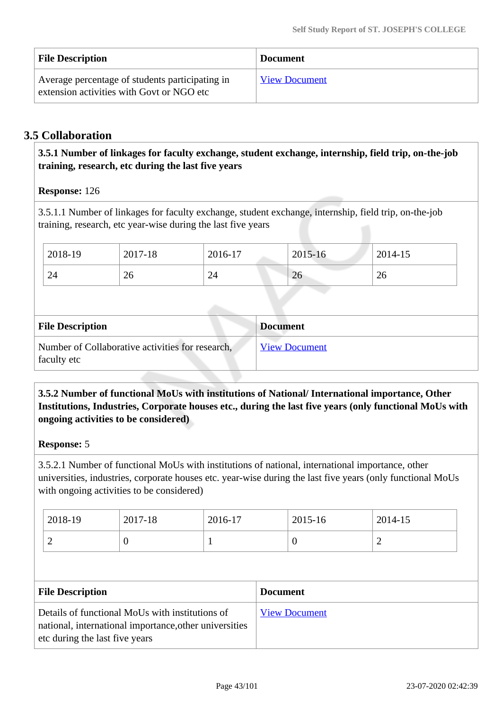| <b>File Description</b>                                                                      | <b>Document</b>      |
|----------------------------------------------------------------------------------------------|----------------------|
| Average percentage of students participating in<br>extension activities with Govt or NGO etc | <b>View Document</b> |

# **3.5 Collaboration**

 **3.5.1 Number of linkages for faculty exchange, student exchange, internship, field trip, on-the-job training, research, etc during the last five years**

# **Response:** 126

3.5.1.1 Number of linkages for faculty exchange, student exchange, internship, field trip, on-the-job training, research, etc year-wise during the last five years

| 2018-19 | 2017-18 | 2016-17 | 2015-16 | 2014-15 |
|---------|---------|---------|---------|---------|
| 24      | 26      | 24      | 26      | 26      |

| <b>File Description</b>                                         | <b>Document</b>      |
|-----------------------------------------------------------------|----------------------|
| Number of Collaborative activities for research,<br>faculty etc | <b>View Document</b> |

# **3.5.2 Number of functional MoUs with institutions of National/ International importance, Other Institutions, Industries, Corporate houses etc., during the last five years (only functional MoUs with ongoing activities to be considered)**

### **Response:** 5

3.5.2.1 Number of functional MoUs with institutions of national, international importance, other universities, industries, corporate houses etc. year-wise during the last five years (only functional MoUs with ongoing activities to be considered)

| 2018-19 | 2017-18 | 2016-17 | 2015-16 | 2014-15 |
|---------|---------|---------|---------|---------|
| ∼       |         |         | ◡       | -       |

| <b>File Description</b>                                                                                                                     | <b>Document</b>      |
|---------------------------------------------------------------------------------------------------------------------------------------------|----------------------|
| Details of functional MoUs with institutions of<br>national, international importance, other universities<br>etc during the last five years | <b>View Document</b> |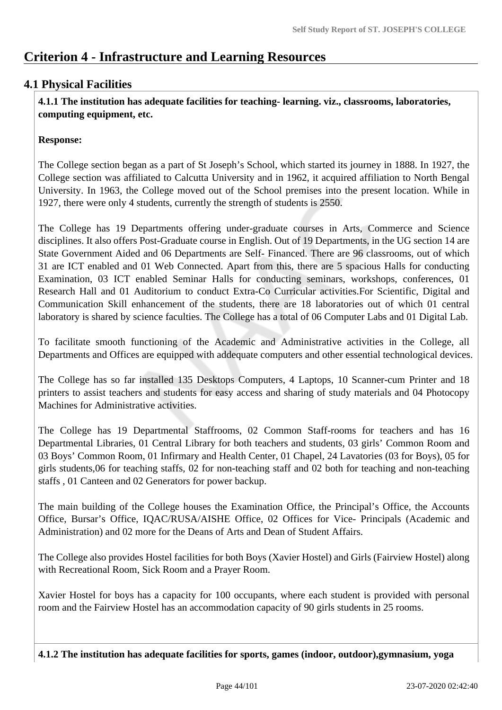# **Criterion 4 - Infrastructure and Learning Resources**

# **4.1 Physical Facilities**

 **4.1.1 The institution has adequate facilities for teaching- learning. viz., classrooms, laboratories, computing equipment, etc.**

# **Response:**

The College section began as a part of St Joseph's School, which started its journey in 1888. In 1927, the College section was affiliated to Calcutta University and in 1962, it acquired affiliation to North Bengal University. In 1963, the College moved out of the School premises into the present location. While in 1927, there were only 4 students, currently the strength of students is 2550.

The College has 19 Departments offering under-graduate courses in Arts, Commerce and Science disciplines. It also offers Post-Graduate course in English. Out of 19 Departments, in the UG section 14 are State Government Aided and 06 Departments are Self- Financed. There are 96 classrooms, out of which 31 are ICT enabled and 01 Web Connected. Apart from this, there are 5 spacious Halls for conducting Examination, 03 ICT enabled Seminar Halls for conducting seminars, workshops, conferences, 01 Research Hall and 01 Auditorium to conduct Extra-Co Curricular activities.For Scientific, Digital and Communication Skill enhancement of the students, there are 18 laboratories out of which 01 central laboratory is shared by science faculties. The College has a total of 06 Computer Labs and 01 Digital Lab.

To facilitate smooth functioning of the Academic and Administrative activities in the College, all Departments and Offices are equipped with addequate computers and other essential technological devices.

The College has so far installed 135 Desktops Computers, 4 Laptops, 10 Scanner-cum Printer and 18 printers to assist teachers and students for easy access and sharing of study materials and 04 Photocopy Machines for Administrative activities.

The College has 19 Departmental Staffrooms, 02 Common Staff-rooms for teachers and has 16 Departmental Libraries, 01 Central Library for both teachers and students, 03 girls' Common Room and 03 Boys' Common Room, 01 Infirmary and Health Center, 01 Chapel, 24 Lavatories (03 for Boys), 05 for girls students,06 for teaching staffs, 02 for non-teaching staff and 02 both for teaching and non-teaching staffs , 01 Canteen and 02 Generators for power backup.

The main building of the College houses the Examination Office, the Principal's Office, the Accounts Office, Bursar's Office, IQAC/RUSA/AISHE Office, 02 Offices for Vice- Principals (Academic and Administration) and 02 more for the Deans of Arts and Dean of Student Affairs.

The College also provides Hostel facilities for both Boys (Xavier Hostel) and Girls (Fairview Hostel) along with Recreational Room, Sick Room and a Prayer Room.

Xavier Hostel for boys has a capacity for 100 occupants, where each student is provided with personal room and the Fairview Hostel has an accommodation capacity of 90 girls students in 25 rooms.

**4.1.2 The institution has adequate facilities for sports, games (indoor, outdoor),gymnasium, yoga**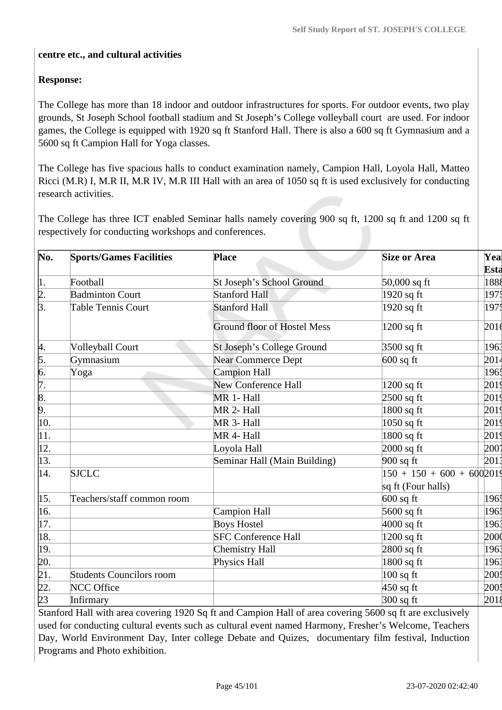### **centre etc., and cultural activities**

# **Response:**

The College has more than 18 indoor and outdoor infrastructures for sports. For outdoor events, two play grounds, St Joseph School football stadium and St Joseph's College volleyball court are used. For indoor games, the College is equipped with 1920 sq ft Stanford Hall. There is also a 600 sq ft Gymnasium and a 5600 sq ft Campion Hall for Yoga classes.

The College has five spacious halls to conduct examination namely, Campion Hall, Loyola Hall, Matteo Ricci (M.R) I, M.R II, M.R IV, M.R III Hall with an area of 1050 sq ft is used exclusively for conducting research activities.

The College has three ICT enabled Seminar halls namely covering 900 sq ft, 1200 sq ft and 1200 sq ft respectively for conducting workshops and conferences.

| No.                                | <b>Sports/Games Facilities</b>  | <b>Place</b>                       | <b>Size or Area</b>         | Yea<br>Esta      |
|------------------------------------|---------------------------------|------------------------------------|-----------------------------|------------------|
| 1.                                 | Football                        | St Joseph's School Ground          | $50,000$ sq ft              | 1888             |
|                                    | <b>Badminton Court</b>          | <b>Stanford Hall</b>               | $1920$ sq ft                | 1975             |
| $\frac{2}{3}$ .                    | <b>Table Tennis Court</b>       | <b>Stanford Hall</b>               | 1920 sq ft                  | 1975             |
|                                    |                                 | <b>Ground floor of Hostel Mess</b> | $1200$ sq ft                | 201 <sub>6</sub> |
| þ.                                 | <b>Volleyball Court</b>         | St Joseph's College Ground         | $3500$ sq ft                | 1963             |
|                                    | Gymnasium                       | <b>Near Commerce Dept</b>          | $600$ sq ft                 | 2014             |
| $\frac{5}{6}$ .<br>$\frac{6}{7}$ . | Yoga                            | <b>Campion Hall</b>                |                             | 1965             |
|                                    |                                 | New Conference Hall                | $1200$ sq ft                | 2019             |
| $\frac{8}{9}$ .                    |                                 | MR 1- Hall                         | $2500$ sq ft                | 2019             |
|                                    |                                 | MR 2- Hall                         | $1800$ sq ft                | 2019             |
| 10.                                |                                 | MR 3- Hall                         | $1050$ sq ft                | 2019             |
| 11.                                |                                 | MR 4- Hall                         | $1800$ sq ft                | 2019             |
| 12.                                |                                 | Loyola Hall                        | $2000$ sq ft                | 2001             |
| $\vert 13. \vert$                  |                                 | Seminar Hall (Main Building)       | $900$ sq ft                 | 2013             |
| 14.                                | <b>SJCLC</b>                    |                                    | $150 + 150 + 600 + 6002019$ |                  |
|                                    |                                 |                                    | sq ft (Four halls)          |                  |
| 15.                                | Teachers/staff common room      |                                    | $600$ sq ft                 | 1965             |
| 16.                                |                                 | Campion Hall                       | $5600$ sq ft                | 1965             |
| 17.                                |                                 | <b>Boys Hostel</b>                 | $4000$ sq ft                | 1963             |
| 18.                                |                                 | <b>SFC Conference Hall</b>         | $1200$ sq ft                | 2000             |
| 19.                                |                                 | Chemistry Hall                     | $2800$ sq ft                | 1961             |
| 20.                                |                                 | Physics Hall                       | $1800$ sq ft                | 1963             |
| $\overline{21}$ .                  | <b>Students Councilors room</b> |                                    | $100$ sq ft                 | 2001             |
| 22.                                | NCC Office                      |                                    | $450$ sq ft                 | 2005             |
| $\overline{23}$                    | Infirmary                       |                                    | $300$ sq ft                 | 2018             |

Stanford Hall with area covering 1920 Sq ft and Campion Hall of area covering 5600 sq ft are exclusively used for conducting cultural events such as cultural event named Harmony, Fresher's Welcome, Teachers Day, World Environment Day, Inter college Debate and Quizes, documentary film festival, Induction Programs and Photo exhibition.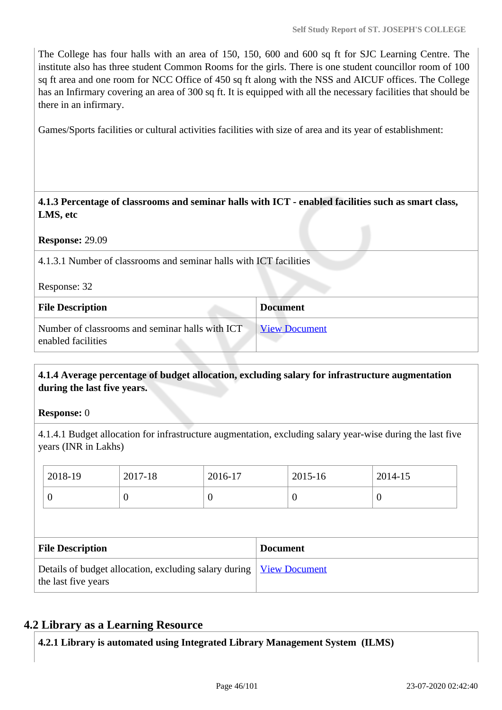The College has four halls with an area of 150, 150, 600 and 600 sq ft for SJC Learning Centre. The institute also has three student Common Rooms for the girls. There is one student councillor room of 100 sq ft area and one room for NCC Office of 450 sq ft along with the NSS and AICUF offices. The College has an Infirmary covering an area of 300 sq ft. It is equipped with all the necessary facilities that should be there in an infirmary.

Games/Sports facilities or cultural activities facilities with size of area and its year of establishment:

 **4.1.3 Percentage of classrooms and seminar halls with ICT - enabled facilities such as smart class, LMS, etc**

#### **Response:** 29.09

4.1.3.1 Number of classrooms and seminar halls with ICT facilities

Response: 32

| <b>File Description</b>                                               | <b>Document</b>      |
|-----------------------------------------------------------------------|----------------------|
| Number of classrooms and seminar halls with ICT<br>enabled facilities | <b>View Document</b> |

### **4.1.4 Average percentage of budget allocation, excluding salary for infrastructure augmentation during the last five years.**

#### **Response:** 0

4.1.4.1 Budget allocation for infrastructure augmentation, excluding salary year-wise during the last five years (INR in Lakhs)

| 2018-19                                                                      | 2017-18  | 2016-17  |  | 2015-16              | 2014-15  |  |
|------------------------------------------------------------------------------|----------|----------|--|----------------------|----------|--|
| 0                                                                            | $\theta$ | $\theta$ |  | $\bf{0}$             | $\theta$ |  |
|                                                                              |          |          |  |                      |          |  |
| <b>File Description</b><br><b>Document</b>                                   |          |          |  |                      |          |  |
| Details of budget allocation, excluding salary during<br>the last five years |          |          |  | <b>View Document</b> |          |  |

### **4.2 Library as a Learning Resource**

**4.2.1 Library is automated using Integrated Library Management System (ILMS)**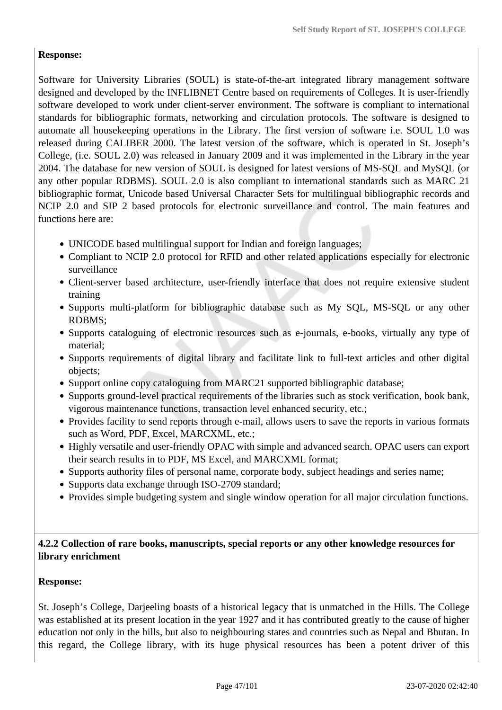# **Response:**

Software for University Libraries (SOUL) is state-of-the-art integrated library management software designed and developed by the INFLIBNET Centre based on requirements of Colleges. It is user-friendly software developed to work under client-server environment. The software is compliant to international standards for bibliographic formats, networking and circulation protocols. The software is designed to automate all housekeeping operations in the Library. The first version of software i.e. SOUL 1.0 was released during CALIBER 2000. The latest version of the software, which is operated in St. Joseph's College, (i.e. SOUL 2.0) was released in January 2009 and it was implemented in the Library in the year 2004. The database for new version of SOUL is designed for latest versions of MS-SQL and MySQL (or any other popular RDBMS). SOUL 2.0 is also compliant to international standards such as MARC 21 bibliographic format, Unicode based Universal Character Sets for multilingual bibliographic records and NCIP 2.0 and SIP 2 based protocols for electronic surveillance and control. The main features and functions here are:

- UNICODE based multilingual support for Indian and foreign languages;
- Compliant to NCIP 2.0 protocol for RFID and other related applications especially for electronic surveillance
- Client-server based architecture, user-friendly interface that does not require extensive student training
- Supports multi-platform for bibliographic database such as My SQL, MS-SQL or any other RDBMS;
- Supports cataloguing of electronic resources such as e-journals, e-books, virtually any type of material;
- Supports requirements of digital library and facilitate link to full-text articles and other digital objects;
- Support online copy cataloguing from MARC21 supported bibliographic database;
- Supports ground-level practical requirements of the libraries such as stock verification, book bank, vigorous maintenance functions, transaction level enhanced security, etc.;
- Provides facility to send reports through e-mail, allows users to save the reports in various formats such as Word, PDF, Excel, MARCXML, etc.;
- Highly versatile and user-friendly OPAC with simple and advanced search. OPAC users can export their search results in to PDF, MS Excel, and MARCXML format;
- Supports authority files of personal name, corporate body, subject headings and series name;
- Supports data exchange through ISO-2709 standard;
- Provides simple budgeting system and single window operation for all major circulation functions.

# **4.2.2 Collection of rare books, manuscripts, special reports or any other knowledge resources for library enrichment**

### **Response:**

St. Joseph's College, Darjeeling boasts of a historical legacy that is unmatched in the Hills. The College was established at its present location in the year 1927 and it has contributed greatly to the cause of higher education not only in the hills, but also to neighbouring states and countries such as Nepal and Bhutan. In this regard, the College library, with its huge physical resources has been a potent driver of this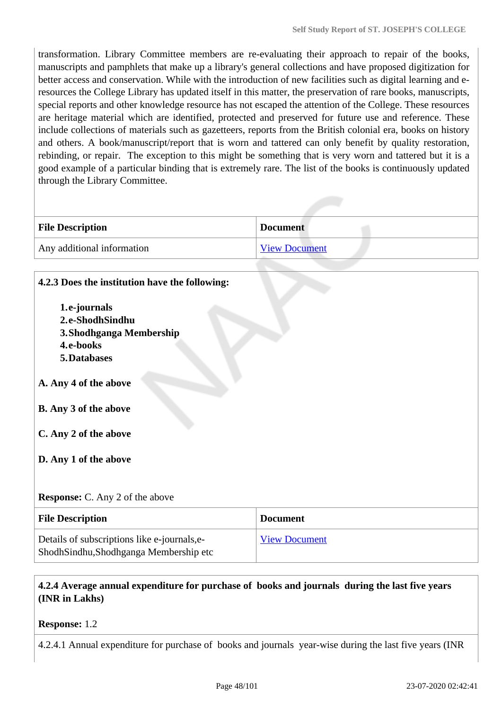transformation. Library Committee members are re-evaluating their approach to repair of the books, manuscripts and pamphlets that make up a library's general collections and have proposed digitization for better access and conservation. While with the introduction of new facilities such as digital learning and eresources the College Library has updated itself in this matter, the preservation of rare books, manuscripts, special reports and other knowledge resource has not escaped the attention of the College. These resources are heritage material which are identified, protected and preserved for future use and reference. These include collections of materials such as gazetteers, reports from the British colonial era, books on history and others. A book/manuscript/report that is worn and tattered can only benefit by quality restoration, rebinding, or repair. The exception to this might be something that is very worn and tattered but it is a good example of a particular binding that is extremely rare. The list of the books is continuously updated through the Library Committee.

| <b>File Description</b>    | <b>Document</b>      |
|----------------------------|----------------------|
| Any additional information | <b>View Document</b> |

| 4.2.3 Does the institution have the following: |                      |
|------------------------------------------------|----------------------|
| 1.e-journals                                   |                      |
| 2.e-ShodhSindhu                                |                      |
| 3. Shodhganga Membership                       |                      |
| 4.e-books                                      |                      |
| 5. Databases                                   |                      |
|                                                |                      |
| A. Any 4 of the above                          |                      |
|                                                |                      |
| <b>B.</b> Any 3 of the above                   |                      |
|                                                |                      |
| C. Any 2 of the above                          |                      |
|                                                |                      |
| D. Any 1 of the above                          |                      |
|                                                |                      |
| <b>Response:</b> C. Any 2 of the above         |                      |
|                                                |                      |
| <b>File Description</b>                        | <b>Document</b>      |
| Details of subscriptions like e-journals,e-    | <b>View Document</b> |
| ShodhSindhu,Shodhganga Membership etc          |                      |

# **4.2.4 Average annual expenditure for purchase of books and journals during the last five years (INR in Lakhs)**

### **Response:** 1.2

4.2.4.1 Annual expenditure for purchase of books and journals year-wise during the last five years (INR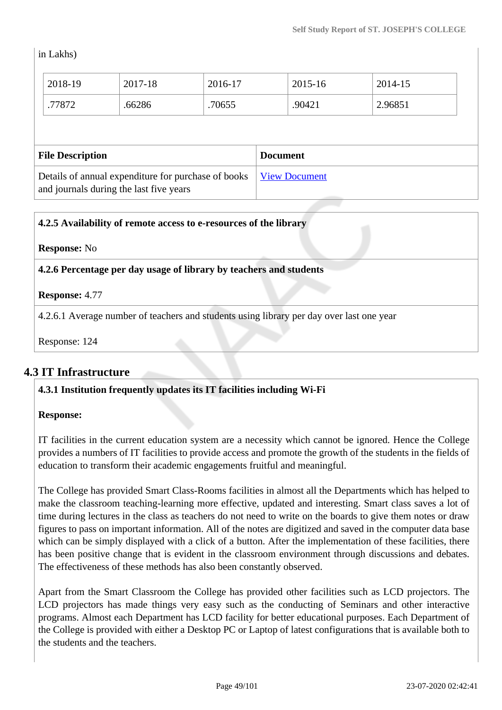in Lakhs)

| Details of annual expenditure for purchase of books<br>and journals during the last five years |         |         | <b>View Document</b> |         |         |  |
|------------------------------------------------------------------------------------------------|---------|---------|----------------------|---------|---------|--|
| <b>File Description</b>                                                                        |         |         | <b>Document</b>      |         |         |  |
|                                                                                                |         |         |                      |         |         |  |
| .77872                                                                                         | .66286  | .70655  |                      | .90421  | 2.96851 |  |
| 2018-19                                                                                        | 2017-18 | 2016-17 |                      | 2015-16 | 2014-15 |  |

| 4.2.5 Availability of remote access to e-resources of the library                        |
|------------------------------------------------------------------------------------------|
| <b>Response:</b> No                                                                      |
| 4.2.6 Percentage per day usage of library by teachers and students                       |
| <b>Response: 4.77</b>                                                                    |
| 4.2.6.1 Average number of teachers and students using library per day over last one year |
| Response: 124                                                                            |

# **4.3 IT Infrastructure**

# **4.3.1 Institution frequently updates its IT facilities including Wi-Fi**

### **Response:**

IT facilities in the current education system are a necessity which cannot be ignored. Hence the College provides a numbers of IT facilities to provide access and promote the growth of the students in the fields of education to transform their academic engagements fruitful and meaningful.

The College has provided Smart Class-Rooms facilities in almost all the Departments which has helped to make the classroom teaching-learning more effective, updated and interesting. Smart class saves a lot of time during lectures in the class as teachers do not need to write on the boards to give them notes or draw figures to pass on important information. All of the notes are digitized and saved in the computer data base which can be simply displayed with a click of a button. After the implementation of these facilities, there has been positive change that is evident in the classroom environment through discussions and debates. The effectiveness of these methods has also been constantly observed.

Apart from the Smart Classroom the College has provided other facilities such as LCD projectors. The LCD projectors has made things very easy such as the conducting of Seminars and other interactive programs. Almost each Department has LCD facility for better educational purposes. Each Department of the College is provided with either a Desktop PC or Laptop of latest configurations that is available both to the students and the teachers.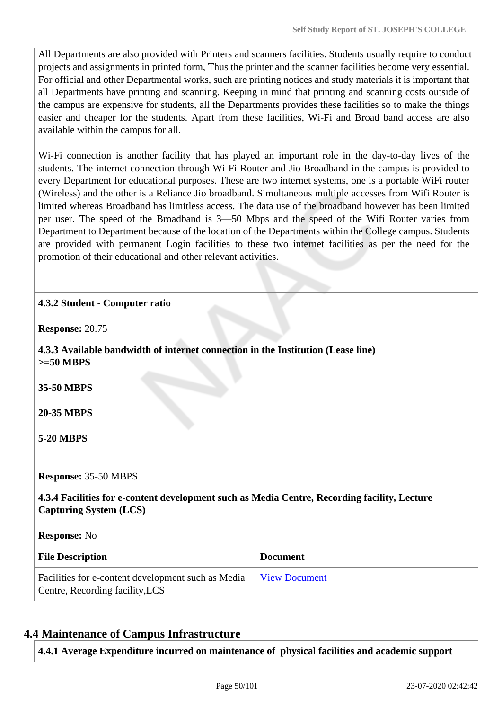All Departments are also provided with Printers and scanners facilities. Students usually require to conduct projects and assignments in printed form, Thus the printer and the scanner facilities become very essential. For official and other Departmental works, such are printing notices and study materials it is important that all Departments have printing and scanning. Keeping in mind that printing and scanning costs outside of the campus are expensive for students, all the Departments provides these facilities so to make the things easier and cheaper for the students. Apart from these facilities, Wi-Fi and Broad band access are also available within the campus for all.

Wi-Fi connection is another facility that has played an important role in the day-to-day lives of the students. The internet connection through Wi-Fi Router and Jio Broadband in the campus is provided to every Department for educational purposes. These are two internet systems, one is a portable WiFi router (Wireless) and the other is a Reliance Jio broadband. Simultaneous multiple accesses from Wifi Router is limited whereas Broadband has limitless access. The data use of the broadband however has been limited per user. The speed of the Broadband is 3—50 Mbps and the speed of the Wifi Router varies from Department to Department because of the location of the Departments within the College campus. Students are provided with permanent Login facilities to these two internet facilities as per the need for the promotion of their educational and other relevant activities.

# **4.3.2 Student - Computer ratio**

**Response:** 20.75

 **4.3.3 Available bandwidth of internet connection in the Institution (Lease line) >=50 MBPS**

**35-50 MBPS**

**20-35 MBPS**

**5-20 MBPS**

**Response:** 35-50 MBPS

 **4.3.4 Facilities for e-content development such as Media Centre, Recording facility, Lecture Capturing System (LCS)**

**Response:** No

| <b>File Description</b>                                                               | <b>Document</b> |
|---------------------------------------------------------------------------------------|-----------------|
| Facilities for e-content development such as Media<br>Centre, Recording facility, LCS | View Document   |

# **4.4 Maintenance of Campus Infrastructure**

**4.4.1 Average Expenditure incurred on maintenance of physical facilities and academic support**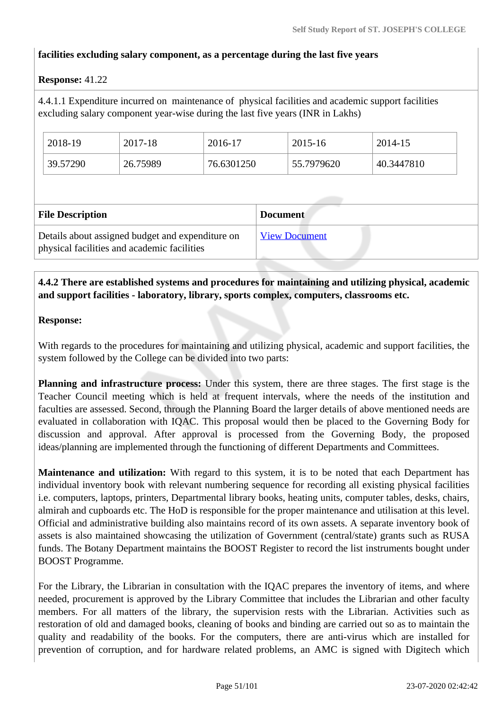# **facilities excluding salary component, as a percentage during the last five years**

### **Response:** 41.22

4.4.1.1 Expenditure incurred on maintenance of physical facilities and academic support facilities excluding salary component year-wise during the last five years (INR in Lakhs)

| 2018-19  | 2017-18  | 2016-17    | 2015-16    | 2014-15    |
|----------|----------|------------|------------|------------|
| 39.57290 | 26.75989 | 76.6301250 | 55.7979620 | 40.3447810 |

| <b>File Description</b>                                                                         | <b>Document</b>      |
|-------------------------------------------------------------------------------------------------|----------------------|
| Details about assigned budget and expenditure on<br>physical facilities and academic facilities | <b>View Document</b> |

# **4.4.2 There are established systems and procedures for maintaining and utilizing physical, academic and support facilities - laboratory, library, sports complex, computers, classrooms etc.**

### **Response:**

With regards to the procedures for maintaining and utilizing physical, academic and support facilities, the system followed by the College can be divided into two parts:

**Planning and infrastructure process:** Under this system, there are three stages. The first stage is the Teacher Council meeting which is held at frequent intervals, where the needs of the institution and faculties are assessed. Second, through the Planning Board the larger details of above mentioned needs are evaluated in collaboration with IQAC. This proposal would then be placed to the Governing Body for discussion and approval. After approval is processed from the Governing Body, the proposed ideas/planning are implemented through the functioning of different Departments and Committees.

**Maintenance and utilization:** With regard to this system, it is to be noted that each Department has individual inventory book with relevant numbering sequence for recording all existing physical facilities i.e. computers, laptops, printers, Departmental library books, heating units, computer tables, desks, chairs, almirah and cupboards etc. The HoD is responsible for the proper maintenance and utilisation at this level. Official and administrative building also maintains record of its own assets. A separate inventory book of assets is also maintained showcasing the utilization of Government (central/state) grants such as RUSA funds. The Botany Department maintains the BOOST Register to record the list instruments bought under BOOST Programme.

For the Library, the Librarian in consultation with the IQAC prepares the inventory of items, and where needed, procurement is approved by the Library Committee that includes the Librarian and other faculty members. For all matters of the library, the supervision rests with the Librarian. Activities such as restoration of old and damaged books, cleaning of books and binding are carried out so as to maintain the quality and readability of the books. For the computers, there are anti-virus which are installed for prevention of corruption, and for hardware related problems, an AMC is signed with Digitech which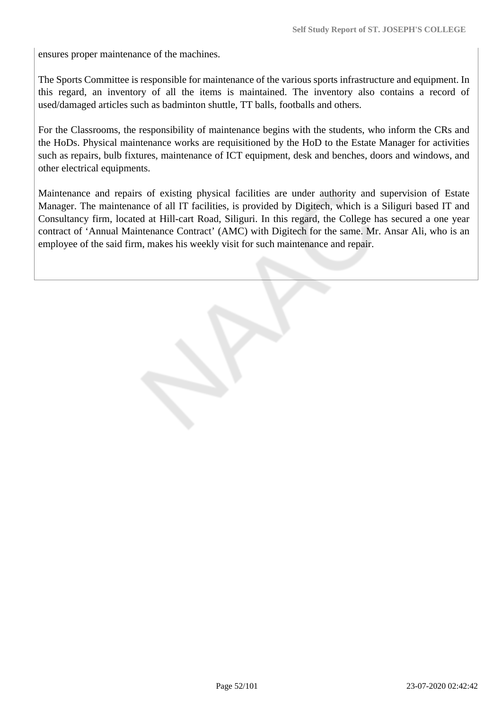ensures proper maintenance of the machines.

The Sports Committee is responsible for maintenance of the various sports infrastructure and equipment. In this regard, an inventory of all the items is maintained. The inventory also contains a record of used/damaged articles such as badminton shuttle, TT balls, footballs and others.

For the Classrooms, the responsibility of maintenance begins with the students, who inform the CRs and the HoDs. Physical maintenance works are requisitioned by the HoD to the Estate Manager for activities such as repairs, bulb fixtures, maintenance of ICT equipment, desk and benches, doors and windows, and other electrical equipments.

Maintenance and repairs of existing physical facilities are under authority and supervision of Estate Manager. The maintenance of all IT facilities, is provided by Digitech, which is a Siliguri based IT and Consultancy firm, located at Hill-cart Road, Siliguri. In this regard, the College has secured a one year contract of 'Annual Maintenance Contract' (AMC) with Digitech for the same. Mr. Ansar Ali, who is an employee of the said firm, makes his weekly visit for such maintenance and repair.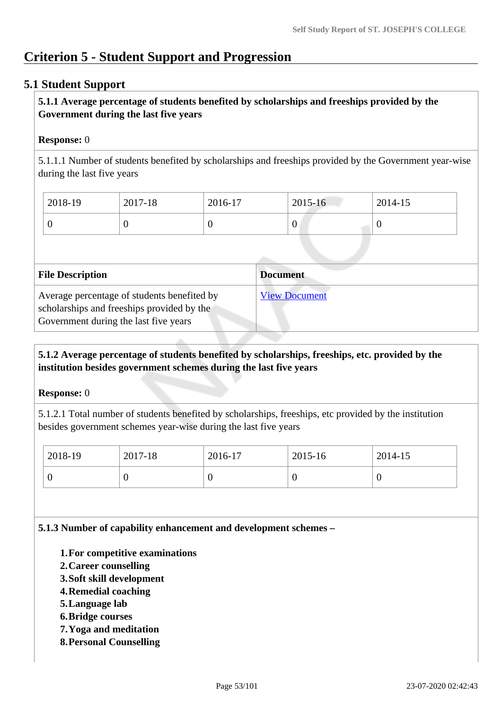# **Criterion 5 - Student Support and Progression**

# **5.1 Student Support**

# **5.1.1 Average percentage of students benefited by scholarships and freeships provided by the Government during the last five years**

### **Response:** 0

5.1.1.1 Number of students benefited by scholarships and freeships provided by the Government year-wise during the last five years

| 2018-19 | 2017-18 | 2016-17 | 2015-16 | 2014-15 |
|---------|---------|---------|---------|---------|
|         |         | U       | v       | ν       |

| <b>File Description</b>                                                                                                            | <b>Document</b>      |
|------------------------------------------------------------------------------------------------------------------------------------|----------------------|
| Average percentage of students benefited by<br>scholarships and freeships provided by the<br>Government during the last five years | <b>View Document</b> |

# **5.1.2 Average percentage of students benefited by scholarships, freeships, etc. provided by the institution besides government schemes during the last five years**

### **Response:** 0

5.1.2.1 Total number of students benefited by scholarships, freeships, etc provided by the institution besides government schemes year-wise during the last five years

| 2018-19 | 2017-18 | 2016-17 | 2015-16 | 2014-15 |
|---------|---------|---------|---------|---------|
|         |         | ν       |         | ν       |

**5.1.3 Number of capability enhancement and development schemes –**

- **1.For competitive examinations**
- **2.Career counselling**
- **3.Soft skill development**
- **4.Remedial coaching**
- **5.Language lab**
- **6.Bridge courses**
- **7.Yoga and meditation**
- **8.Personal Counselling**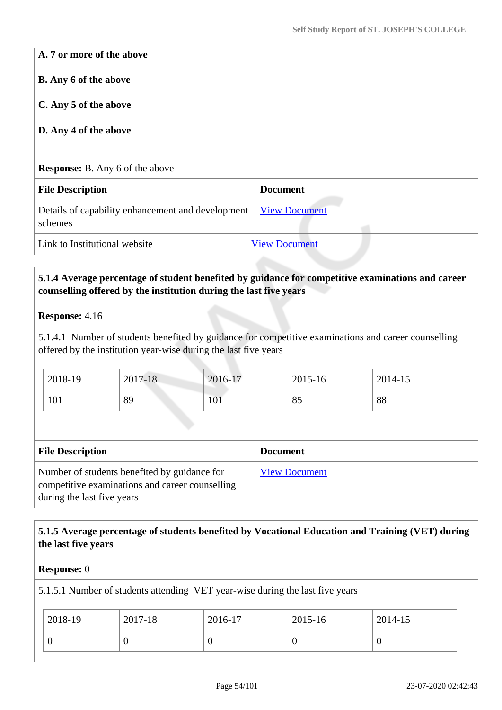**A. 7 or more of the above**

**B. Any 6 of the above**

**C. Any 5 of the above**

### **D. Any 4 of the above**

**Response:** B. Any 6 of the above

| <b>File Description</b>                                                           | <b>Document</b>      |  |
|-----------------------------------------------------------------------------------|----------------------|--|
| Details of capability enhancement and development <u>View Document</u><br>schemes |                      |  |
| Link to Institutional website                                                     | <b>View Document</b> |  |

### **5.1.4 Average percentage of student benefited by guidance for competitive examinations and career counselling offered by the institution during the last five years**

#### **Response:** 4.16

5.1.4.1 Number of students benefited by guidance for competitive examinations and career counselling offered by the institution year-wise during the last five years

| 2018-19 | 2017-18 | 2016-17                | 2015-16          | 2014-15 |  |
|---------|---------|------------------------|------------------|---------|--|
| 101     | 89      | 10 <sup>1</sup><br>101 | $Q\subset$<br>ΟJ | 88      |  |

| <b>File Description</b>                                                                                                       | <b>Document</b>      |
|-------------------------------------------------------------------------------------------------------------------------------|----------------------|
| Number of students benefited by guidance for<br>competitive examinations and career counselling<br>during the last five years | <b>View Document</b> |

# **5.1.5 Average percentage of students benefited by Vocational Education and Training (VET) during the last five years**

#### **Response:** 0

5.1.5.1 Number of students attending VET year-wise during the last five years

| 2018-19 | 2017-18 | 2016-17 | 2015-16 | 2014-15 |
|---------|---------|---------|---------|---------|
|         | ν       |         |         | U       |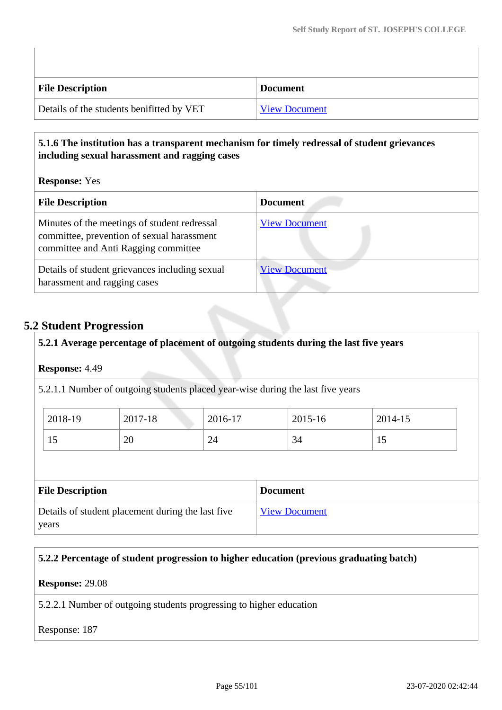| <b>File Description</b>                   | <b>Document</b>      |
|-------------------------------------------|----------------------|
| Details of the students benifitted by VET | <b>View Document</b> |

# **5.1.6 The institution has a transparent mechanism for timely redressal of student grievances including sexual harassment and ragging cases**

**Response:** Yes

| <b>File Description</b>                                                                                                            | <b>Document</b>      |
|------------------------------------------------------------------------------------------------------------------------------------|----------------------|
| Minutes of the meetings of student redressal<br>committee, prevention of sexual harassment<br>committee and Anti Ragging committee | <b>View Document</b> |
| Details of student grievances including sexual<br>harassment and ragging cases                                                     | <b>View Document</b> |

# **5.2 Student Progression**

### **5.2.1 Average percentage of placement of outgoing students during the last five years**

**Response:** 4.49

5.2.1.1 Number of outgoing students placed year-wise during the last five years

| 2018-19  | 2017-18 | 2016-17 | 2015-16 | 2014-15 |
|----------|---------|---------|---------|---------|
| --<br>IJ | 20      | 24      | 34      |         |

| <b>File Description</b>                           | <b>Document</b>      |
|---------------------------------------------------|----------------------|
| Details of student placement during the last five | <b>View Document</b> |
| years                                             |                      |

# **5.2.2 Percentage of student progression to higher education (previous graduating batch)**

**Response:** 29.08

5.2.2.1 Number of outgoing students progressing to higher education

Response: 187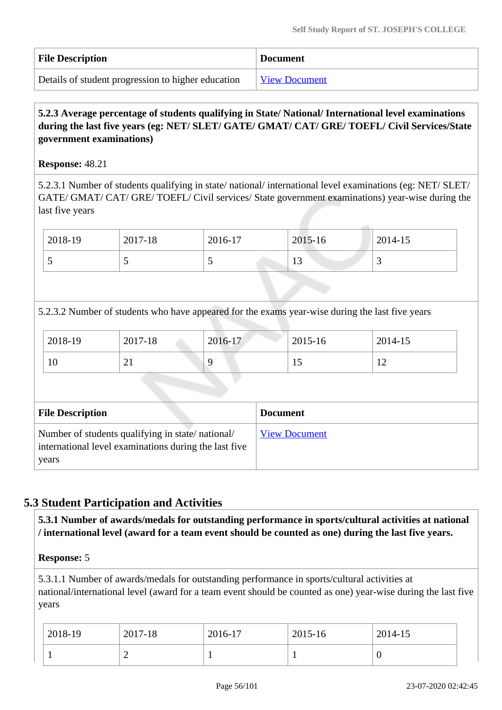| <b>File Description</b>                            | <b>Document</b>      |
|----------------------------------------------------|----------------------|
| Details of student progression to higher education | <b>View Document</b> |

# **5.2.3 Average percentage of students qualifying in State/ National/ International level examinations during the last five years (eg: NET/ SLET/ GATE/ GMAT/ CAT/ GRE/ TOEFL/ Civil Services/State government examinations)**

### **Response:** 48.21

5.2.3.1 Number of students qualifying in state/ national/ international level examinations (eg: NET/ SLET/ GATE/ GMAT/ CAT/ GRE/ TOEFL/ Civil services/ State government examinations) year-wise during the last five years

| 2018-19 | 2017-18 | 2016-17 | 2015-16              | 2014-15 |
|---------|---------|---------|----------------------|---------|
|         |         | ັ       | 1 <sub>2</sub><br>ΙJ | ت       |

5.2.3.2 Number of students who have appeared for the exams year-wise during the last five years

| 2018-19 | 2017-18        | 2016-17 | $2015 - 16$ | 2014-15 |  |
|---------|----------------|---------|-------------|---------|--|
| 10      | $\overline{ }$ |         | IJ          | --      |  |

| <b>File Description</b>                                                                                            | <b>Document</b>      |
|--------------------------------------------------------------------------------------------------------------------|----------------------|
| Number of students qualifying in state/national/<br>international level examinations during the last five<br>years | <b>View Document</b> |

# **5.3 Student Participation and Activities**

 **5.3.1 Number of awards/medals for outstanding performance in sports/cultural activities at national / international level (award for a team event should be counted as one) during the last five years.**

**Response:** 5

5.3.1.1 Number of awards/medals for outstanding performance in sports/cultural activities at national/international level (award for a team event should be counted as one) year-wise during the last five years

| 2018-19 | 2017-18 | 2016-17 | 2015-16 | 2014-15 |
|---------|---------|---------|---------|---------|
|         |         |         |         | ν       |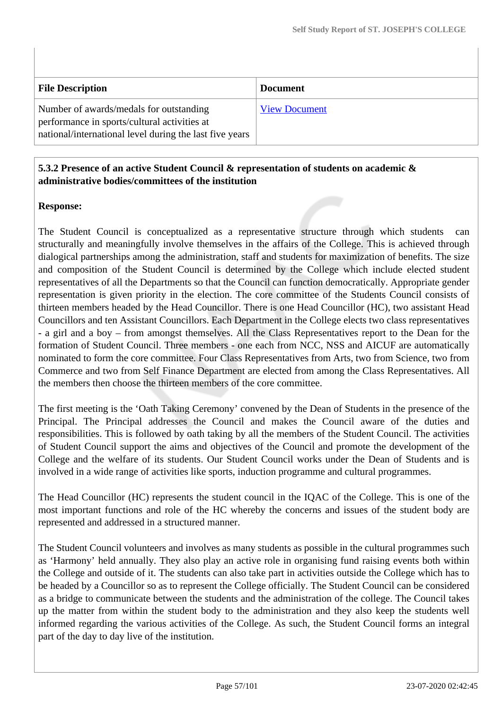| <b>File Description</b>                                                                                                                            | <b>Document</b>      |
|----------------------------------------------------------------------------------------------------------------------------------------------------|----------------------|
| Number of awards/medals for outstanding<br>performance in sports/cultural activities at<br>national/international level during the last five years | <b>View Document</b> |

# **5.3.2 Presence of an active Student Council & representation of students on academic & administrative bodies/committees of the institution**

# **Response:**

The Student Council is conceptualized as a representative structure through which students can structurally and meaningfully involve themselves in the affairs of the College. This is achieved through dialogical partnerships among the administration, staff and students for maximization of benefits. The size and composition of the Student Council is determined by the College which include elected student representatives of all the Departments so that the Council can function democratically. Appropriate gender representation is given priority in the election. The core committee of the Students Council consists of thirteen members headed by the Head Councillor. There is one Head Councillor (HC), two assistant Head Councillors and ten Assistant Councillors. Each Department in the College elects two class representatives - a girl and a boy – from amongst themselves. All the Class Representatives report to the Dean for the formation of Student Council. Three members - one each from NCC, NSS and AICUF are automatically nominated to form the core committee. Four Class Representatives from Arts, two from Science, two from Commerce and two from Self Finance Department are elected from among the Class Representatives. All the members then choose the thirteen members of the core committee.

The first meeting is the 'Oath Taking Ceremony' convened by the Dean of Students in the presence of the Principal. The Principal addresses the Council and makes the Council aware of the duties and responsibilities. This is followed by oath taking by all the members of the Student Council. The activities of Student Council support the aims and objectives of the Council and promote the development of the College and the welfare of its students. Our Student Council works under the Dean of Students and is involved in a wide range of activities like sports, induction programme and cultural programmes.

The Head Councillor (HC) represents the student council in the IQAC of the College. This is one of the most important functions and role of the HC whereby the concerns and issues of the student body are represented and addressed in a structured manner.

The Student Council volunteers and involves as many students as possible in the cultural programmes such as 'Harmony' held annually. They also play an active role in organising fund raising events both within the College and outside of it. The students can also take part in activities outside the College which has to be headed by a Councillor so as to represent the College officially. The Student Council can be considered as a bridge to communicate between the students and the administration of the college. The Council takes up the matter from within the student body to the administration and they also keep the students well informed regarding the various activities of the College. As such, the Student Council forms an integral part of the day to day live of the institution.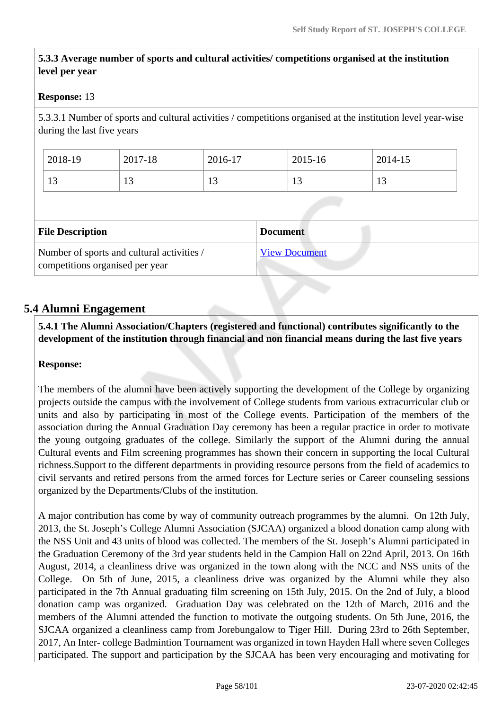# **5.3.3 Average number of sports and cultural activities/ competitions organised at the institution level per year**

### **Response:** 13

5.3.3.1 Number of sports and cultural activities / competitions organised at the institution level year-wise during the last five years

| 2018-19              | 2017-18 | 2016-17 | 2015-16 | 2014-15 |
|----------------------|---------|---------|---------|---------|
| 1 <sub>2</sub><br>⊥ັ | 1J      | ⊥J      | ⊥ J     | ⊥ J     |

| <b>File Description</b>                                                       | <b>Document</b>      |
|-------------------------------------------------------------------------------|----------------------|
| Number of sports and cultural activities /<br>competitions organised per year | <b>View Document</b> |

# **5.4 Alumni Engagement**

 **5.4.1 The Alumni Association/Chapters (registered and functional) contributes significantly to the development of the institution through financial and non financial means during the last five years**

#### **Response:**

The members of the alumni have been actively supporting the development of the College by organizing projects outside the campus with the involvement of College students from various extracurricular club or units and also by participating in most of the College events. Participation of the members of the association during the Annual Graduation Day ceremony has been a regular practice in order to motivate the young outgoing graduates of the college. Similarly the support of the Alumni during the annual Cultural events and Film screening programmes has shown their concern in supporting the local Cultural richness.Support to the different departments in providing resource persons from the field of academics to civil servants and retired persons from the armed forces for Lecture series or Career counseling sessions organized by the Departments/Clubs of the institution.

A major contribution has come by way of community outreach programmes by the alumni. On 12th July, 2013, the St. Joseph's College Alumni Association (SJCAA) organized a blood donation camp along with the NSS Unit and 43 units of blood was collected. The members of the St. Joseph's Alumni participated in the Graduation Ceremony of the 3rd year students held in the Campion Hall on 22nd April, 2013. On 16th August, 2014, a cleanliness drive was organized in the town along with the NCC and NSS units of the College. On 5th of June, 2015, a cleanliness drive was organized by the Alumni while they also participated in the 7th Annual graduating film screening on 15th July, 2015. On the 2nd of July, a blood donation camp was organized. Graduation Day was celebrated on the 12th of March, 2016 and the members of the Alumni attended the function to motivate the outgoing students. On 5th June, 2016, the SJCAA organized a cleanliness camp from Jorebungalow to Tiger Hill. During 23rd to 26th September, 2017, An Inter- college Badmintion Tournament was organized in town Hayden Hall where seven Colleges participated. The support and participation by the SJCAA has been very encouraging and motivating for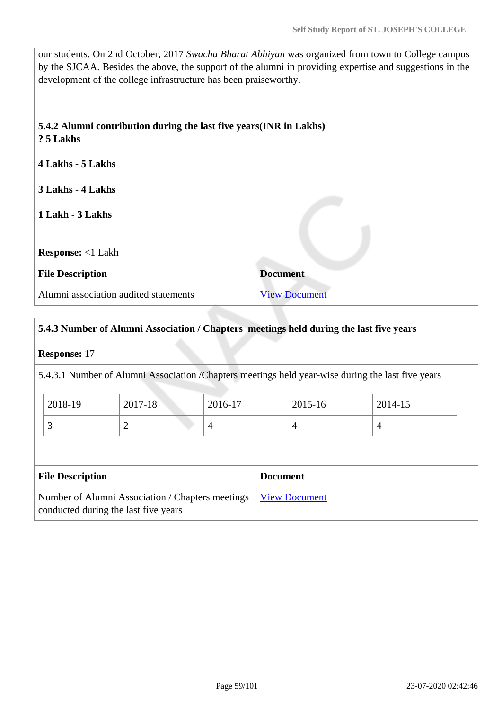our students. On 2nd October, 2017 *Swacha Bharat Abhiyan* was organized from town to College campus by the SJCAA. Besides the above, the support of the alumni in providing expertise and suggestions in the development of the college infrastructure has been praiseworthy.

| ? 5 Lakhs                |  |
|--------------------------|--|
| 4 Lakhs - 5 Lakhs        |  |
| 3 Lakhs - 4 Lakhs        |  |
| 1 Lakh - 3 Lakhs         |  |
|                          |  |
| <b>Response:</b> <1 Lakh |  |

| <b>File Description</b>               | <b>Document</b>      |
|---------------------------------------|----------------------|
| Alumni association audited statements | <b>View Document</b> |

# **5.4.3 Number of Alumni Association / Chapters meetings held during the last five years**

**Response:** 17

5.4.3.1 Number of Alumni Association /Chapters meetings held year-wise during the last five years

| 2018-19 | 2017-18  | 2016-17 | 2015-16 | 2014-15 |
|---------|----------|---------|---------|---------|
| ັ       | <b>_</b> |         | 4       |         |

| <b>File Description</b>                                                                                  | <b>Document</b> |
|----------------------------------------------------------------------------------------------------------|-----------------|
| Number of Alumni Association / Chapters meetings   View Document<br>conducted during the last five years |                 |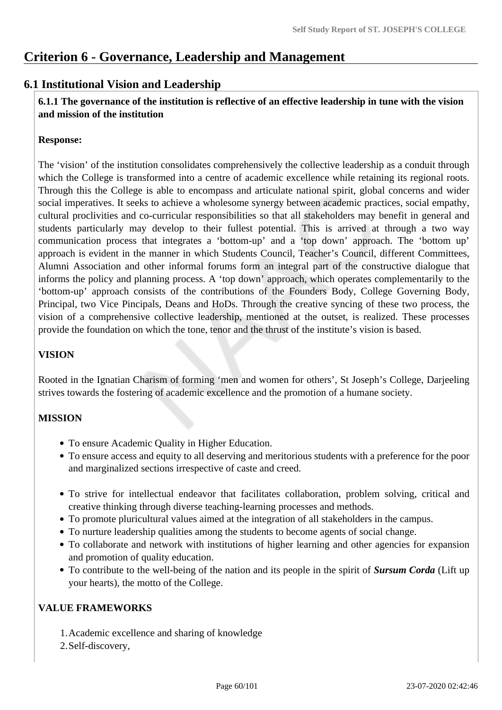# **Criterion 6 - Governance, Leadership and Management**

# **6.1 Institutional Vision and Leadership**

 **6.1.1 The governance of the institution is reflective of an effective leadership in tune with the vision and mission of the institution**

### **Response:**

The 'vision' of the institution consolidates comprehensively the collective leadership as a conduit through which the College is transformed into a centre of academic excellence while retaining its regional roots. Through this the College is able to encompass and articulate national spirit, global concerns and wider social imperatives. It seeks to achieve a wholesome synergy between academic practices, social empathy, cultural proclivities and co-curricular responsibilities so that all stakeholders may benefit in general and students particularly may develop to their fullest potential. This is arrived at through a two way communication process that integrates a 'bottom-up' and a 'top down' approach. The 'bottom up' approach is evident in the manner in which Students Council, Teacher's Council, different Committees, Alumni Association and other informal forums form an integral part of the constructive dialogue that informs the policy and planning process. A 'top down' approach, which operates complementarily to the 'bottom-up' approach consists of the contributions of the Founders Body, College Governing Body, Principal, two Vice Pincipals, Deans and HoDs. Through the creative syncing of these two process, the vision of a comprehensive collective leadership, mentioned at the outset, is realized. These processes provide the foundation on which the tone, tenor and the thrust of the institute's vision is based.

# **VISION**

Rooted in the Ignatian Charism of forming 'men and women for others', St Joseph's College, Darjeeling strives towards the fostering of academic excellence and the promotion of a humane society.

# **MISSION**

- To ensure Academic Quality in Higher Education.
- To ensure access and equity to all deserving and meritorious students with a preference for the poor and marginalized sections irrespective of caste and creed.
- To strive for intellectual endeavor that facilitates collaboration, problem solving, critical and creative thinking through diverse teaching-learning processes and methods.
- To promote pluricultural values aimed at the integration of all stakeholders in the campus.
- To nurture leadership qualities among the students to become agents of social change.
- To collaborate and network with institutions of higher learning and other agencies for expansion and promotion of quality education.
- To contribute to the well-being of the nation and its people in the spirit of *Sursum Corda* (Lift up your hearts), the motto of the College.

### **VALUE FRAMEWORKS**

- 1.Academic excellence and sharing of knowledge
- 2.Self-discovery,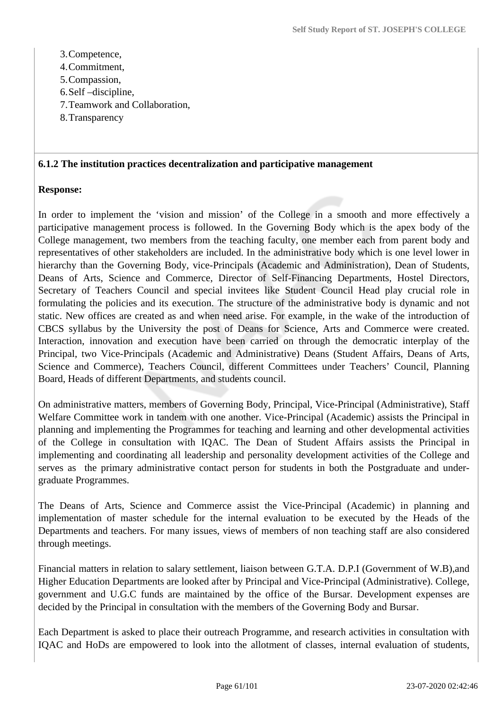- 3.Competence,
- 4.Commitment,
- 5.Compassion,
- 6.Self –discipline,
- 7.Teamwork and Collaboration,
- 8.Transparency

#### **6.1.2 The institution practices decentralization and participative management**

### **Response:**

In order to implement the 'vision and mission' of the College in a smooth and more effectively a participative management process is followed. In the Governing Body which is the apex body of the College management, two members from the teaching faculty, one member each from parent body and representatives of other stakeholders are included. In the administrative body which is one level lower in hierarchy than the Governing Body, vice-Principals (Academic and Administration), Dean of Students, Deans of Arts, Science and Commerce, Director of Self-Financing Departments, Hostel Directors, Secretary of Teachers Council and special invitees like Student Council Head play crucial role in formulating the policies and its execution. The structure of the administrative body is dynamic and not static. New offices are created as and when need arise. For example, in the wake of the introduction of CBCS syllabus by the University the post of Deans for Science, Arts and Commerce were created. Interaction, innovation and execution have been carried on through the democratic interplay of the Principal, two Vice-Principals (Academic and Administrative) Deans (Student Affairs, Deans of Arts, Science and Commerce), Teachers Council, different Committees under Teachers' Council, Planning Board, Heads of different Departments, and students council.

On administrative matters, members of Governing Body, Principal, Vice-Principal (Administrative), Staff Welfare Committee work in tandem with one another. Vice-Principal (Academic) assists the Principal in planning and implementing the Programmes for teaching and learning and other developmental activities of the College in consultation with IQAC. The Dean of Student Affairs assists the Principal in implementing and coordinating all leadership and personality development activities of the College and serves as the primary administrative contact person for students in both the Postgraduate and undergraduate Programmes.

The Deans of Arts, Science and Commerce assist the Vice-Principal (Academic) in planning and implementation of master schedule for the internal evaluation to be executed by the Heads of the Departments and teachers. For many issues, views of members of non teaching staff are also considered through meetings.

Financial matters in relation to salary settlement, liaison between G.T.A. D.P.I (Government of W.B),and Higher Education Departments are looked after by Principal and Vice-Principal (Administrative). College, government and U.G.C funds are maintained by the office of the Bursar. Development expenses are decided by the Principal in consultation with the members of the Governing Body and Bursar.

Each Department is asked to place their outreach Programme, and research activities in consultation with IQAC and HoDs are empowered to look into the allotment of classes, internal evaluation of students,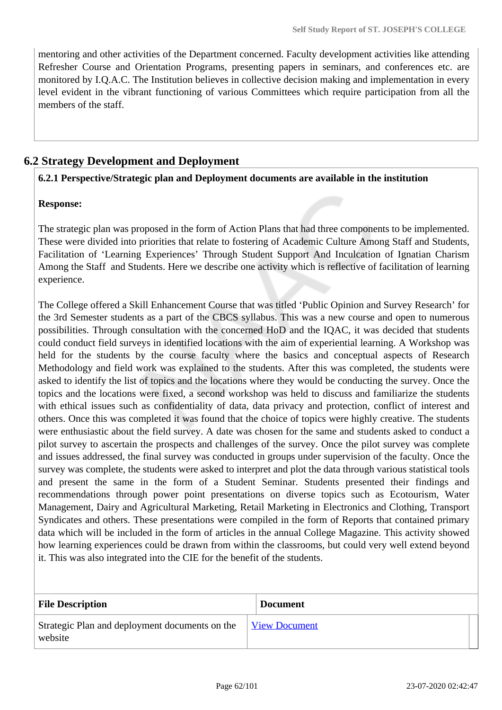mentoring and other activities of the Department concerned. Faculty development activities like attending Refresher Course and Orientation Programs, presenting papers in seminars, and conferences etc. are monitored by I.Q.A.C. The Institution believes in collective decision making and implementation in every level evident in the vibrant functioning of various Committees which require participation from all the members of the staff.

# **6.2 Strategy Development and Deployment**

### **6.2.1 Perspective/Strategic plan and Deployment documents are available in the institution**

# **Response:**

The strategic plan was proposed in the form of Action Plans that had three components to be implemented. These were divided into priorities that relate to fostering of Academic Culture Among Staff and Students, Facilitation of 'Learning Experiences' Through Student Support And Inculcation of Ignatian Charism Among the Staff and Students. Here we describe one activity which is reflective of facilitation of learning experience.

The College offered a Skill Enhancement Course that was titled 'Public Opinion and Survey Research' for the 3rd Semester students as a part of the CBCS syllabus. This was a new course and open to numerous possibilities. Through consultation with the concerned HoD and the IQAC, it was decided that students could conduct field surveys in identified locations with the aim of experiential learning. A Workshop was held for the students by the course faculty where the basics and conceptual aspects of Research Methodology and field work was explained to the students. After this was completed, the students were asked to identify the list of topics and the locations where they would be conducting the survey. Once the topics and the locations were fixed, a second workshop was held to discuss and familiarize the students with ethical issues such as confidentiality of data, data privacy and protection, conflict of interest and others. Once this was completed it was found that the choice of topics were highly creative. The students were enthusiastic about the field survey. A date was chosen for the same and students asked to conduct a pilot survey to ascertain the prospects and challenges of the survey. Once the pilot survey was complete and issues addressed, the final survey was conducted in groups under supervision of the faculty. Once the survey was complete, the students were asked to interpret and plot the data through various statistical tools and present the same in the form of a Student Seminar. Students presented their findings and recommendations through power point presentations on diverse topics such as Ecotourism, Water Management, Dairy and Agricultural Marketing, Retail Marketing in Electronics and Clothing, Transport Syndicates and others. These presentations were compiled in the form of Reports that contained primary data which will be included in the form of articles in the annual College Magazine. This activity showed how learning experiences could be drawn from within the classrooms, but could very well extend beyond it. This was also integrated into the CIE for the benefit of the students.

| <b>File Description</b>                                   | <b>Document</b>      |
|-----------------------------------------------------------|----------------------|
| Strategic Plan and deployment documents on the<br>website | <b>View Document</b> |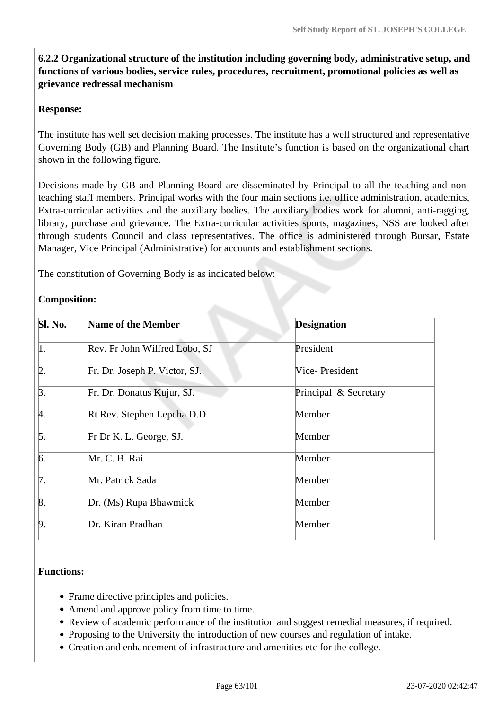**6.2.2 Organizational structure of the institution including governing body, administrative setup, and functions of various bodies, service rules, procedures, recruitment, promotional policies as well as grievance redressal mechanism**

### **Response:**

The institute has well set decision making processes. The institute has a well structured and representative Governing Body (GB) and Planning Board. The Institute's function is based on the organizational chart shown in the following figure.

Decisions made by GB and Planning Board are disseminated by Principal to all the teaching and nonteaching staff members. Principal works with the four main sections i.e. office administration, academics, Extra-curricular activities and the auxiliary bodies. The auxiliary bodies work for alumni, anti-ragging, library, purchase and grievance. The Extra-curricular activities sports, magazines, NSS are looked after through students Council and class representatives. The office is administered through Bursar, Estate Manager, Vice Principal (Administrative) for accounts and establishment sections.

The constitution of Governing Body is as indicated below:

### **Composition:**

| Sl. No.          | <b>Name of the Member</b>     | <b>Designation</b>    |
|------------------|-------------------------------|-----------------------|
| 1.               | Rev. Fr John Wilfred Lobo, SJ | President             |
| $\overline{2}$ . | Fr. Dr. Joseph P. Victor, SJ. | Vice-President        |
| $\beta$ .        | Fr. Dr. Donatus Kujur, SJ.    | Principal & Secretary |
| 4.               | Rt Rev. Stephen Lepcha D.D    | Member                |
| 5.               | Fr Dr K. L. George, SJ.       | Member                |
| 6.               | Mr. C. B. Rai                 | Member                |
| 7.               | Mr. Patrick Sada              | Member                |
| 8.               | Dr. (Ms) Rupa Bhawmick        | Member                |
| $\overline{9}$ . | Dr. Kiran Pradhan             | Member                |

### **Functions:**

- Frame directive principles and policies.
- Amend and approve policy from time to time.
- Review of academic performance of the institution and suggest remedial measures, if required.
- Proposing to the University the introduction of new courses and regulation of intake.
- Creation and enhancement of infrastructure and amenities etc for the college.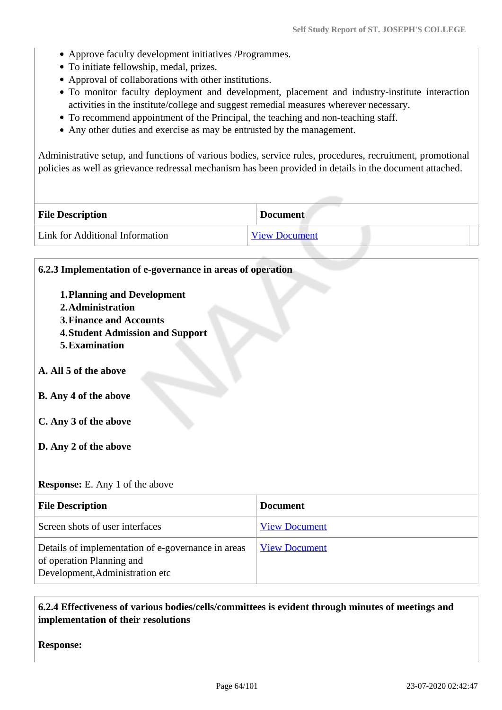- Approve faculty development initiatives /Programmes.
- To initiate fellowship, medal, prizes.
- Approval of collaborations with other institutions.
- To monitor faculty deployment and development, placement and industry-institute interaction activities in the institute/college and suggest remedial measures wherever necessary.
- To recommend appointment of the Principal, the teaching and non-teaching staff.
- Any other duties and exercise as may be entrusted by the management.

Administrative setup, and functions of various bodies, service rules, procedures, recruitment, promotional policies as well as grievance redressal mechanism has been provided in details in the document attached.

| <b>File Description</b>         | <b>Document</b>      |
|---------------------------------|----------------------|
| Link for Additional Information | <b>View Document</b> |

| 6.2.3 Implementation of e-governance in areas of operation                                                                                             |                      |  |
|--------------------------------------------------------------------------------------------------------------------------------------------------------|----------------------|--|
| <b>1. Planning and Development</b><br>2. Administration<br><b>3. Finance and Accounts</b><br><b>4. Student Admission and Support</b><br>5. Examination |                      |  |
| A. All 5 of the above                                                                                                                                  |                      |  |
| <b>B.</b> Any 4 of the above                                                                                                                           |                      |  |
| C. Any 3 of the above                                                                                                                                  |                      |  |
| D. Any 2 of the above                                                                                                                                  |                      |  |
| <b>Response:</b> E. Any 1 of the above                                                                                                                 |                      |  |
| <b>File Description</b>                                                                                                                                | <b>Document</b>      |  |
| Screen shots of user interfaces                                                                                                                        | <b>View Document</b> |  |
| Details of implementation of e-governance in areas<br>of operation Planning and<br>Development, Administration etc                                     | <b>View Document</b> |  |

# **6.2.4 Effectiveness of various bodies/cells/committees is evident through minutes of meetings and implementation of their resolutions**

**Response:**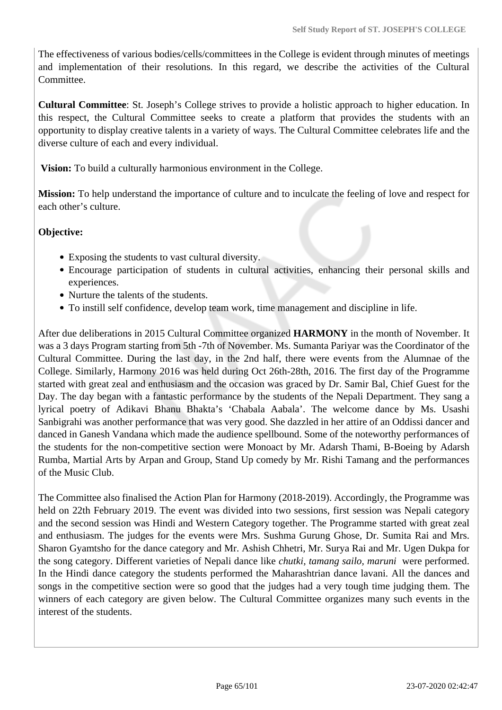The effectiveness of various bodies/cells/committees in the College is evident through minutes of meetings and implementation of their resolutions. In this regard, we describe the activities of the Cultural Committee.

**Cultural Committee**: St. Joseph's College strives to provide a holistic approach to higher education. In this respect, the Cultural Committee seeks to create a platform that provides the students with an opportunity to display creative talents in a variety of ways. The Cultural Committee celebrates life and the diverse culture of each and every individual.

**Vision:** To build a culturally harmonious environment in the College.

**Mission:** To help understand the importance of culture and to inculcate the feeling of love and respect for each other's culture.

# **Objective:**

- Exposing the students to vast cultural diversity.
- Encourage participation of students in cultural activities, enhancing their personal skills and experiences.
- Nurture the talents of the students.
- To instill self confidence, develop team work, time management and discipline in life.

After due deliberations in 2015 Cultural Committee organized **HARMONY** in the month of November. It was a 3 days Program starting from 5th -7th of November. Ms. Sumanta Pariyar was the Coordinator of the Cultural Committee. During the last day, in the 2nd half, there were events from the Alumnae of the College. Similarly, Harmony 2016 was held during Oct 26th-28th, 2016. The first day of the Programme started with great zeal and enthusiasm and the occasion was graced by Dr. Samir Bal, Chief Guest for the Day. The day began with a fantastic performance by the students of the Nepali Department. They sang a lyrical poetry of Adikavi Bhanu Bhakta's 'Chabala Aabala'. The welcome dance by Ms. Usashi Sanbigrahi was another performance that was very good. She dazzled in her attire of an Oddissi dancer and danced in Ganesh Vandana which made the audience spellbound. Some of the noteworthy performances of the students for the non-competitive section were Monoact by Mr. Adarsh Thami, B-Boeing by Adarsh Rumba, Martial Arts by Arpan and Group, Stand Up comedy by Mr. Rishi Tamang and the performances of the Music Club.

The Committee also finalised the Action Plan for Harmony (2018-2019). Accordingly, the Programme was held on 22th February 2019. The event was divided into two sessions, first session was Nepali category and the second session was Hindi and Western Category together. The Programme started with great zeal and enthusiasm. The judges for the events were Mrs. Sushma Gurung Ghose, Dr. Sumita Rai and Mrs. Sharon Gyamtsho for the dance category and Mr. Ashish Chhetri, Mr. Surya Rai and Mr. Ugen Dukpa for the song category. Different varieties of Nepali dance like *chutki, tamang sailo, maruni* were performed. In the Hindi dance category the students performed the Maharashtrian dance lavani. All the dances and songs in the competitive section were so good that the judges had a very tough time judging them. The winners of each category are given below. The Cultural Committee organizes many such events in the interest of the students.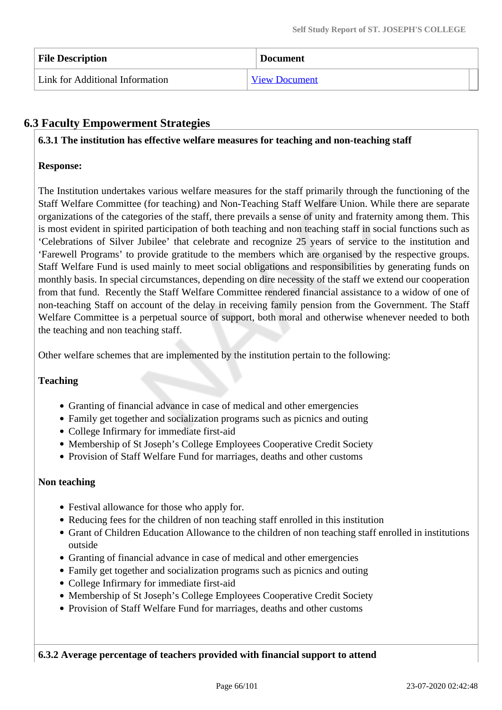| <b>File Description</b>         | <b>Document</b>      |
|---------------------------------|----------------------|
| Link for Additional Information | <b>View Document</b> |

# **6.3 Faculty Empowerment Strategies**

### **6.3.1 The institution has effective welfare measures for teaching and non-teaching staff**

### **Response:**

The Institution undertakes various welfare measures for the staff primarily through the functioning of the Staff Welfare Committee (for teaching) and Non-Teaching Staff Welfare Union. While there are separate organizations of the categories of the staff, there prevails a sense of unity and fraternity among them. This is most evident in spirited participation of both teaching and non teaching staff in social functions such as 'Celebrations of Silver Jubilee' that celebrate and recognize 25 years of service to the institution and 'Farewell Programs' to provide gratitude to the members which are organised by the respective groups. Staff Welfare Fund is used mainly to meet social obligations and responsibilities by generating funds on monthly basis. In special circumstances, depending on dire necessity of the staff we extend our cooperation from that fund. Recently the Staff Welfare Committee rendered financial assistance to a widow of one of non-teaching Staff on account of the delay in receiving family pension from the Government. The Staff Welfare Committee is a perpetual source of support, both moral and otherwise whenever needed to both the teaching and non teaching staff.

Other welfare schemes that are implemented by the institution pertain to the following:

### **Teaching**

- Granting of financial advance in case of medical and other emergencies
- Family get together and socialization programs such as picnics and outing
- College Infirmary for immediate first-aid
- Membership of St Joseph's College Employees Cooperative Credit Society
- Provision of Staff Welfare Fund for marriages, deaths and other customs

#### **Non teaching**

- Festival allowance for those who apply for.
- Reducing fees for the children of non teaching staff enrolled in this institution
- Grant of Children Education Allowance to the children of non teaching staff enrolled in institutions outside
- Granting of financial advance in case of medical and other emergencies
- Family get together and socialization programs such as picnics and outing
- College Infirmary for immediate first-aid
- Membership of St Joseph's College Employees Cooperative Credit Society
- Provision of Staff Welfare Fund for marriages, deaths and other customs

**6.3.2 Average percentage of teachers provided with financial support to attend**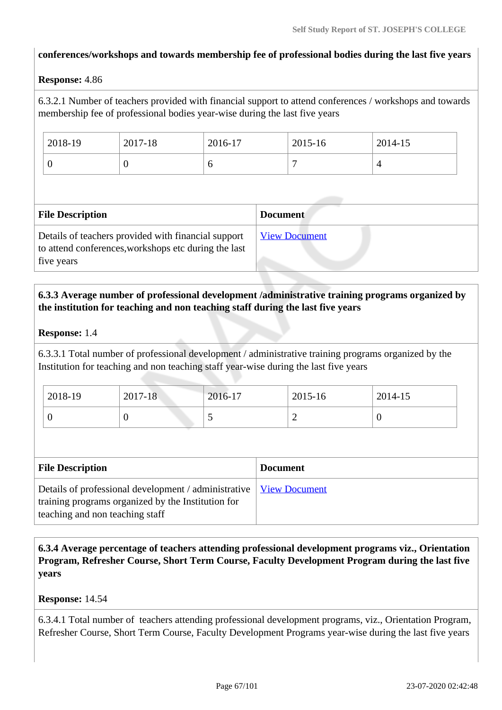### **conferences/workshops and towards membership fee of professional bodies during the last five years**

### **Response:** 4.86

6.3.2.1 Number of teachers provided with financial support to attend conferences / workshops and towards membership fee of professional bodies year-wise during the last five years

| 2018-19 | 2017-18 | 2016-17 | 2015-16 | 2014-15 |
|---------|---------|---------|---------|---------|
| ν       | ◡       | ິ       | -       |         |

| <b>File Description</b>                                                                                                   | <b>Document</b>      |
|---------------------------------------------------------------------------------------------------------------------------|----------------------|
| Details of teachers provided with financial support<br>to attend conferences, workshops etc during the last<br>five years | <b>View Document</b> |

### **6.3.3 Average number of professional development /administrative training programs organized by the institution for teaching and non teaching staff during the last five years**

### **Response:** 1.4

6.3.3.1 Total number of professional development / administrative training programs organized by the Institution for teaching and non teaching staff year-wise during the last five years

| 2018-19 | $2017 - 18$ | 2016-17 | 2015-16 | 2014-15 |
|---------|-------------|---------|---------|---------|
|         |             | ັ       | ∼       | ν       |

| <b>File Description</b>                                                                                                                                       | <b>Document</b> |
|---------------------------------------------------------------------------------------------------------------------------------------------------------------|-----------------|
| Details of professional development / administrative   View Document<br>training programs organized by the Institution for<br>teaching and non teaching staff |                 |

 **6.3.4 Average percentage of teachers attending professional development programs viz., Orientation Program, Refresher Course, Short Term Course, Faculty Development Program during the last five years**

#### **Response:** 14.54

6.3.4.1 Total number of teachers attending professional development programs, viz., Orientation Program, Refresher Course, Short Term Course, Faculty Development Programs year-wise during the last five years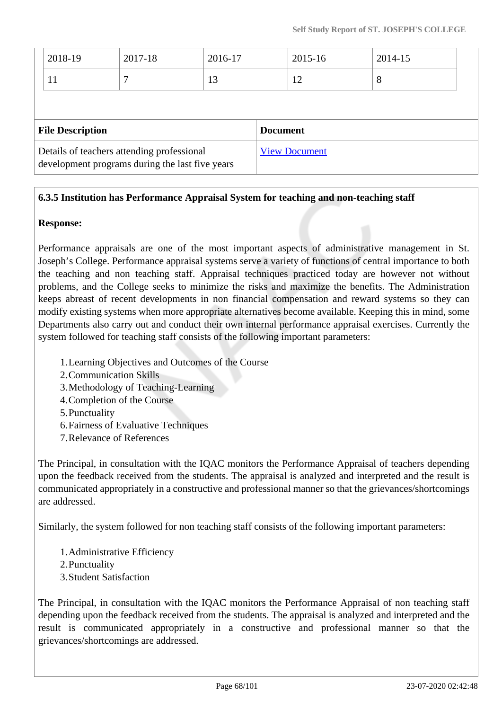| $ 2018-19\rangle$ | 2017-18 | 2016-17 | 2015-16 | 2014-15 |
|-------------------|---------|---------|---------|---------|
| 11                |         | 13      | 12      | 8       |

| <b>File Description</b>                                                                       | <b>Document</b>      |
|-----------------------------------------------------------------------------------------------|----------------------|
| Details of teachers attending professional<br>development programs during the last five years | <b>View Document</b> |

# **6.3.5 Institution has Performance Appraisal System for teaching and non-teaching staff**

### **Response:**

Performance appraisals are one of the most important aspects of administrative management in St. Joseph's College. Performance appraisal systems serve a variety of functions of central importance to both the teaching and non teaching staff. Appraisal techniques practiced today are however not without problems, and the College seeks to minimize the risks and maximize the benefits. The Administration keeps abreast of recent developments in non financial compensation and reward systems so they can modify existing systems when more appropriate alternatives become available. Keeping this in mind, some Departments also carry out and conduct their own internal performance appraisal exercises. Currently the system followed for teaching staff consists of the following important parameters:

- 1.Learning Objectives and Outcomes of the Course
- 2.Communication Skills
- 3.Methodology of Teaching-Learning
- 4.Completion of the Course
- 5.Punctuality
- 6.Fairness of Evaluative Techniques
- 7.Relevance of References

The Principal, in consultation with the IQAC monitors the Performance Appraisal of teachers depending upon the feedback received from the students. The appraisal is analyzed and interpreted and the result is communicated appropriately in a constructive and professional manner so that the grievances/shortcomings are addressed.

Similarly, the system followed for non teaching staff consists of the following important parameters:

- 1.Administrative Efficiency
- 2.Punctuality
- 3.Student Satisfaction

The Principal, in consultation with the IQAC monitors the Performance Appraisal of non teaching staff depending upon the feedback received from the students. The appraisal is analyzed and interpreted and the result is communicated appropriately in a constructive and professional manner so that the grievances/shortcomings are addressed.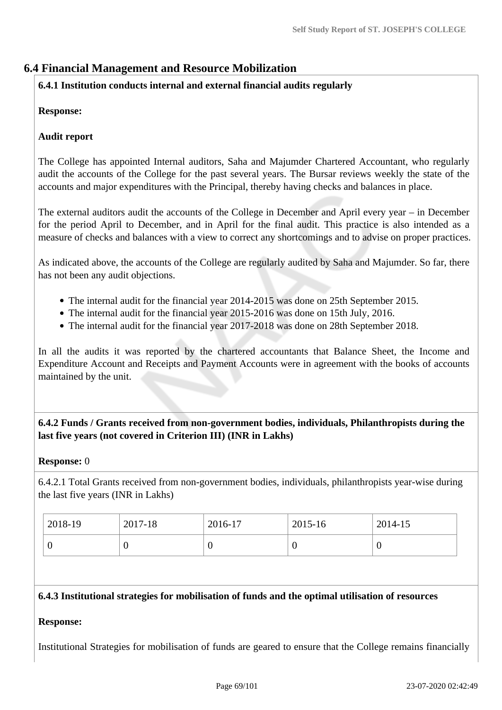# **6.4 Financial Management and Resource Mobilization**

# **6.4.1 Institution conducts internal and external financial audits regularly**

# **Response:**

### **Audit report**

The College has appointed Internal auditors, Saha and Majumder Chartered Accountant, who regularly audit the accounts of the College for the past several years. The Bursar reviews weekly the state of the accounts and major expenditures with the Principal, thereby having checks and balances in place.

The external auditors audit the accounts of the College in December and April every year – in December for the period April to December, and in April for the final audit. This practice is also intended as a measure of checks and balances with a view to correct any shortcomings and to advise on proper practices.

As indicated above, the accounts of the College are regularly audited by Saha and Majumder. So far, there has not been any audit objections.

- The internal audit for the financial year 2014-2015 was done on 25th September 2015.
- The internal audit for the financial year 2015-2016 was done on 15th July, 2016.
- The internal audit for the financial year 2017-2018 was done on 28th September 2018.

In all the audits it was reported by the chartered accountants that Balance Sheet, the Income and Expenditure Account and Receipts and Payment Accounts were in agreement with the books of accounts maintained by the unit.

# **6.4.2 Funds / Grants received from non-government bodies, individuals, Philanthropists during the last five years (not covered in Criterion III) (INR in Lakhs)**

### **Response:** 0

6.4.2.1 Total Grants received from non-government bodies, individuals, philanthropists year-wise during the last five years (INR in Lakhs)

| 2018-19 | 2017-18 | 2016-17 | 2015-16 | 2014-15          |
|---------|---------|---------|---------|------------------|
|         |         |         | ν       | $\boldsymbol{0}$ |

### **6.4.3 Institutional strategies for mobilisation of funds and the optimal utilisation of resources**

### **Response:**

Institutional Strategies for mobilisation of funds are geared to ensure that the College remains financially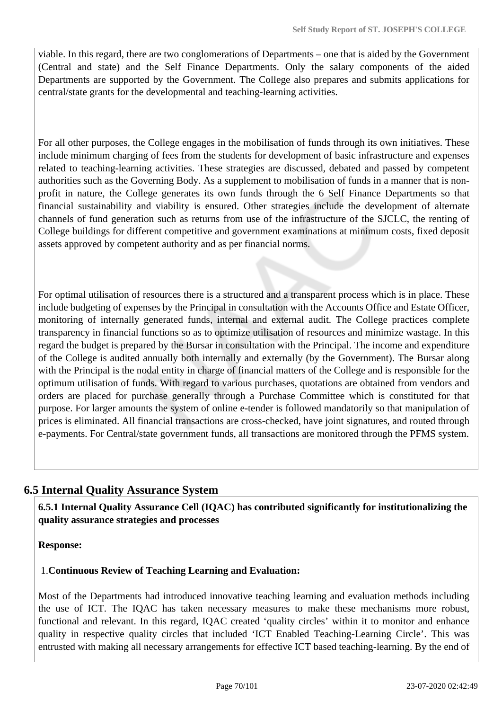viable. In this regard, there are two conglomerations of Departments – one that is aided by the Government (Central and state) and the Self Finance Departments. Only the salary components of the aided Departments are supported by the Government. The College also prepares and submits applications for central/state grants for the developmental and teaching-learning activities.

For all other purposes, the College engages in the mobilisation of funds through its own initiatives. These include minimum charging of fees from the students for development of basic infrastructure and expenses related to teaching-learning activities. These strategies are discussed, debated and passed by competent authorities such as the Governing Body. As a supplement to mobilisation of funds in a manner that is nonprofit in nature, the College generates its own funds through the 6 Self Finance Departments so that financial sustainability and viability is ensured. Other strategies include the development of alternate channels of fund generation such as returns from use of the infrastructure of the SJCLC, the renting of College buildings for different competitive and government examinations at minimum costs, fixed deposit assets approved by competent authority and as per financial norms.

For optimal utilisation of resources there is a structured and a transparent process which is in place. These include budgeting of expenses by the Principal in consultation with the Accounts Office and Estate Officer, monitoring of internally generated funds, internal and external audit. The College practices complete transparency in financial functions so as to optimize utilisation of resources and minimize wastage. In this regard the budget is prepared by the Bursar in consultation with the Principal. The income and expenditure of the College is audited annually both internally and externally (by the Government). The Bursar along with the Principal is the nodal entity in charge of financial matters of the College and is responsible for the optimum utilisation of funds. With regard to various purchases, quotations are obtained from vendors and orders are placed for purchase generally through a Purchase Committee which is constituted for that purpose. For larger amounts the system of online e-tender is followed mandatorily so that manipulation of prices is eliminated. All financial transactions are cross-checked, have joint signatures, and routed through e-payments. For Central/state government funds, all transactions are monitored through the PFMS system.

# **6.5 Internal Quality Assurance System**

 **6.5.1 Internal Quality Assurance Cell (IQAC) has contributed significantly for institutionalizing the quality assurance strategies and processes**

### **Response:**

1.**Continuous Review of Teaching Learning and Evaluation:**

Most of the Departments had introduced innovative teaching learning and evaluation methods including the use of ICT. The IQAC has taken necessary measures to make these mechanisms more robust, functional and relevant. In this regard, IQAC created 'quality circles' within it to monitor and enhance quality in respective quality circles that included 'ICT Enabled Teaching-Learning Circle'. This was entrusted with making all necessary arrangements for effective ICT based teaching-learning. By the end of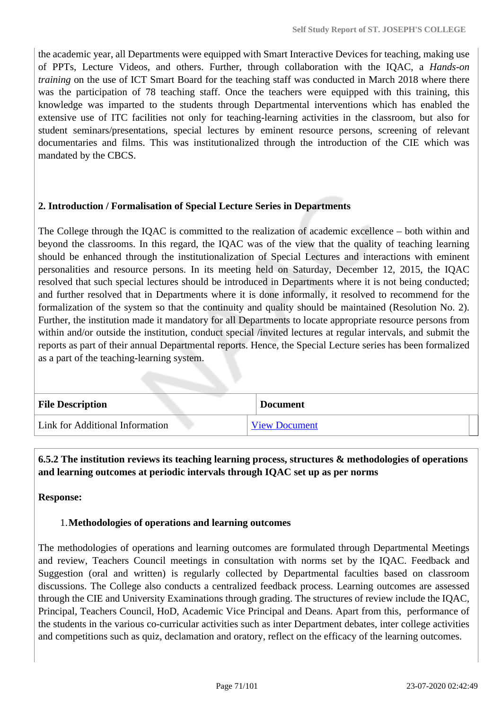the academic year, all Departments were equipped with Smart Interactive Devices for teaching, making use of PPTs, Lecture Videos, and others. Further, through collaboration with the IQAC, a *Hands-on training* on the use of ICT Smart Board for the teaching staff was conducted in March 2018 where there was the participation of 78 teaching staff. Once the teachers were equipped with this training, this knowledge was imparted to the students through Departmental interventions which has enabled the extensive use of ITC facilities not only for teaching-learning activities in the classroom, but also for student seminars/presentations, special lectures by eminent resource persons, screening of relevant documentaries and films. This was institutionalized through the introduction of the CIE which was mandated by the CBCS.

### **2. Introduction / Formalisation of Special Lecture Series in Departments**

The College through the IQAC is committed to the realization of academic excellence – both within and beyond the classrooms. In this regard, the IQAC was of the view that the quality of teaching learning should be enhanced through the institutionalization of Special Lectures and interactions with eminent personalities and resource persons. In its meeting held on Saturday, December 12, 2015, the IQAC resolved that such special lectures should be introduced in Departments where it is not being conducted; and further resolved that in Departments where it is done informally, it resolved to recommend for the formalization of the system so that the continuity and quality should be maintained (Resolution No. 2). Further, the institution made it mandatory for all Departments to locate appropriate resource persons from within and/or outside the institution, conduct special /invited lectures at regular intervals, and submit the reports as part of their annual Departmental reports. Hence, the Special Lecture series has been formalized as a part of the teaching-learning system.

| <b>File Description</b>         | <b>Document</b>      |
|---------------------------------|----------------------|
| Link for Additional Information | <b>View Document</b> |

 **6.5.2 The institution reviews its teaching learning process, structures & methodologies of operations and learning outcomes at periodic intervals through IQAC set up as per norms**

**Response:** 

### 1.**Methodologies of operations and learning outcomes**

The methodologies of operations and learning outcomes are formulated through Departmental Meetings and review, Teachers Council meetings in consultation with norms set by the IQAC. Feedback and Suggestion (oral and written) is regularly collected by Departmental faculties based on classroom discussions. The College also conducts a centralized feedback process. Learning outcomes are assessed through the CIE and University Examinations through grading. The structures of review include the IQAC, Principal, Teachers Council, HoD, Academic Vice Principal and Deans. Apart from this, performance of the students in the various co-curricular activities such as inter Department debates, inter college activities and competitions such as quiz, declamation and oratory, reflect on the efficacy of the learning outcomes.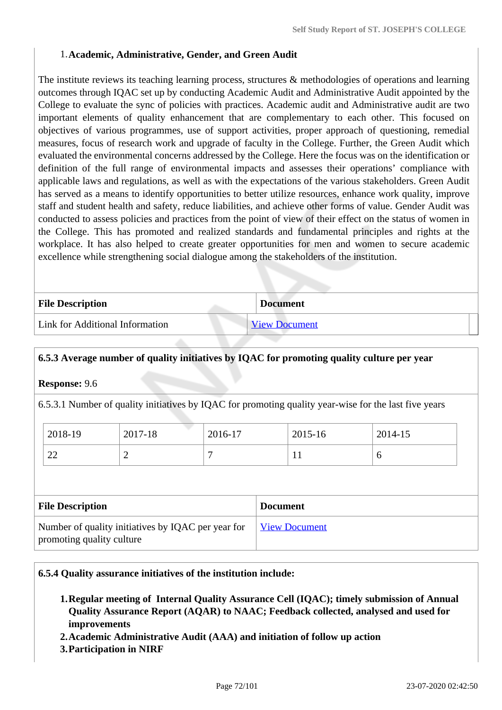### 1.**Academic, Administrative, Gender, and Green Audit**

The institute reviews its teaching learning process, structures & methodologies of operations and learning outcomes through IQAC set up by conducting Academic Audit and Administrative Audit appointed by the College to evaluate the sync of policies with practices. Academic audit and Administrative audit are two important elements of quality enhancement that are complementary to each other. This focused on objectives of various programmes, use of support activities, proper approach of questioning, remedial measures, focus of research work and upgrade of faculty in the College. Further, the Green Audit which evaluated the environmental concerns addressed by the College. Here the focus was on the identification or definition of the full range of environmental impacts and assesses their operations' compliance with applicable laws and regulations, as well as with the expectations of the various stakeholders. Green Audit has served as a means to identify opportunities to better utilize resources, enhance work quality, improve staff and student health and safety, reduce liabilities, and achieve other forms of value. Gender Audit was conducted to assess policies and practices from the point of view of their effect on the status of women in the College. This has promoted and realized standards and fundamental principles and rights at the workplace. It has also helped to create greater opportunities for men and women to secure academic excellence while strengthening social dialogue among the stakeholders of the institution.

| <b>File Description</b>                | <b>Document</b>      |
|----------------------------------------|----------------------|
| <b>Link for Additional Information</b> | <b>View Document</b> |

# **6.5.3 Average number of quality initiatives by IQAC for promoting quality culture per year**

#### **Response:** 9.6

6.5.3.1 Number of quality initiatives by IQAC for promoting quality year-wise for the last five years

| 2018-19      | 2017-18 | 2016-17 | 2015-16      | 2014-15 |
|--------------|---------|---------|--------------|---------|
| $\cap$<br>44 | -       |         | $\mathbf{r}$ |         |

| <b>File Description</b>                                                         | <b>Document</b>      |
|---------------------------------------------------------------------------------|----------------------|
| Number of quality initiatives by IQAC per year for<br>promoting quality culture | <b>View Document</b> |

#### **6.5.4 Quality assurance initiatives of the institution include:**

- **1.Regular meeting of Internal Quality Assurance Cell (IQAC); timely submission of Annual Quality Assurance Report (AQAR) to NAAC; Feedback collected, analysed and used for improvements**
- **2.Academic Administrative Audit (AAA) and initiation of follow up action**
- **3.Participation in NIRF**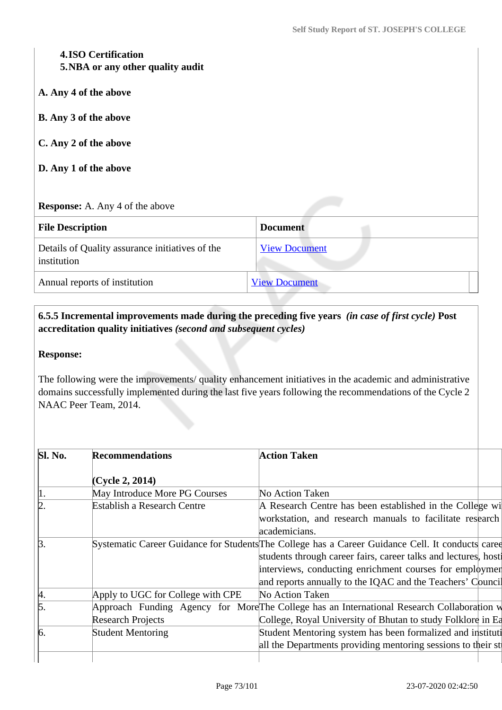## **4.ISO Certification 5.NBA or any other quality audit**

- **A. Any 4 of the above**
- **B. Any 3 of the above**
- **C. Any 2 of the above**
- **D. Any 1 of the above**

#### **Response:** A. Any 4 of the above

| <b>File Description</b>                                        | <b>Document</b>      |  |
|----------------------------------------------------------------|----------------------|--|
| Details of Quality assurance initiatives of the<br>institution | <b>View Document</b> |  |
| Annual reports of institution                                  | <b>View Document</b> |  |

# **6.5.5 Incremental improvements made during the preceding five years** *(in case of first cycle)* **Post accreditation quality initiatives** *(second and subsequent cycles)*

#### **Response:**

The following were the improvements/ quality enhancement initiatives in the academic and administrative domains successfully implemented during the last five years following the recommendations of the Cycle 2 NAAC Peer Team, 2014.

| Sl. No.    | <b>Recommendations</b>             | <b>Action Taken</b>                                                                               |
|------------|------------------------------------|---------------------------------------------------------------------------------------------------|
|            | (Cycle 2, 2014)                    |                                                                                                   |
| $\vert$ 1. | May Introduce More PG Courses      | No Action Taken                                                                                   |
| þ.         | <b>Establish a Research Centre</b> | A Research Centre has been established in the College wi                                          |
|            |                                    | workstation, and research manuals to facilitate research                                          |
|            |                                    | academicians.                                                                                     |
| $\beta$ .  |                                    | Systematic Career Guidance for Students The College has a Career Guidance Cell. It conducts caree |
|            |                                    | students through career fairs, career talks and lectures, host                                    |
|            |                                    | interviews, conducting enrichment courses for employmen                                           |
|            |                                    | and reports annually to the IQAC and the Teachers' Council                                        |
| þ.         | Apply to UGC for College with CPE  | No Action Taken                                                                                   |
| 5.         |                                    | Approach Funding Agency for More The College has an International Research Collaboration w        |
|            | <b>Research Projects</b>           | College, Royal University of Bhutan to study Folklore in Ea                                       |
| 6.         | <b>Student Mentoring</b>           | Student Mentoring system has been formalized and instituti                                        |
|            |                                    | all the Departments providing mentoring sessions to their st                                      |
|            |                                    |                                                                                                   |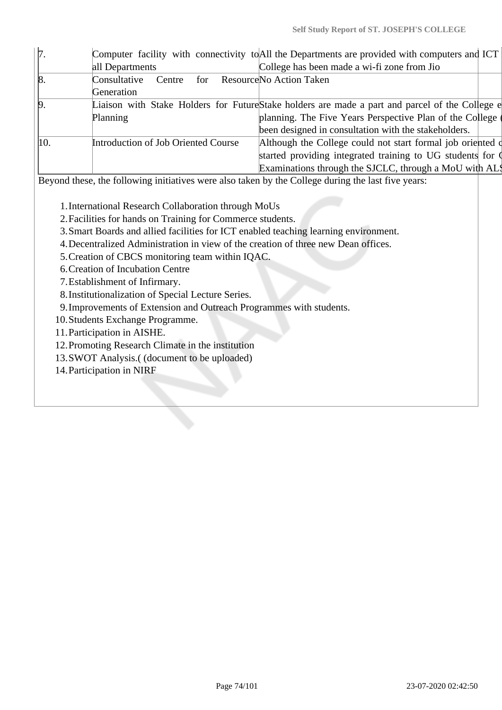| $\mathcal{L}$ . |                                     | Computer facility with connectivity to All the Departments are provided with computers and ICT |  |
|-----------------|-------------------------------------|------------------------------------------------------------------------------------------------|--|
|                 | all Departments                     | College has been made a wi-fi zone from Jio                                                    |  |
| $\vert 8.$      | Consultative<br>Centre for          | Resource No Action Taken                                                                       |  |
|                 | Generation                          |                                                                                                |  |
| $\beta$         |                                     | Liaison with Stake Holders for FutureStake holders are made a part and parcel of the College e |  |
|                 | Planning                            | planning. The Five Years Perspective Plan of the College                                       |  |
|                 |                                     | been designed in consultation with the stakeholders.                                           |  |
| $\vert 10.$     | Introduction of Job Oriented Course | Although the College could not start formal job oriented of                                    |  |
|                 |                                     | started providing integrated training to UG students for Q                                     |  |
|                 |                                     | Examinations through the SJCLC, through a MoU with ALS                                         |  |
|                 |                                     |                                                                                                |  |

Beyond these, the following initiatives were also taken by the College during the last five years:

1.International Research Collaboration through MoUs

- 2.Facilities for hands on Training for Commerce students.
- 3.Smart Boards and allied facilities for ICT enabled teaching learning environment.
- 4.Decentralized Administration in view of the creation of three new Dean offices.
- 5.Creation of CBCS monitoring team within IQAC.

6.Creation of Incubation Centre

7.Establishment of Infirmary.

- 8.Institutionalization of Special Lecture Series.
- 9.Improvements of Extension and Outreach Programmes with students.

10.Students Exchange Programme.

11.Participation in AISHE.

12.Promoting Research Climate in the institution

13.SWOT Analysis.( (document to be uploaded)

14.Participation in NIRF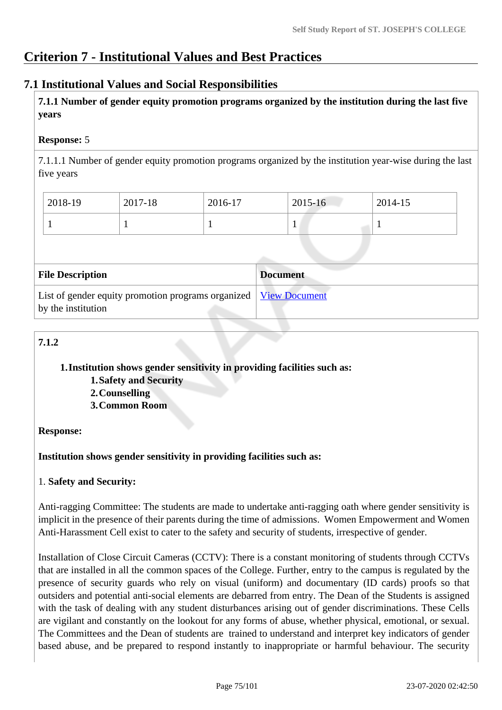# **Criterion 7 - Institutional Values and Best Practices**

# **7.1 Institutional Values and Social Responsibilities**

 **7.1.1 Number of gender equity promotion programs organized by the institution during the last five years** 

## **Response:** 5

7.1.1.1 Number of gender equity promotion programs organized by the institution year-wise during the last five years

| 2018-19 | 2017-18 | 2016-17 | 2015-16 | 2014-15 |  |
|---------|---------|---------|---------|---------|--|
|         |         |         |         |         |  |

| <b>File Description</b>                                                                  | <b>Document</b> |
|------------------------------------------------------------------------------------------|-----------------|
| List of gender equity promotion programs organized   View Document<br>by the institution |                 |

# **7.1.2**

#### **1.Institution shows gender sensitivity in providing facilities such as:**

**1.Safety and Security**

- **2.Counselling**
- **3.Common Room**

# **Response:**

# **Institution shows gender sensitivity in providing facilities such as:**

#### 1. **Safety and Security:**

Anti-ragging Committee: The students are made to undertake anti-ragging oath where gender sensitivity is implicit in the presence of their parents during the time of admissions. Women Empowerment and Women Anti-Harassment Cell exist to cater to the safety and security of students, irrespective of gender.

Installation of Close Circuit Cameras (CCTV): There is a constant monitoring of students through CCTVs that are installed in all the common spaces of the College. Further, entry to the campus is regulated by the presence of security guards who rely on visual (uniform) and documentary (ID cards) proofs so that outsiders and potential anti-social elements are debarred from entry. The Dean of the Students is assigned with the task of dealing with any student disturbances arising out of gender discriminations. These Cells are vigilant and constantly on the lookout for any forms of abuse, whether physical, emotional, or sexual. The Committees and the Dean of students are trained to understand and interpret key indicators of gender based abuse, and be prepared to respond instantly to inappropriate or harmful behaviour. The security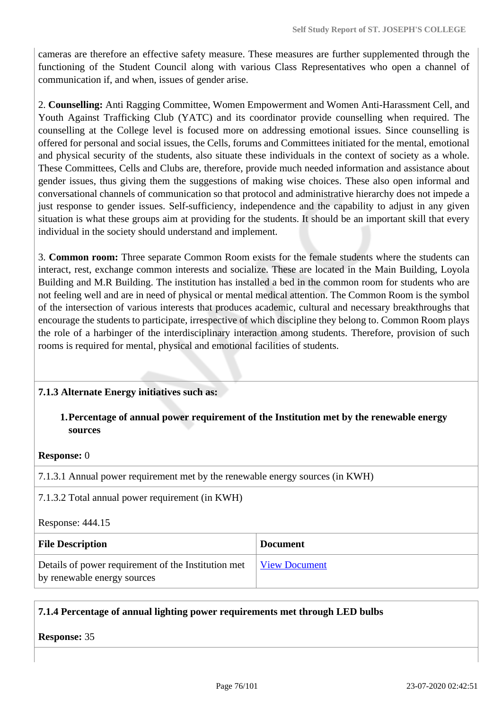cameras are therefore an effective safety measure. These measures are further supplemented through the functioning of the Student Council along with various Class Representatives who open a channel of communication if, and when, issues of gender arise.

2. **Counselling:** Anti Ragging Committee, Women Empowerment and Women Anti-Harassment Cell, and Youth Against Trafficking Club (YATC) and its coordinator provide counselling when required. The counselling at the College level is focused more on addressing emotional issues. Since counselling is offered for personal and social issues, the Cells, forums and Committees initiated for the mental, emotional and physical security of the students, also situate these individuals in the context of society as a whole. These Committees, Cells and Clubs are, therefore, provide much needed information and assistance about gender issues, thus giving them the suggestions of making wise choices. These also open informal and conversational channels of communication so that protocol and administrative hierarchy does not impede a just response to gender issues. Self-sufficiency, independence and the capability to adjust in any given situation is what these groups aim at providing for the students. It should be an important skill that every individual in the society should understand and implement.

3. **Common room:** Three separate Common Room exists for the female students where the students can interact, rest, exchange common interests and socialize. These are located in the Main Building, Loyola Building and M.R Building. The institution has installed a bed in the common room for students who are not feeling well and are in need of physical or mental medical attention. The Common Room is the symbol of the intersection of various interests that produces academic, cultural and necessary breakthroughs that encourage the students to participate, irrespective of which discipline they belong to. Common Room plays the role of a harbinger of the interdisciplinary interaction among students. Therefore, provision of such rooms is required for mental, physical and emotional facilities of students.

#### **7.1.3 Alternate Energy initiatives such as:**

#### **1.Percentage of annual power requirement of the Institution met by the renewable energy sources**

#### **Response:** 0

7.1.3.1 Annual power requirement met by the renewable energy sources (in KWH)

7.1.3.2 Total annual power requirement (in KWH)

Response: 444.15

| <b>File Description</b>                                                            | <b>Document</b>      |
|------------------------------------------------------------------------------------|----------------------|
| Details of power requirement of the Institution met<br>by renewable energy sources | <b>View Document</b> |

#### **7.1.4 Percentage of annual lighting power requirements met through LED bulbs**

**Response:** 35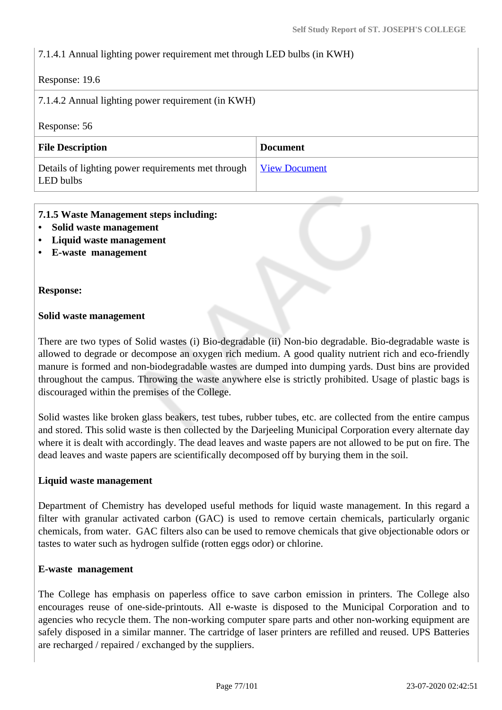## 7.1.4.1 Annual lighting power requirement met through LED bulbs (in KWH)

#### Response: 19.6

| 7.1.4.2 Annual lighting power requirement (in KWH) |  |
|----------------------------------------------------|--|
|----------------------------------------------------|--|

Response: 56

| <b>File Description</b>                                         | <b>Document</b>      |
|-----------------------------------------------------------------|----------------------|
| Details of lighting power requirements met through<br>LED bulbs | <b>View Document</b> |

#### **7.1.5 Waste Management steps including:**

- **Solid waste management**
- **Liquid waste management**
- **E-waste management**

#### **Response:**

#### **Solid waste management**

There are two types of Solid wastes (i) Bio-degradable (ii) Non-bio degradable. Bio-degradable waste is allowed to degrade or decompose an oxygen rich medium. A good quality nutrient rich and eco-friendly manure is formed and non-biodegradable wastes are dumped into dumping yards. Dust bins are provided throughout the campus. Throwing the waste anywhere else is strictly prohibited. Usage of plastic bags is discouraged within the premises of the College.

Solid wastes like broken glass beakers, test tubes, rubber tubes, etc. are collected from the entire campus and stored. This solid waste is then collected by the Darjeeling Municipal Corporation every alternate day where it is dealt with accordingly. The dead leaves and waste papers are not allowed to be put on fire. The dead leaves and waste papers are scientifically decomposed off by burying them in the soil.

#### **Liquid waste management**

Department of Chemistry has developed useful methods for liquid waste management. In this regard a filter with granular activated carbon (GAC) is used to remove certain chemicals, particularly organic chemicals, from water. GAC filters also can be used to remove chemicals that give objectionable odors or tastes to water such as hydrogen sulfide (rotten eggs odor) or chlorine.

#### **E-waste management**

The College has emphasis on paperless office to save carbon emission in printers. The College also encourages reuse of one-side-printouts. All e-waste is disposed to the Municipal Corporation and to agencies who recycle them. The non-working computer spare parts and other non-working equipment are safely disposed in a similar manner. The cartridge of laser printers are refilled and reused. UPS Batteries are recharged / repaired / exchanged by the suppliers.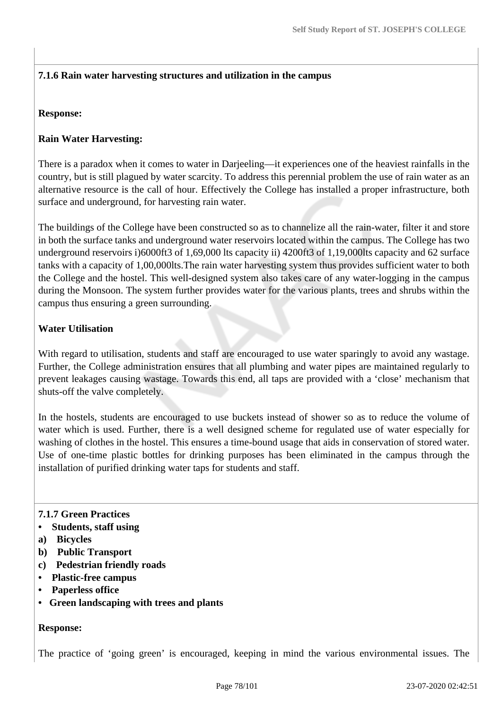# **7.1.6 Rain water harvesting structures and utilization in the campus**

#### **Response:**

# **Rain Water Harvesting:**

There is a paradox when it comes to water in Darjeeling—it experiences one of the heaviest rainfalls in the country, but is still plagued by water scarcity. To address this perennial problem the use of rain water as an alternative resource is the call of hour. Effectively the College has installed a proper infrastructure, both surface and underground, for harvesting rain water.

The buildings of the College have been constructed so as to channelize all the rain-water, filter it and store in both the surface tanks and underground water reservoirs located within the campus. The College has two underground reservoirs i)6000ft3 of 1,69,000 lts capacity ii) 4200ft3 of 1,19,000lts capacity and 62 surface tanks with a capacity of 1,00,000lts.The rain water harvesting system thus provides sufficient water to both the College and the hostel. This well-designed system also takes care of any water-logging in the campus during the Monsoon. The system further provides water for the various plants, trees and shrubs within the campus thus ensuring a green surrounding.

## **Water Utilisation**

With regard to utilisation, students and staff are encouraged to use water sparingly to avoid any wastage. Further, the College administration ensures that all plumbing and water pipes are maintained regularly to prevent leakages causing wastage. Towards this end, all taps are provided with a 'close' mechanism that shuts-off the valve completely.

In the hostels, students are encouraged to use buckets instead of shower so as to reduce the volume of water which is used. Further, there is a well designed scheme for regulated use of water especially for washing of clothes in the hostel. This ensures a time-bound usage that aids in conservation of stored water. Use of one-time plastic bottles for drinking purposes has been eliminated in the campus through the installation of purified drinking water taps for students and staff.

#### **7.1.7 Green Practices**

- **Students, staff using**
- **a) Bicycles**
- **b) Public Transport**
- **c) Pedestrian friendly roads**
- **Plastic-free campus**
- **Paperless office**
- **Green landscaping with trees and plants**

#### **Response:**

The practice of 'going green' is encouraged, keeping in mind the various environmental issues. The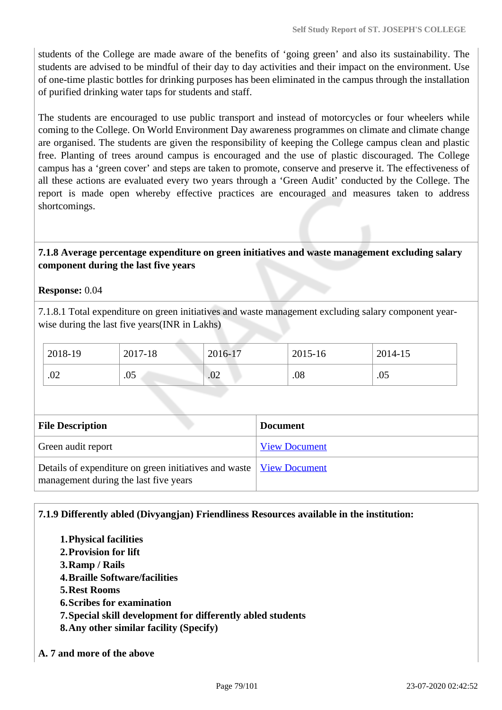students of the College are made aware of the benefits of 'going green' and also its sustainability. The students are advised to be mindful of their day to day activities and their impact on the environment. Use of one-time plastic bottles for drinking purposes has been eliminated in the campus through the installation of purified drinking water taps for students and staff.

The students are encouraged to use public transport and instead of motorcycles or four wheelers while coming to the College. On World Environment Day awareness programmes on climate and climate change are organised. The students are given the responsibility of keeping the College campus clean and plastic free. Planting of trees around campus is encouraged and the use of plastic discouraged. The College campus has a 'green cover' and steps are taken to promote, conserve and preserve it. The effectiveness of all these actions are evaluated every two years through a 'Green Audit' conducted by the College. The report is made open whereby effective practices are encouraged and measures taken to address shortcomings.

## **7.1.8 Average percentage expenditure on green initiatives and waste management excluding salary component during the last five years**

**Response:** 0.04

7.1.8.1 Total expenditure on green initiatives and waste management excluding salary component yearwise during the last five years(INR in Lakhs)

| 2018-19 | 2017-18 | 2016-17 | 2015-16 | 2014-15 |
|---------|---------|---------|---------|---------|
| .02     | .05     | .02     | .08     | .05     |

| <b>File Description</b>                                                                                        | <b>Document</b>      |
|----------------------------------------------------------------------------------------------------------------|----------------------|
| Green audit report                                                                                             | <b>View Document</b> |
| Details of expenditure on green initiatives and waste   View Document<br>management during the last five years |                      |

#### **7.1.9 Differently abled (Divyangjan) Friendliness Resources available in the institution:**

- **1.Physical facilities**
- **2.Provision for lift**
- **3.Ramp / Rails**
- **4.Braille Software/facilities**
- **5.Rest Rooms**
- **6.Scribes for examination**
- **7.Special skill development for differently abled students**
- **8.Any other similar facility (Specify)**
- **A. 7 and more of the above**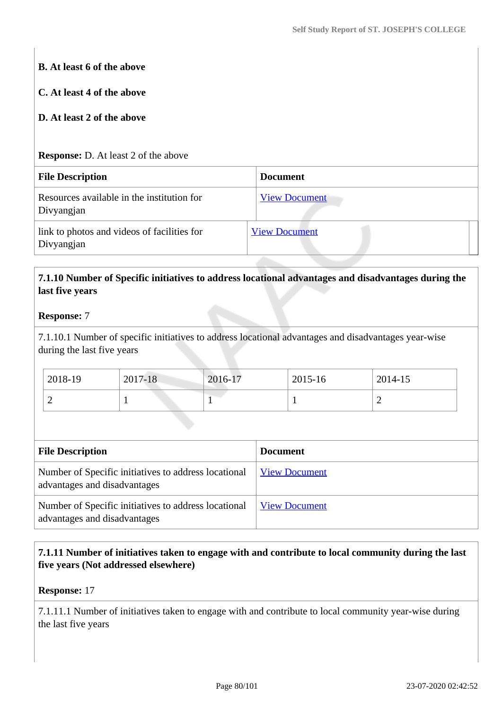# **B. At least 6 of the above C. At least 4 of the above D. At least 2 of the above Response:** D. At least 2 of the above **File Description Document** Resources available in the institution for Divyangjan [View Document](https://assessmentonline.naac.gov.in/storage/app/hei/SSR/105388/7.1.9_1581427395_4253.xlsx) link to photos and videos of facilities for Divyangjan [View Document](https://drive.google.com/drive/folders/1J_X4czySixrjt7mgHklp2vvPYbxL83uh)

# **7.1.10 Number of Specific initiatives to address locational advantages and disadvantages during the last five years**

# **Response:** 7

7.1.10.1 Number of specific initiatives to address locational advantages and disadvantages year-wise during the last five years

| 2018-19 | 2017-18 | 2016-17 | 2015-16 | 2014-15 |
|---------|---------|---------|---------|---------|
| ∽       |         |         |         | ∼       |

| <b>File Description</b>                                                              | <b>Document</b>      |
|--------------------------------------------------------------------------------------|----------------------|
| Number of Specific initiatives to address locational<br>advantages and disadvantages | <b>View Document</b> |
| Number of Specific initiatives to address locational<br>advantages and disadvantages | <b>View Document</b> |

# **7.1.11 Number of initiatives taken to engage with and contribute to local community during the last five years (Not addressed elsewhere)**

#### **Response:** 17

7.1.11.1 Number of initiatives taken to engage with and contribute to local community year-wise during the last five years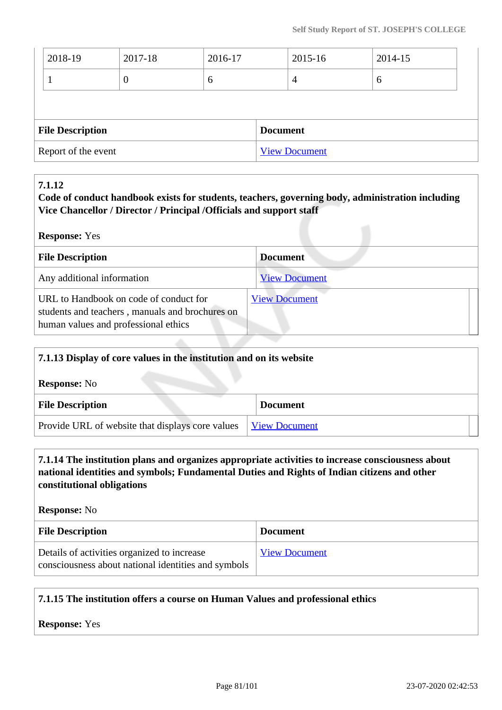| <b>File Description</b> |          |         | <b>Document</b> |         |  |  |
|-------------------------|----------|---------|-----------------|---------|--|--|
|                         |          |         |                 |         |  |  |
|                         | $\theta$ | 6       | $\overline{4}$  | 6       |  |  |
| 2018-19                 | 2017-18  | 2016-17 | 2015-16         | 2014-15 |  |  |

# **7.1.12**

## **Code of conduct handbook exists for students, teachers, governing body, administration including Vice Chancellor / Director / Principal /Officials and support staff**

| <b>Response:</b> Yes                                                                                                              |                      |  |  |  |  |  |
|-----------------------------------------------------------------------------------------------------------------------------------|----------------------|--|--|--|--|--|
| <b>File Description</b>                                                                                                           | <b>Document</b>      |  |  |  |  |  |
| Any additional information                                                                                                        | <b>View Document</b> |  |  |  |  |  |
| URL to Handbook on code of conduct for<br>students and teachers, manuals and brochures on<br>human values and professional ethics | <b>View Document</b> |  |  |  |  |  |

| 7.1.13 Display of core values in the institution and on its website |                      |  |  |  |  |
|---------------------------------------------------------------------|----------------------|--|--|--|--|
| <b>Response:</b> No                                                 |                      |  |  |  |  |
| <b>File Description</b>                                             | <b>Document</b>      |  |  |  |  |
| Provide URL of website that displays core values                    | <b>View Document</b> |  |  |  |  |

## **7.1.14 The institution plans and organizes appropriate activities to increase consciousness about national identities and symbols; Fundamental Duties and Rights of Indian citizens and other constitutional obligations**

**Response:** No

| <b>File Description</b>                                                                            | <b>Document</b>      |
|----------------------------------------------------------------------------------------------------|----------------------|
| Details of activities organized to increase<br>consciousness about national identities and symbols | <b>View Document</b> |

# **7.1.15 The institution offers a course on Human Values and professional ethics**

**Response:** Yes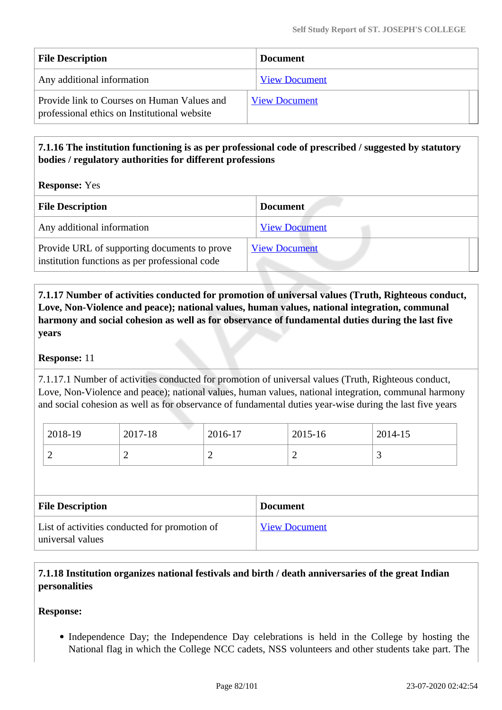| <b>File Description</b>                                                                     | <b>Document</b>      |
|---------------------------------------------------------------------------------------------|----------------------|
| Any additional information                                                                  | <b>View Document</b> |
| Provide link to Courses on Human Values and<br>professional ethics on Institutional website | <b>View Document</b> |

# **7.1.16 The institution functioning is as per professional code of prescribed / suggested by statutory bodies / regulatory authorities for different professions**

**Response:** Yes

| <b>File Description</b>                                                                        | <b>Document</b>      |
|------------------------------------------------------------------------------------------------|----------------------|
| Any additional information                                                                     | <b>View Document</b> |
| Provide URL of supporting documents to prove<br>institution functions as per professional code | <b>View Document</b> |

 **7.1.17 Number of activities conducted for promotion of universal values (Truth, Righteous conduct, Love, Non-Violence and peace); national values, human values, national integration, communal harmony and social cohesion as well as for observance of fundamental duties during the last five years**

#### **Response:** 11

7.1.17.1 Number of activities conducted for promotion of universal values (Truth, Righteous conduct, Love, Non-Violence and peace); national values, human values, national integration, communal harmony and social cohesion as well as for observance of fundamental duties year-wise during the last five years

| 2018-19 | 2017-18 | 2016-17 | 2015-16 | 2014-15 |
|---------|---------|---------|---------|---------|
|         |         | -       |         | ັ       |

| <b>File Description</b>                                           | <b>Document</b>      |
|-------------------------------------------------------------------|----------------------|
| List of activities conducted for promotion of<br>universal values | <b>View Document</b> |

# **7.1.18 Institution organizes national festivals and birth / death anniversaries of the great Indian personalities**

#### **Response:**

• Independence Day; the Independence Day celebrations is held in the College by hosting the National flag in which the College NCC cadets, NSS volunteers and other students take part. The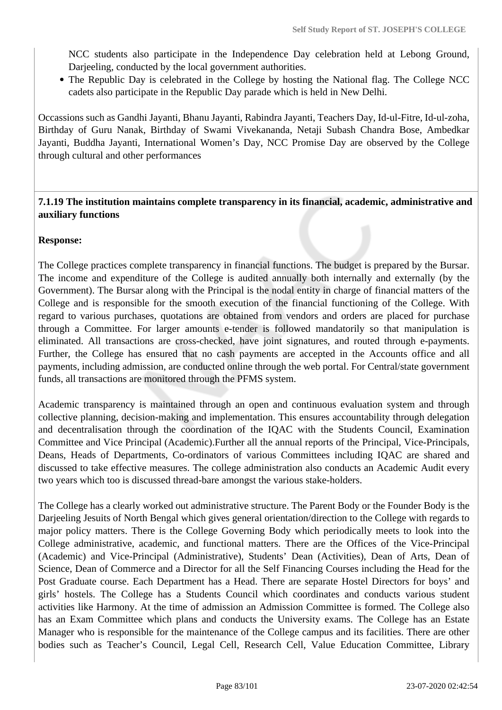NCC students also participate in the Independence Day celebration held at Lebong Ground, Darjeeling, conducted by the local government authorities.

The Republic Day is celebrated in the College by hosting the National flag. The College NCC cadets also participate in the Republic Day parade which is held in New Delhi.

Occassions such as Gandhi Jayanti, Bhanu Jayanti, Rabindra Jayanti, Teachers Day, Id-ul-Fitre, Id-ul-zoha, Birthday of Guru Nanak, Birthday of Swami Vivekananda, Netaji Subash Chandra Bose, Ambedkar Jayanti, Buddha Jayanti, International Women's Day, NCC Promise Day are observed by the College through cultural and other performances

#### **7.1.19 The institution maintains complete transparency in its financial, academic, administrative and auxiliary functions**

## **Response:**

The College practices complete transparency in financial functions. The budget is prepared by the Bursar. The income and expenditure of the College is audited annually both internally and externally (by the Government). The Bursar along with the Principal is the nodal entity in charge of financial matters of the College and is responsible for the smooth execution of the financial functioning of the College. With regard to various purchases, quotations are obtained from vendors and orders are placed for purchase through a Committee. For larger amounts e-tender is followed mandatorily so that manipulation is eliminated. All transactions are cross-checked, have joint signatures, and routed through e-payments. Further, the College has ensured that no cash payments are accepted in the Accounts office and all payments, including admission, are conducted online through the web portal. For Central/state government funds, all transactions are monitored through the PFMS system.

Academic transparency is maintained through an open and continuous evaluation system and through collective planning, decision-making and implementation. This ensures accountability through delegation and decentralisation through the coordination of the IQAC with the Students Council, Examination Committee and Vice Principal (Academic).Further all the annual reports of the Principal, Vice-Principals, Deans, Heads of Departments, Co-ordinators of various Committees including IQAC are shared and discussed to take effective measures. The college administration also conducts an Academic Audit every two years which too is discussed thread-bare amongst the various stake-holders.

The College has a clearly worked out administrative structure. The Parent Body or the Founder Body is the Darjeeling Jesuits of North Bengal which gives general orientation/direction to the College with regards to major policy matters. There is the College Governing Body which periodically meets to look into the College administrative, academic, and functional matters. There are the Offices of the Vice-Principal (Academic) and Vice-Principal (Administrative), Students' Dean (Activities), Dean of Arts, Dean of Science, Dean of Commerce and a Director for all the Self Financing Courses including the Head for the Post Graduate course. Each Department has a Head. There are separate Hostel Directors for boys' and girls' hostels. The College has a Students Council which coordinates and conducts various student activities like Harmony. At the time of admission an Admission Committee is formed. The College also has an Exam Committee which plans and conducts the University exams. The College has an Estate Manager who is responsible for the maintenance of the College campus and its facilities. There are other bodies such as Teacher's Council, Legal Cell, Research Cell, Value Education Committee, Library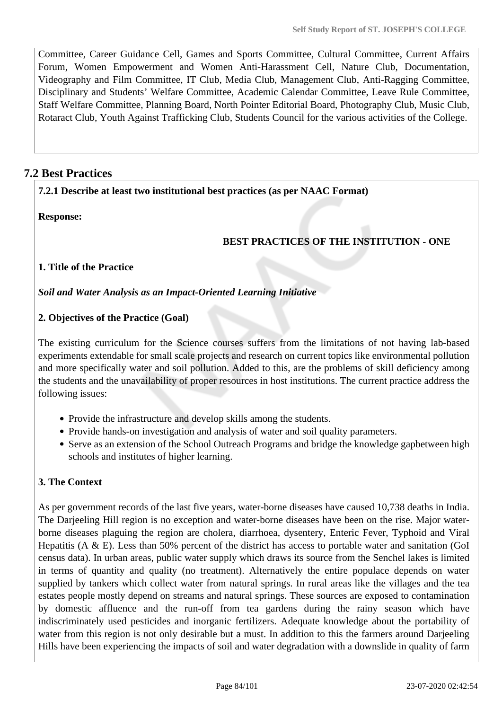Committee, Career Guidance Cell, Games and Sports Committee, Cultural Committee, Current Affairs Forum, Women Empowerment and Women Anti-Harassment Cell, Nature Club, Documentation, Videography and Film Committee, IT Club, Media Club, Management Club, Anti-Ragging Committee, Disciplinary and Students' Welfare Committee, Academic Calendar Committee, Leave Rule Committee, Staff Welfare Committee, Planning Board, North Pointer Editorial Board, Photography Club, Music Club, Rotaract Club, Youth Against Trafficking Club, Students Council for the various activities of the College.

# **7.2 Best Practices**

## **7.2.1 Describe at least two institutional best practices (as per NAAC Format)**

**Response:** 

# **BEST PRACTICES OF THE INSTITUTION - ONE**

# **1. Title of the Practice**

#### *Soil and Water Analysis as an Impact-Oriented Learning Initiative*

## **2. Objectives of the Practice (Goal)**

The existing curriculum for the Science courses suffers from the limitations of not having lab-based experiments extendable for small scale projects and research on current topics like environmental pollution and more specifically water and soil pollution. Added to this, are the problems of skill deficiency among the students and the unavailability of proper resources in host institutions. The current practice address the following issues:

- Provide the infrastructure and develop skills among the students.
- Provide hands-on investigation and analysis of water and soil quality parameters.
- Serve as an extension of the School Outreach Programs and bridge the knowledge gapbetween high schools and institutes of higher learning.

# **3. The Context**

As per government records of the last five years, water-borne diseases have caused 10,738 deaths in India. The Darjeeling Hill region is no exception and water-borne diseases have been on the rise. Major waterborne diseases plaguing the region are cholera, diarrhoea, dysentery, Enteric Fever, Typhoid and Viral Hepatitis ( $A \& E$ ). Less than 50% percent of the district has access to portable water and sanitation (GoI) census data). In urban areas, public water supply which draws its source from the Senchel lakes is limited in terms of quantity and quality (no treatment). Alternatively the entire populace depends on water supplied by tankers which collect water from natural springs. In rural areas like the villages and the tea estates people mostly depend on streams and natural springs. These sources are exposed to contamination by domestic affluence and the run-off from tea gardens during the rainy season which have indiscriminately used pesticides and inorganic fertilizers. Adequate knowledge about the portability of water from this region is not only desirable but a must. In addition to this the farmers around Darjeeling Hills have been experiencing the impacts of soil and water degradation with a downslide in quality of farm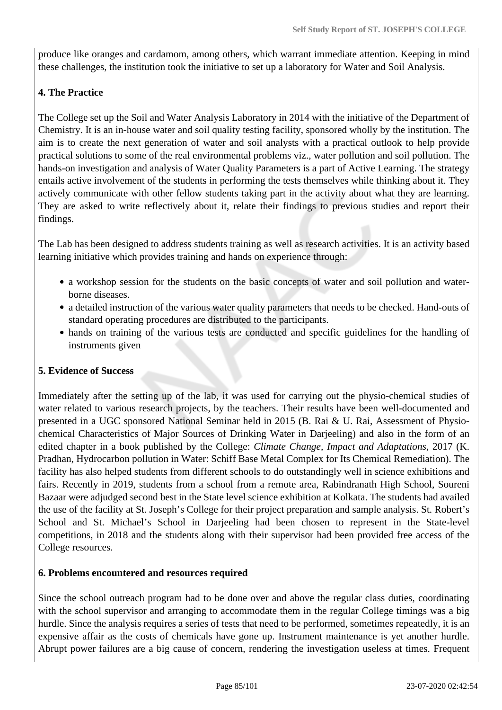produce like oranges and cardamom, among others, which warrant immediate attention. Keeping in mind these challenges, the institution took the initiative to set up a laboratory for Water and Soil Analysis.

#### **4. The Practice**

The College set up the Soil and Water Analysis Laboratory in 2014 with the initiative of the Department of Chemistry. It is an in-house water and soil quality testing facility, sponsored wholly by the institution. The aim is to create the next generation of water and soil analysts with a practical outlook to help provide practical solutions to some of the real environmental problems viz., water pollution and soil pollution. The hands-on investigation and analysis of Water Quality Parameters is a part of Active Learning. The strategy entails active involvement of the students in performing the tests themselves while thinking about it. They actively communicate with other fellow students taking part in the activity about what they are learning. They are asked to write reflectively about it, relate their findings to previous studies and report their findings.

The Lab has been designed to address students training as well as research activities. It is an activity based learning initiative which provides training and hands on experience through:

- a workshop session for the students on the basic concepts of water and soil pollution and waterborne diseases.
- a detailed instruction of the various water quality parameters that needs to be checked. Hand-outs of standard operating procedures are distributed to the participants.
- hands on training of the various tests are conducted and specific guidelines for the handling of instruments given

#### **5. Evidence of Success**

Immediately after the setting up of the lab, it was used for carrying out the physio-chemical studies of water related to various research projects, by the teachers. Their results have been well-documented and presented in a UGC sponsored National Seminar held in 2015 (B. Rai & U. Rai, Assessment of Physiochemical Characteristics of Major Sources of Drinking Water in Darjeeling) and also in the form of an edited chapter in a book published by the College: *Climate Change, Impact and Adaptations*, 2017 (K. Pradhan, Hydrocarbon pollution in Water: Schiff Base Metal Complex for Its Chemical Remediation). The facility has also helped students from different schools to do outstandingly well in science exhibitions and fairs. Recently in 2019, students from a school from a remote area, Rabindranath High School, Soureni Bazaar were adjudged second best in the State level science exhibition at Kolkata. The students had availed the use of the facility at St. Joseph's College for their project preparation and sample analysis. St. Robert's School and St. Michael's School in Darjeeling had been chosen to represent in the State-level competitions, in 2018 and the students along with their supervisor had been provided free access of the College resources.

#### **6. Problems encountered and resources required**

Since the school outreach program had to be done over and above the regular class duties, coordinating with the school supervisor and arranging to accommodate them in the regular College timings was a big hurdle. Since the analysis requires a series of tests that need to be performed, sometimes repeatedly, it is an expensive affair as the costs of chemicals have gone up. Instrument maintenance is yet another hurdle. Abrupt power failures are a big cause of concern, rendering the investigation useless at times. Frequent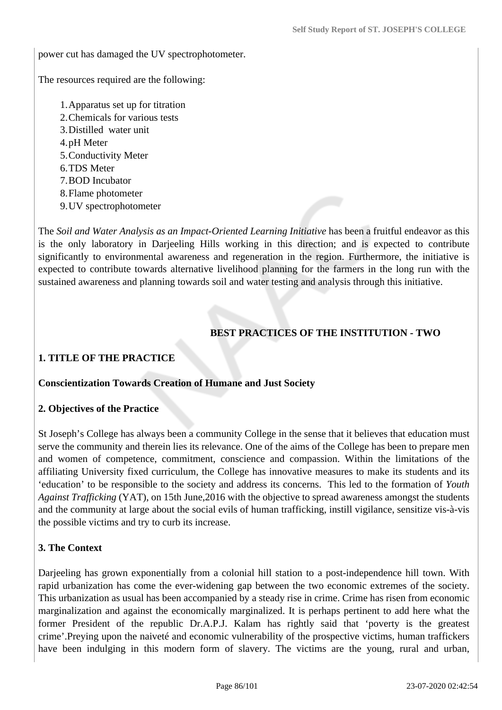power cut has damaged the UV spectrophotometer.

The resources required are the following:

- 1.Apparatus set up for titration
- 2.Chemicals for various tests
- 3.Distilled water unit
- 4.pH Meter
- 5.Conductivity Meter
- 6.TDS Meter
- 7.BOD Incubator
- 8.Flame photometer
- 9.UV spectrophotometer

The *Soil and Water Analysis as an Impact-Oriented Learning Initiative* has been a fruitful endeavor as this is the only laboratory in Darjeeling Hills working in this direction; and is expected to contribute significantly to environmental awareness and regeneration in the region. Furthermore, the initiative is expected to contribute towards alternative livelihood planning for the farmers in the long run with the sustained awareness and planning towards soil and water testing and analysis through this initiative.

# **BEST PRACTICES OF THE INSTITUTION - TWO**

## **1. TITLE OF THE PRACTICE**

#### **Conscientization Towards Creation of Humane and Just Society**

#### **2. Objectives of the Practice**

St Joseph's College has always been a community College in the sense that it believes that education must serve the community and therein lies its relevance. One of the aims of the College has been to prepare men and women of competence, commitment, conscience and compassion. Within the limitations of the affiliating University fixed curriculum, the College has innovative measures to make its students and its 'education' to be responsible to the society and address its concerns. This led to the formation of *Youth Against Trafficking* (YAT), on 15th June,2016 with the objective to spread awareness amongst the students and the community at large about the social evils of human trafficking, instill vigilance, sensitize vis-à-vis the possible victims and try to curb its increase.

#### **3. The Context**

Darjeeling has grown exponentially from a colonial hill station to a post-independence hill town. With rapid urbanization has come the ever-widening gap between the two economic extremes of the society. This urbanization as usual has been accompanied by a steady rise in crime. Crime has risen from economic marginalization and against the economically marginalized. It is perhaps pertinent to add here what the former President of the republic Dr.A.P.J. Kalam has rightly said that 'poverty is the greatest crime'.Preying upon the naiveté and economic vulnerability of the prospective victims, human traffickers have been indulging in this modern form of slavery. The victims are the young, rural and urban,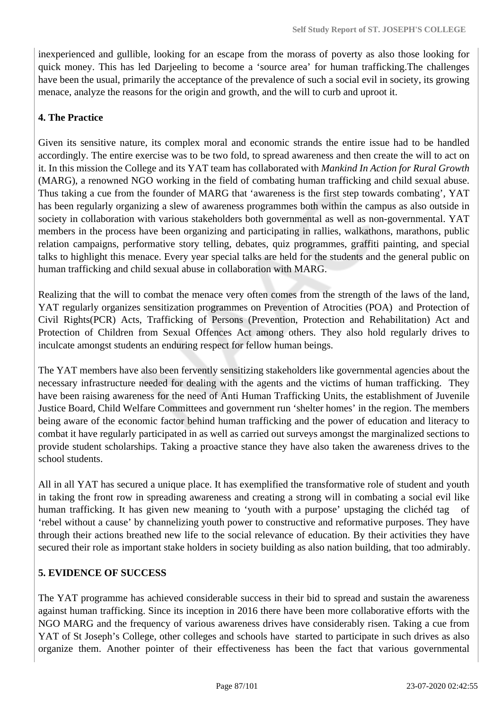inexperienced and gullible, looking for an escape from the morass of poverty as also those looking for quick money. This has led Darjeeling to become a 'source area' for human trafficking.The challenges have been the usual, primarily the acceptance of the prevalence of such a social evil in society, its growing menace, analyze the reasons for the origin and growth, and the will to curb and uproot it.

# **4. The Practice**

Given its sensitive nature, its complex moral and economic strands the entire issue had to be handled accordingly. The entire exercise was to be two fold, to spread awareness and then create the will to act on it. In this mission the College and its YAT team has collaborated with *Mankind In Action for Rural Growth* (MARG), a renowned NGO working in the field of combating human trafficking and child sexual abuse. Thus taking a cue from the founder of MARG that 'awareness is the first step towards combating', YAT has been regularly organizing a slew of awareness programmes both within the campus as also outside in society in collaboration with various stakeholders both governmental as well as non-governmental. YAT members in the process have been organizing and participating in rallies, walkathons, marathons, public relation campaigns, performative story telling, debates, quiz programmes, graffiti painting, and special talks to highlight this menace. Every year special talks are held for the students and the general public on human trafficking and child sexual abuse in collaboration with MARG.

Realizing that the will to combat the menace very often comes from the strength of the laws of the land, YAT regularly organizes sensitization programmes on Prevention of Atrocities (POA) and Protection of Civil Rights(PCR) Acts, Trafficking of Persons (Prevention, Protection and Rehabilitation) Act and Protection of Children from Sexual Offences Act among others. They also hold regularly drives to inculcate amongst students an enduring respect for fellow human beings.

The YAT members have also been fervently sensitizing stakeholders like governmental agencies about the necessary infrastructure needed for dealing with the agents and the victims of human trafficking. They have been raising awareness for the need of Anti Human Trafficking Units, the establishment of Juvenile Justice Board, Child Welfare Committees and government run 'shelter homes' in the region. The members being aware of the economic factor behind human trafficking and the power of education and literacy to combat it have regularly participated in as well as carried out surveys amongst the marginalized sections to provide student scholarships. Taking a proactive stance they have also taken the awareness drives to the school students.

All in all YAT has secured a unique place. It has exemplified the transformative role of student and youth in taking the front row in spreading awareness and creating a strong will in combating a social evil like human trafficking. It has given new meaning to 'youth with a purpose' upstaging the clichéd tag of 'rebel without a cause' by channelizing youth power to constructive and reformative purposes. They have through their actions breathed new life to the social relevance of education. By their activities they have secured their role as important stake holders in society building as also nation building, that too admirably.

# **5. EVIDENCE OF SUCCESS**

The YAT programme has achieved considerable success in their bid to spread and sustain the awareness against human trafficking. Since its inception in 2016 there have been more collaborative efforts with the NGO MARG and the frequency of various awareness drives have considerably risen. Taking a cue from YAT of St Joseph's College, other colleges and schools have started to participate in such drives as also organize them. Another pointer of their effectiveness has been the fact that various governmental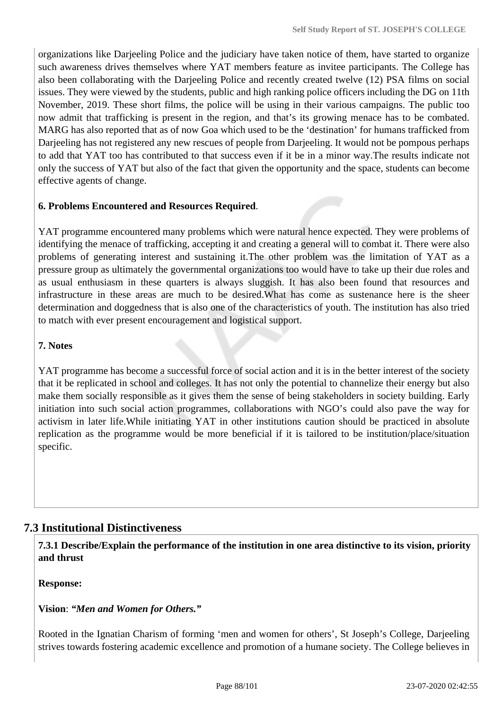organizations like Darjeeling Police and the judiciary have taken notice of them, have started to organize such awareness drives themselves where YAT members feature as invitee participants. The College has also been collaborating with the Darjeeling Police and recently created twelve (12) PSA films on social issues. They were viewed by the students, public and high ranking police officers including the DG on 11th November, 2019. These short films, the police will be using in their various campaigns. The public too now admit that trafficking is present in the region, and that's its growing menace has to be combated. MARG has also reported that as of now Goa which used to be the 'destination' for humans trafficked from Darjeeling has not registered any new rescues of people from Darjeeling. It would not be pompous perhaps to add that YAT too has contributed to that success even if it be in a minor way.The results indicate not only the success of YAT but also of the fact that given the opportunity and the space, students can become effective agents of change.

## **6. Problems Encountered and Resources Required**.

YAT programme encountered many problems which were natural hence expected. They were problems of identifying the menace of trafficking, accepting it and creating a general will to combat it. There were also problems of generating interest and sustaining it.The other problem was the limitation of YAT as a pressure group as ultimately the governmental organizations too would have to take up their due roles and as usual enthusiasm in these quarters is always sluggish. It has also been found that resources and infrastructure in these areas are much to be desired.What has come as sustenance here is the sheer determination and doggedness that is also one of the characteristics of youth. The institution has also tried to match with ever present encouragement and logistical support.

#### **7. Notes**

YAT programme has become a successful force of social action and it is in the better interest of the society that it be replicated in school and colleges. It has not only the potential to channelize their energy but also make them socially responsible as it gives them the sense of being stakeholders in society building. Early initiation into such social action programmes, collaborations with NGO's could also pave the way for activism in later life.While initiating YAT in other institutions caution should be practiced in absolute replication as the programme would be more beneficial if it is tailored to be institution/place/situation specific.

# **7.3 Institutional Distinctiveness**

 **7.3.1 Describe/Explain the performance of the institution in one area distinctive to its vision, priority and thrust**

**Response:** 

**Vision**: *"Men and Women for Others."*

Rooted in the Ignatian Charism of forming 'men and women for others', St Joseph's College, Darjeeling strives towards fostering academic excellence and promotion of a humane society. The College believes in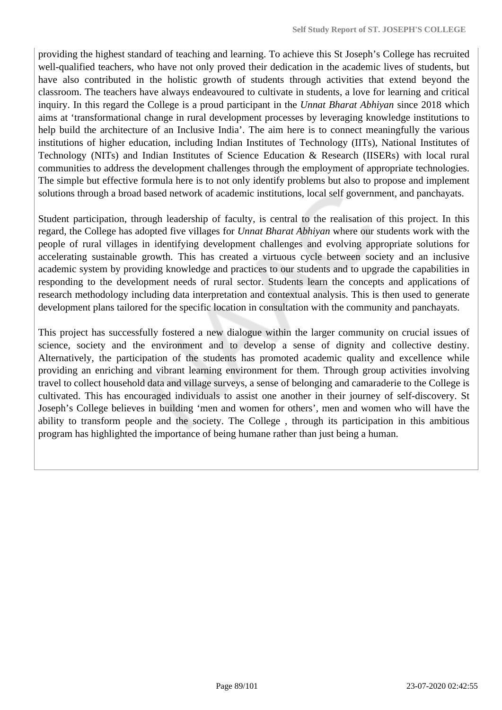providing the highest standard of teaching and learning. To achieve this St Joseph's College has recruited well-qualified teachers, who have not only proved their dedication in the academic lives of students, but have also contributed in the holistic growth of students through activities that extend beyond the classroom. The teachers have always endeavoured to cultivate in students, a love for learning and critical inquiry. In this regard the College is a proud participant in the *Unnat Bharat Abhiyan* since 2018 which aims at 'transformational change in rural development processes by leveraging knowledge institutions to help build the architecture of an Inclusive India'. The aim here is to connect meaningfully the various institutions of higher education, including Indian Institutes of Technology (IITs), National Institutes of Technology (NITs) and Indian Institutes of Science Education & Research (IISERs) with local rural communities to address the development challenges through the employment of appropriate technologies. The simple but effective formula here is to not only identify problems but also to propose and implement solutions through a broad based network of academic institutions, local self government, and panchayats.

Student participation, through leadership of faculty, is central to the realisation of this project. In this regard, the College has adopted five villages for *Unnat Bharat Abhiyan* where our students work with the people of rural villages in identifying development challenges and evolving appropriate solutions for accelerating sustainable growth. This has created a virtuous cycle between society and an inclusive academic system by providing knowledge and practices to our students and to upgrade the capabilities in responding to the development needs of rural sector. Students learn the concepts and applications of research methodology including data interpretation and contextual analysis. This is then used to generate development plans tailored for the specific location in consultation with the community and panchayats.

This project has successfully fostered a new dialogue within the larger community on crucial issues of science, society and the environment and to develop a sense of dignity and collective destiny. Alternatively, the participation of the students has promoted academic quality and excellence while providing an enriching and vibrant learning environment for them. Through group activities involving travel to collect household data and village surveys, a sense of belonging and camaraderie to the College is cultivated. This has encouraged individuals to assist one another in their journey of self-discovery. St Joseph's College believes in building 'men and women for others', men and women who will have the ability to transform people and the society. The College , through its participation in this ambitious program has highlighted the importance of being humane rather than just being a human.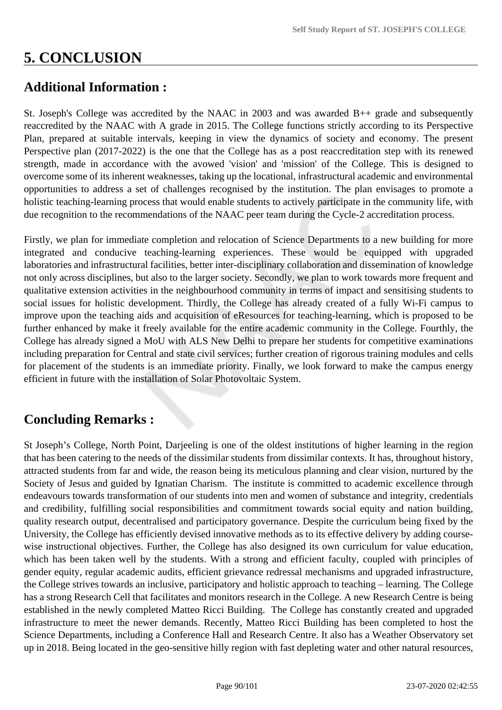# **5. CONCLUSION**

# **Additional Information :**

St. Joseph's College was accredited by the NAAC in 2003 and was awarded B++ grade and subsequently reaccredited by the NAAC with A grade in 2015. The College functions strictly according to its Perspective Plan, prepared at suitable intervals, keeping in view the dynamics of society and economy. The present Perspective plan (2017-2022) is the one that the College has as a post reaccreditation step with its renewed strength, made in accordance with the avowed 'vision' and 'mission' of the College. This is designed to overcome some of its inherent weaknesses, taking up the locational, infrastructural academic and environmental opportunities to address a set of challenges recognised by the institution. The plan envisages to promote a holistic teaching-learning process that would enable students to actively participate in the community life, with due recognition to the recommendations of the NAAC peer team during the Cycle-2 accreditation process.

Firstly, we plan for immediate completion and relocation of Science Departments to a new building for more integrated and conducive teaching-learning experiences. These would be equipped with upgraded laboratories and infrastructural facilities, better inter-disciplinary collaboration and dissemination of knowledge not only across disciplines, but also to the larger society. Secondly, we plan to work towards more frequent and qualitative extension activities in the neighbourhood community in terms of impact and sensitising students to social issues for holistic development. Thirdly, the College has already created of a fully Wi-Fi campus to improve upon the teaching aids and acquisition of eResources for teaching-learning, which is proposed to be further enhanced by make it freely available for the entire academic community in the College. Fourthly, the College has already signed a MoU with ALS New Delhi to prepare her students for competitive examinations including preparation for Central and state civil services; further creation of rigorous training modules and cells for placement of the students is an immediate priority. Finally, we look forward to make the campus energy efficient in future with the installation of Solar Photovoltaic System.

# **Concluding Remarks :**

St Joseph's College, North Point, Darjeeling is one of the oldest institutions of higher learning in the region that has been catering to the needs of the dissimilar students from dissimilar contexts. It has, throughout history, attracted students from far and wide, the reason being its meticulous planning and clear vision, nurtured by the Society of Jesus and guided by Ignatian Charism. The institute is committed to academic excellence through endeavours towards transformation of our students into men and women of substance and integrity, credentials and credibility, fulfilling social responsibilities and commitment towards social equity and nation building, quality research output, decentralised and participatory governance. Despite the curriculum being fixed by the University, the College has efficiently devised innovative methods as to its effective delivery by adding coursewise instructional objectives. Further, the College has also designed its own curriculum for value education, which has been taken well by the students. With a strong and efficient faculty, coupled with principles of gender equity, regular academic audits, efficient grievance redressal mechanisms and upgraded infrastructure, the College strives towards an inclusive, participatory and holistic approach to teaching – learning. The College has a strong Research Cell that facilitates and monitors research in the College. A new Research Centre is being established in the newly completed Matteo Ricci Building. The College has constantly created and upgraded infrastructure to meet the newer demands. Recently, Matteo Ricci Building has been completed to host the Science Departments, including a Conference Hall and Research Centre. It also has a Weather Observatory set up in 2018. Being located in the geo-sensitive hilly region with fast depleting water and other natural resources,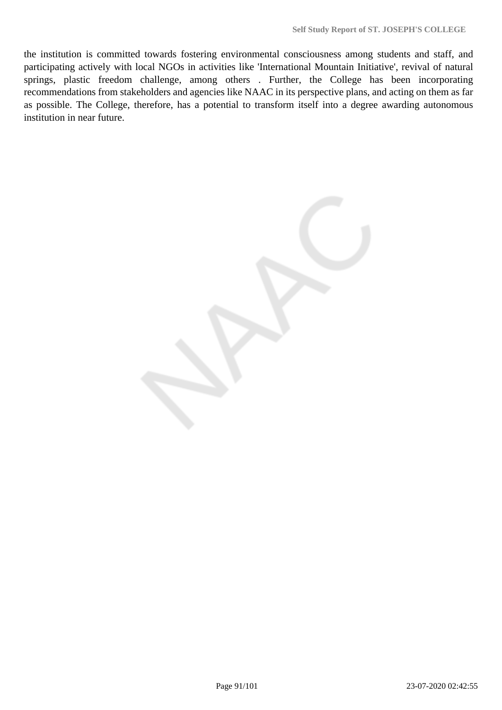the institution is committed towards fostering environmental consciousness among students and staff, and participating actively with local NGOs in activities like 'International Mountain Initiative', revival of natural springs, plastic freedom challenge, among others . Further, the College has been incorporating recommendations from stakeholders and agencies like NAAC in its perspective plans, and acting on them as far as possible. The College, therefore, has a potential to transform itself into a degree awarding autonomous institution in near future.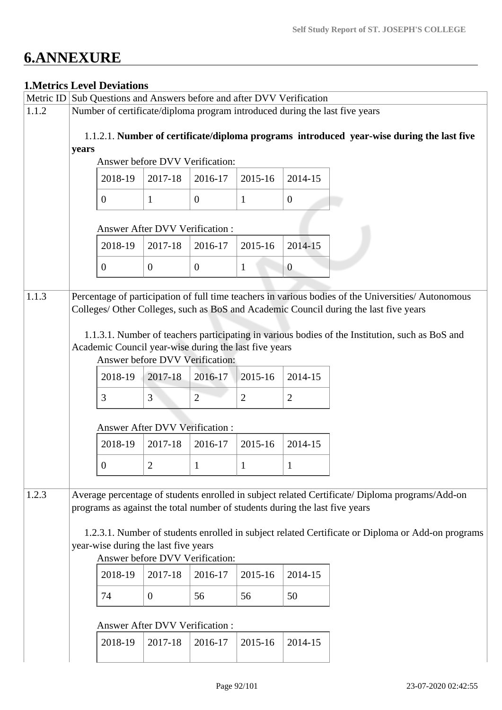# **6.ANNEXURE**

# **1.Metrics Level Deviations**

|       | Metric ID Sub Questions and Answers before and after DVV Verification                                                                                                                        |                                                                                          |                |                |                |                |                                                                                                                                                                                                                                                                                                 |
|-------|----------------------------------------------------------------------------------------------------------------------------------------------------------------------------------------------|------------------------------------------------------------------------------------------|----------------|----------------|----------------|----------------|-------------------------------------------------------------------------------------------------------------------------------------------------------------------------------------------------------------------------------------------------------------------------------------------------|
| 1.1.2 |                                                                                                                                                                                              |                                                                                          |                |                |                |                | Number of certificate/diploma program introduced during the last five years                                                                                                                                                                                                                     |
|       | 1.1.2.1. Number of certificate/diploma programs introduced year-wise during the last five<br>years<br>Answer before DVV Verification:<br>2017-18<br>2014-15<br>2018-19<br>2016-17<br>2015-16 |                                                                                          |                |                |                |                |                                                                                                                                                                                                                                                                                                 |
|       |                                                                                                                                                                                              |                                                                                          |                |                |                |                |                                                                                                                                                                                                                                                                                                 |
|       |                                                                                                                                                                                              |                                                                                          |                |                |                |                |                                                                                                                                                                                                                                                                                                 |
|       |                                                                                                                                                                                              | $\theta$                                                                                 | $\mathbf{1}$   | $\overline{0}$ | 1              | $\overline{0}$ |                                                                                                                                                                                                                                                                                                 |
|       |                                                                                                                                                                                              | <b>Answer After DVV Verification:</b>                                                    |                |                |                |                |                                                                                                                                                                                                                                                                                                 |
|       |                                                                                                                                                                                              | 2018-19                                                                                  | 2017-18        | 2016-17        | 2015-16        | 2014-15        |                                                                                                                                                                                                                                                                                                 |
|       |                                                                                                                                                                                              | $\Omega$                                                                                 | $\overline{0}$ | $\overline{0}$ | 1              | $\overline{0}$ |                                                                                                                                                                                                                                                                                                 |
| 1.1.3 |                                                                                                                                                                                              | Academic Council year-wise during the last five years<br>Answer before DVV Verification: |                |                |                |                | Percentage of participation of full time teachers in various bodies of the Universities/ Autonomous<br>Colleges/ Other Colleges, such as BoS and Academic Council during the last five years<br>1.1.3.1. Number of teachers participating in various bodies of the Institution, such as BoS and |
|       |                                                                                                                                                                                              |                                                                                          |                |                |                |                |                                                                                                                                                                                                                                                                                                 |
|       |                                                                                                                                                                                              | 2018-19                                                                                  | 2017-18        | 2016-17        | 2015-16        | 2014-15        |                                                                                                                                                                                                                                                                                                 |
|       |                                                                                                                                                                                              | 3                                                                                        | $\overline{3}$ | $\overline{2}$ | $\overline{2}$ | $\overline{2}$ |                                                                                                                                                                                                                                                                                                 |
|       |                                                                                                                                                                                              | <b>Answer After DVV Verification:</b>                                                    |                |                |                |                |                                                                                                                                                                                                                                                                                                 |
|       |                                                                                                                                                                                              | 2018-19                                                                                  | 2017-18        | 2016-17        | 2015-16        | 2014-15        |                                                                                                                                                                                                                                                                                                 |
|       |                                                                                                                                                                                              | $\Omega$                                                                                 | $\overline{2}$ | $\mathbf{1}$   | 1              |                |                                                                                                                                                                                                                                                                                                 |
| 1.2.3 |                                                                                                                                                                                              | programs as against the total number of students during the last five years              |                |                |                |                | Average percentage of students enrolled in subject related Certificate/ Diploma programs/Add-on                                                                                                                                                                                                 |
|       | 1.2.3.1. Number of students enrolled in subject related Certificate or Diploma or Add-on programs<br>year-wise during the last five years<br>Answer before DVV Verification:                 |                                                                                          |                |                |                |                |                                                                                                                                                                                                                                                                                                 |
|       |                                                                                                                                                                                              | 2018-19                                                                                  | 2017-18        | 2016-17        | 2015-16        | 2014-15        |                                                                                                                                                                                                                                                                                                 |
|       |                                                                                                                                                                                              | 74                                                                                       | $\overline{0}$ | 56             | 56             | 50             |                                                                                                                                                                                                                                                                                                 |
|       |                                                                                                                                                                                              | Answer After DVV Verification:                                                           |                |                |                |                |                                                                                                                                                                                                                                                                                                 |
|       |                                                                                                                                                                                              | 2018-19                                                                                  | 2017-18        | 2016-17        | 2015-16        | 2014-15        |                                                                                                                                                                                                                                                                                                 |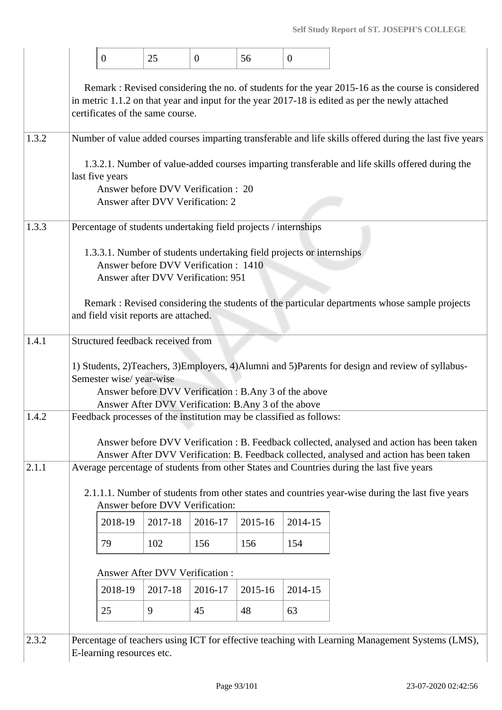|       |                                                                                                                                                                                                                                         | $\overline{0}$            | 25                                                                         | $\mathbf{0}$ | 56                                                              | $\overline{0}$                                                        |                                                                                                                                                                                        |  |  |  |  |  |
|-------|-----------------------------------------------------------------------------------------------------------------------------------------------------------------------------------------------------------------------------------------|---------------------------|----------------------------------------------------------------------------|--------------|-----------------------------------------------------------------|-----------------------------------------------------------------------|----------------------------------------------------------------------------------------------------------------------------------------------------------------------------------------|--|--|--|--|--|
|       | Remark: Revised considering the no. of students for the year 2015-16 as the course is considered<br>in metric 1.1.2 on that year and input for the year 2017-18 is edited as per the newly attached<br>certificates of the same course. |                           |                                                                            |              |                                                                 |                                                                       |                                                                                                                                                                                        |  |  |  |  |  |
| 1.3.2 | Number of value added courses imparting transferable and life skills offered during the last five years                                                                                                                                 |                           |                                                                            |              |                                                                 |                                                                       |                                                                                                                                                                                        |  |  |  |  |  |
|       | 1.3.2.1. Number of value-added courses imparting transferable and life skills offered during the<br>last five years<br>Answer before DVV Verification : 20<br>Answer after DVV Verification: 2                                          |                           |                                                                            |              |                                                                 |                                                                       |                                                                                                                                                                                        |  |  |  |  |  |
| 1.3.3 |                                                                                                                                                                                                                                         |                           |                                                                            |              | Percentage of students undertaking field projects / internships |                                                                       |                                                                                                                                                                                        |  |  |  |  |  |
|       |                                                                                                                                                                                                                                         |                           | Answer before DVV Verification: 1410<br>Answer after DVV Verification: 951 |              |                                                                 | 1.3.3.1. Number of students undertaking field projects or internships |                                                                                                                                                                                        |  |  |  |  |  |
|       |                                                                                                                                                                                                                                         |                           | and field visit reports are attached.                                      |              |                                                                 |                                                                       | Remark : Revised considering the students of the particular departments whose sample projects                                                                                          |  |  |  |  |  |
| 1.4.1 |                                                                                                                                                                                                                                         |                           | Structured feedback received from                                          |              |                                                                 |                                                                       |                                                                                                                                                                                        |  |  |  |  |  |
|       |                                                                                                                                                                                                                                         | Semester wise/year-wise   |                                                                            |              | Answer After DVV Verification: B.Any 3 of the above             | Answer before DVV Verification : B.Any 3 of the above                 | 1) Students, 2)Teachers, 3)Employers, 4)Alumni and 5)Parents for design and review of syllabus-                                                                                        |  |  |  |  |  |
| 1.4.2 |                                                                                                                                                                                                                                         |                           |                                                                            |              |                                                                 | Feedback processes of the institution may be classified as follows:   |                                                                                                                                                                                        |  |  |  |  |  |
|       |                                                                                                                                                                                                                                         |                           |                                                                            |              |                                                                 |                                                                       | Answer before DVV Verification : B. Feedback collected, analysed and action has been taken<br>Answer After DVV Verification: B. Feedback collected, analysed and action has been taken |  |  |  |  |  |
| 2.1.1 |                                                                                                                                                                                                                                         |                           |                                                                            |              |                                                                 |                                                                       | Average percentage of students from other States and Countries during the last five years                                                                                              |  |  |  |  |  |
|       |                                                                                                                                                                                                                                         |                           | Answer before DVV Verification:                                            |              |                                                                 |                                                                       | 2.1.1.1. Number of students from other states and countries year-wise during the last five years                                                                                       |  |  |  |  |  |
|       |                                                                                                                                                                                                                                         | 2018-19                   | 2017-18                                                                    | 2016-17      | 2015-16                                                         | 2014-15                                                               |                                                                                                                                                                                        |  |  |  |  |  |
|       |                                                                                                                                                                                                                                         | 79                        | 102                                                                        | 156          | 156                                                             | 154                                                                   |                                                                                                                                                                                        |  |  |  |  |  |
|       |                                                                                                                                                                                                                                         |                           | <b>Answer After DVV Verification:</b>                                      |              |                                                                 |                                                                       |                                                                                                                                                                                        |  |  |  |  |  |
|       |                                                                                                                                                                                                                                         | 2018-19                   | 2017-18                                                                    | 2016-17      | 2015-16                                                         | 2014-15                                                               |                                                                                                                                                                                        |  |  |  |  |  |
|       |                                                                                                                                                                                                                                         | 25                        | 9                                                                          | 45           | 48                                                              | 63                                                                    |                                                                                                                                                                                        |  |  |  |  |  |
| 2.3.2 |                                                                                                                                                                                                                                         | E-learning resources etc. |                                                                            |              |                                                                 |                                                                       | Percentage of teachers using ICT for effective teaching with Learning Management Systems (LMS),                                                                                        |  |  |  |  |  |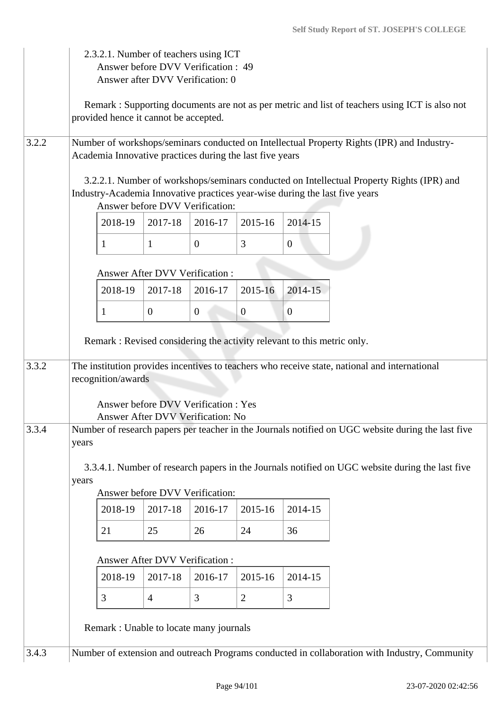|       | 2.3.2.1. Number of teachers using ICT<br>Answer before DVV Verification : 49<br>Answer after DVV Verification: 0 |                                                                         |                                                                           |                |                |                |                                                                                                                                                                          |  |
|-------|------------------------------------------------------------------------------------------------------------------|-------------------------------------------------------------------------|---------------------------------------------------------------------------|----------------|----------------|----------------|--------------------------------------------------------------------------------------------------------------------------------------------------------------------------|--|
|       |                                                                                                                  | provided hence it cannot be accepted.                                   |                                                                           |                |                |                | Remark: Supporting documents are not as per metric and list of teachers using ICT is also not                                                                            |  |
| 3.2.2 |                                                                                                                  | Academia Innovative practices during the last five years                |                                                                           |                |                |                | Number of workshops/seminars conducted on Intellectual Property Rights (IPR) and Industry-                                                                               |  |
|       |                                                                                                                  |                                                                         | Answer before DVV Verification:                                           |                |                |                | 3.2.2.1. Number of workshops/seminars conducted on Intellectual Property Rights (IPR) and<br>Industry-Academia Innovative practices year-wise during the last five years |  |
|       |                                                                                                                  | 2018-19                                                                 | 2017-18                                                                   | 2016-17        | 2015-16        | 2014-15        |                                                                                                                                                                          |  |
|       |                                                                                                                  | 1                                                                       | $\mathbf{1}$                                                              | $\overline{0}$ | 3              | $\mathbf{0}$   |                                                                                                                                                                          |  |
|       |                                                                                                                  |                                                                         | <b>Answer After DVV Verification:</b>                                     |                |                |                |                                                                                                                                                                          |  |
|       |                                                                                                                  | 2018-19                                                                 | 2017-18                                                                   | 2016-17        | 2015-16        | 2014-15        |                                                                                                                                                                          |  |
|       |                                                                                                                  | 1                                                                       | $\overline{0}$                                                            | $\overline{0}$ | $\theta$       | $\overline{0}$ |                                                                                                                                                                          |  |
|       |                                                                                                                  | Remark : Revised considering the activity relevant to this metric only. |                                                                           |                |                |                |                                                                                                                                                                          |  |
| 3.3.2 |                                                                                                                  | recognition/awards                                                      |                                                                           |                |                |                | The institution provides incentives to teachers who receive state, national and international                                                                            |  |
|       |                                                                                                                  |                                                                         | Answer before DVV Verification : Yes<br>Answer After DVV Verification: No |                |                |                |                                                                                                                                                                          |  |
| 3.3.4 | years                                                                                                            |                                                                         |                                                                           |                |                |                | Number of research papers per teacher in the Journals notified on UGC website during the last five                                                                       |  |
|       | years                                                                                                            |                                                                         | Answer before DVV Verification:                                           |                |                |                | 3.3.4.1. Number of research papers in the Journals notified on UGC website during the last five                                                                          |  |
|       |                                                                                                                  | 2018-19                                                                 | 2017-18                                                                   | 2016-17        | 2015-16        | 2014-15        |                                                                                                                                                                          |  |
|       |                                                                                                                  | 21                                                                      | 25                                                                        | 26             | 24             | 36             |                                                                                                                                                                          |  |
|       |                                                                                                                  |                                                                         | Answer After DVV Verification:                                            |                |                |                |                                                                                                                                                                          |  |
|       |                                                                                                                  | 2018-19                                                                 | 2017-18                                                                   | 2016-17        | 2015-16        | 2014-15        |                                                                                                                                                                          |  |
|       |                                                                                                                  | 3                                                                       | $\overline{4}$                                                            | 3              | $\overline{2}$ | 3              |                                                                                                                                                                          |  |
|       |                                                                                                                  | Remark : Unable to locate many journals                                 |                                                                           |                |                |                |                                                                                                                                                                          |  |
| 3.4.3 | Number of extension and outreach Programs conducted in collaboration with Industry, Community                    |                                                                         |                                                                           |                |                |                |                                                                                                                                                                          |  |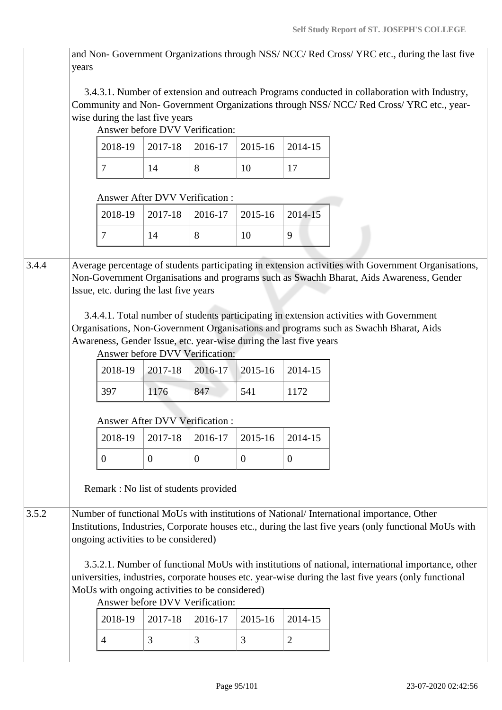and Non- Government Organizations through NSS/ NCC/ Red Cross/ YRC etc., during the last five years

 3.4.3.1. Number of extension and outreach Programs conducted in collaboration with Industry, Community and Non- Government Organizations through NSS/ NCC/ Red Cross/ YRC etc., yearwise during the last five years

|       | Answer before DVV Verification:                                                                                                                                                                                                                                                                                                                                                                                                                                                                                                              |                                       |                                                                           |                |                |                                                                    |                                                                                                                                                                                                                                                                                                                                                                                   |  |  |  |  |
|-------|----------------------------------------------------------------------------------------------------------------------------------------------------------------------------------------------------------------------------------------------------------------------------------------------------------------------------------------------------------------------------------------------------------------------------------------------------------------------------------------------------------------------------------------------|---------------------------------------|---------------------------------------------------------------------------|----------------|----------------|--------------------------------------------------------------------|-----------------------------------------------------------------------------------------------------------------------------------------------------------------------------------------------------------------------------------------------------------------------------------------------------------------------------------------------------------------------------------|--|--|--|--|
|       |                                                                                                                                                                                                                                                                                                                                                                                                                                                                                                                                              | 2018-19                               | 2017-18                                                                   | 2016-17        | 2015-16        | 2014-15                                                            |                                                                                                                                                                                                                                                                                                                                                                                   |  |  |  |  |
|       |                                                                                                                                                                                                                                                                                                                                                                                                                                                                                                                                              | 7                                     | 14                                                                        | 8              | 10             | 17                                                                 |                                                                                                                                                                                                                                                                                                                                                                                   |  |  |  |  |
|       |                                                                                                                                                                                                                                                                                                                                                                                                                                                                                                                                              | <b>Answer After DVV Verification:</b> |                                                                           |                |                |                                                                    |                                                                                                                                                                                                                                                                                                                                                                                   |  |  |  |  |
|       |                                                                                                                                                                                                                                                                                                                                                                                                                                                                                                                                              | 2018-19                               | 2017-18                                                                   | 2016-17        | 2015-16        | 2014-15                                                            |                                                                                                                                                                                                                                                                                                                                                                                   |  |  |  |  |
|       |                                                                                                                                                                                                                                                                                                                                                                                                                                                                                                                                              | $\tau$                                | 14                                                                        | 8              | 10             | 9                                                                  |                                                                                                                                                                                                                                                                                                                                                                                   |  |  |  |  |
| 3.4.4 |                                                                                                                                                                                                                                                                                                                                                                                                                                                                                                                                              |                                       | Issue, etc. during the last five years<br>Answer before DVV Verification: |                |                | Awareness, Gender Issue, etc. year-wise during the last five years | Average percentage of students participating in extension activities with Government Organisations,<br>Non-Government Organisations and programs such as Swachh Bharat, Aids Awareness, Gender<br>3.4.4.1. Total number of students participating in extension activities with Government<br>Organisations, Non-Government Organisations and programs such as Swachh Bharat, Aids |  |  |  |  |
|       |                                                                                                                                                                                                                                                                                                                                                                                                                                                                                                                                              | 2018-19                               | 2017-18                                                                   | 2016-17        | 2015-16        | 2014-15                                                            |                                                                                                                                                                                                                                                                                                                                                                                   |  |  |  |  |
|       |                                                                                                                                                                                                                                                                                                                                                                                                                                                                                                                                              | 397                                   | 1176                                                                      | 847            | 541            | 1172                                                               |                                                                                                                                                                                                                                                                                                                                                                                   |  |  |  |  |
|       |                                                                                                                                                                                                                                                                                                                                                                                                                                                                                                                                              | Answer After DVV Verification:        |                                                                           |                |                |                                                                    |                                                                                                                                                                                                                                                                                                                                                                                   |  |  |  |  |
|       |                                                                                                                                                                                                                                                                                                                                                                                                                                                                                                                                              | 2018-19                               | 2017-18                                                                   | 2016-17        | 2015-16        | 2014-15                                                            |                                                                                                                                                                                                                                                                                                                                                                                   |  |  |  |  |
|       |                                                                                                                                                                                                                                                                                                                                                                                                                                                                                                                                              | $\overline{0}$                        | $\boldsymbol{0}$                                                          | $\overline{0}$ | $\overline{0}$ | $\mathbf{0}$                                                       |                                                                                                                                                                                                                                                                                                                                                                                   |  |  |  |  |
|       |                                                                                                                                                                                                                                                                                                                                                                                                                                                                                                                                              | Remark: No list of students provided  |                                                                           |                |                |                                                                    |                                                                                                                                                                                                                                                                                                                                                                                   |  |  |  |  |
| 3.5.2 | Number of functional MoUs with institutions of National/International importance, Other<br>Institutions, Industries, Corporate houses etc., during the last five years (only functional MoUs with<br>ongoing activities to be considered)<br>3.5.2.1. Number of functional MoUs with institutions of national, international importance, other<br>universities, industries, corporate houses etc. year-wise during the last five years (only functional<br>MoUs with ongoing activities to be considered)<br>Answer before DVV Verification: |                                       |                                                                           |                |                |                                                                    |                                                                                                                                                                                                                                                                                                                                                                                   |  |  |  |  |
|       |                                                                                                                                                                                                                                                                                                                                                                                                                                                                                                                                              | 2018-19                               | 2017-18                                                                   | 2016-17        | 2015-16        | 2014-15                                                            |                                                                                                                                                                                                                                                                                                                                                                                   |  |  |  |  |
|       |                                                                                                                                                                                                                                                                                                                                                                                                                                                                                                                                              | $\overline{4}$                        | 3                                                                         | 3              | 3              | 2                                                                  |                                                                                                                                                                                                                                                                                                                                                                                   |  |  |  |  |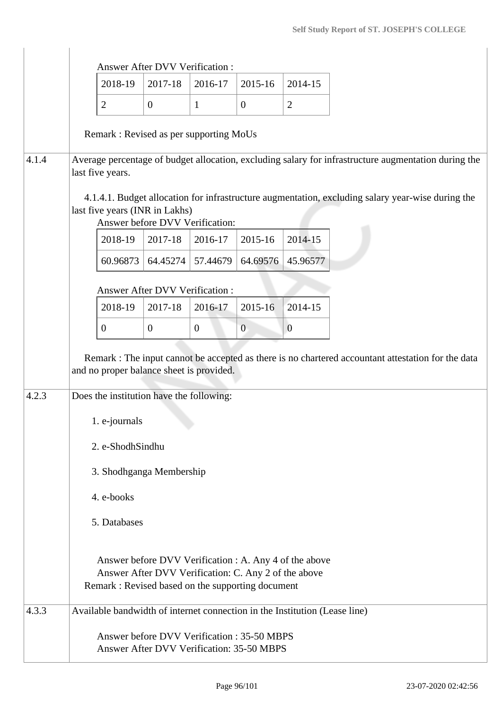|       |                                                                                                                                                                                            | 2018-19  | <b>Answer After DVV Verification:</b><br>2017-18 | 2016-17                                                                                                                                                             | 2015-16        | 2014-15        |  |  |  |
|-------|--------------------------------------------------------------------------------------------------------------------------------------------------------------------------------------------|----------|--------------------------------------------------|---------------------------------------------------------------------------------------------------------------------------------------------------------------------|----------------|----------------|--|--|--|
|       | $\mathbf{2}$                                                                                                                                                                               |          | $\overline{0}$                                   | $\mathbf{1}$                                                                                                                                                        | $\mathbf{0}$   | $\overline{2}$ |  |  |  |
|       |                                                                                                                                                                                            |          |                                                  |                                                                                                                                                                     |                |                |  |  |  |
|       |                                                                                                                                                                                            |          |                                                  | Remark: Revised as per supporting MoUs                                                                                                                              |                |                |  |  |  |
| 4.1.4 | last five years.                                                                                                                                                                           |          |                                                  | Average percentage of budget allocation, excluding salary for infrastructure augmentation during the                                                                |                |                |  |  |  |
|       | 4.1.4.1. Budget allocation for infrastructure augmentation, excluding salary year-wise during the<br>last five years (INR in Lakhs)<br>Answer before DVV Verification:                     |          |                                                  |                                                                                                                                                                     |                |                |  |  |  |
|       |                                                                                                                                                                                            | 2018-19  | 2017-18                                          | 2016-17                                                                                                                                                             | 2015-16        | 2014-15        |  |  |  |
|       |                                                                                                                                                                                            | 60.96873 | 64.45274                                         | 57.44679                                                                                                                                                            | 64.69576       | 45.96577       |  |  |  |
|       |                                                                                                                                                                                            |          | Answer After DVV Verification :                  |                                                                                                                                                                     |                |                |  |  |  |
|       |                                                                                                                                                                                            | 2018-19  | 2017-18                                          | 2016-17                                                                                                                                                             | 2015-16        | 2014-15        |  |  |  |
|       | $\mathbf{0}$                                                                                                                                                                               |          | $\overline{0}$                                   | $\overline{0}$                                                                                                                                                      | $\overline{0}$ | $\overline{0}$ |  |  |  |
| 4.2.3 | Remark : The input cannot be accepted as there is no chartered accountant attestation for the data<br>and no proper balance sheet is provided.<br>Does the institution have the following: |          |                                                  |                                                                                                                                                                     |                |                |  |  |  |
|       | 1. e-journals                                                                                                                                                                              |          |                                                  |                                                                                                                                                                     |                |                |  |  |  |
|       | 2. e-ShodhSindhu                                                                                                                                                                           |          |                                                  |                                                                                                                                                                     |                |                |  |  |  |
|       | 3. Shodhganga Membership                                                                                                                                                                   |          |                                                  |                                                                                                                                                                     |                |                |  |  |  |
|       | 4. e-books                                                                                                                                                                                 |          |                                                  |                                                                                                                                                                     |                |                |  |  |  |
|       | 5. Databases                                                                                                                                                                               |          |                                                  |                                                                                                                                                                     |                |                |  |  |  |
|       |                                                                                                                                                                                            |          |                                                  | Answer before DVV Verification : A. Any 4 of the above<br>Answer After DVV Verification: C. Any 2 of the above<br>Remark : Revised based on the supporting document |                |                |  |  |  |
| 4.3.3 |                                                                                                                                                                                            |          |                                                  | Available bandwidth of internet connection in the Institution (Lease line)                                                                                          |                |                |  |  |  |
|       |                                                                                                                                                                                            |          |                                                  | Answer before DVV Verification: 35-50 MBPS<br>Answer After DVV Verification: 35-50 MBPS                                                                             |                |                |  |  |  |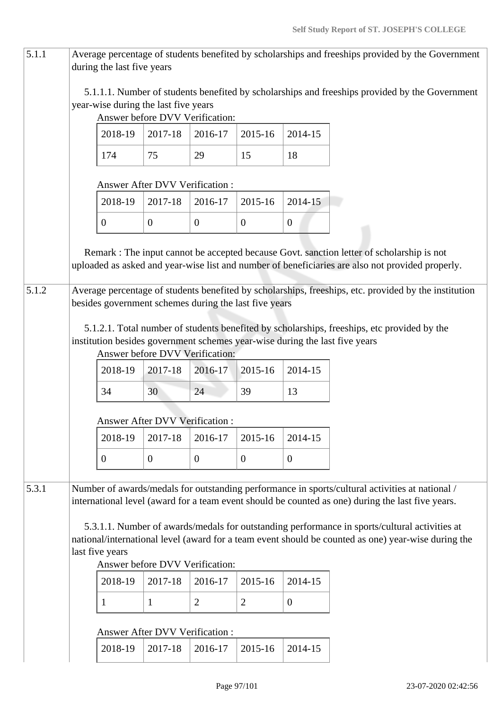| 5.1.1 |                                                                                                                                                                                                                                                            | during the last five years                            |                  |                                 |                  |                | Average percentage of students benefited by scholarships and freeships provided by the Government                                                                                                    |  |  |
|-------|------------------------------------------------------------------------------------------------------------------------------------------------------------------------------------------------------------------------------------------------------------|-------------------------------------------------------|------------------|---------------------------------|------------------|----------------|------------------------------------------------------------------------------------------------------------------------------------------------------------------------------------------------------|--|--|
|       |                                                                                                                                                                                                                                                            | year-wise during the last five years                  |                  | Answer before DVV Verification: |                  |                | 5.1.1.1. Number of students benefited by scholarships and freeships provided by the Government                                                                                                       |  |  |
|       |                                                                                                                                                                                                                                                            | 2018-19                                               | 2017-18          | 2016-17                         | 2015-16          | 2014-15        |                                                                                                                                                                                                      |  |  |
|       |                                                                                                                                                                                                                                                            | 174                                                   | 75               | 29                              | 15               | 18             |                                                                                                                                                                                                      |  |  |
|       |                                                                                                                                                                                                                                                            | Answer After DVV Verification :                       |                  |                                 |                  |                |                                                                                                                                                                                                      |  |  |
|       |                                                                                                                                                                                                                                                            | 2018-19                                               | 2017-18          | 2016-17                         | 2015-16          | 2014-15        |                                                                                                                                                                                                      |  |  |
|       |                                                                                                                                                                                                                                                            | $\overline{0}$                                        | $\overline{0}$   | $\overline{0}$                  | $\boldsymbol{0}$ | $\overline{0}$ |                                                                                                                                                                                                      |  |  |
|       |                                                                                                                                                                                                                                                            |                                                       |                  |                                 |                  |                | Remark : The input cannot be accepted because Govt. sanction letter of scholarship is not<br>uploaded as asked and year-wise list and number of beneficiaries are also not provided properly.        |  |  |
| 5.1.2 |                                                                                                                                                                                                                                                            | besides government schemes during the last five years |                  |                                 |                  |                | Average percentage of students benefited by scholarships, freeships, etc. provided by the institution                                                                                                |  |  |
|       |                                                                                                                                                                                                                                                            |                                                       |                  | Answer before DVV Verification: |                  |                | 5.1.2.1. Total number of students benefited by scholarships, freeships, etc provided by the<br>institution besides government schemes year-wise during the last five years                           |  |  |
|       |                                                                                                                                                                                                                                                            | 2018-19                                               | 2017-18          | 2016-17                         | 2015-16          | 2014-15        |                                                                                                                                                                                                      |  |  |
|       |                                                                                                                                                                                                                                                            | 34                                                    | 30               | 24                              | 39               | 13             |                                                                                                                                                                                                      |  |  |
|       |                                                                                                                                                                                                                                                            | Answer After DVV Verification :                       |                  |                                 |                  |                |                                                                                                                                                                                                      |  |  |
|       |                                                                                                                                                                                                                                                            | 2018-19                                               | 2017-18          | 2016-17                         | 2015-16          | 2014-15        |                                                                                                                                                                                                      |  |  |
|       |                                                                                                                                                                                                                                                            | $\mathbf{0}$                                          | $\boldsymbol{0}$ | $\boldsymbol{0}$                | $\overline{0}$   | $\overline{0}$ |                                                                                                                                                                                                      |  |  |
| 5.3.1 |                                                                                                                                                                                                                                                            |                                                       |                  |                                 |                  |                | Number of awards/medals for outstanding performance in sports/cultural activities at national /<br>international level (award for a team event should be counted as one) during the last five years. |  |  |
|       | 5.3.1.1. Number of awards/medals for outstanding performance in sports/cultural activities at<br>national/international level (award for a team event should be counted as one) year-wise during the<br>last five years<br>Answer before DVV Verification: |                                                       |                  |                                 |                  |                |                                                                                                                                                                                                      |  |  |
|       |                                                                                                                                                                                                                                                            | 2018-19                                               | 2017-18          | 2016-17                         | 2015-16          | 2014-15        |                                                                                                                                                                                                      |  |  |
|       |                                                                                                                                                                                                                                                            | 1                                                     | $\mathbf{1}$     | $\overline{2}$                  | $\overline{2}$   | $\overline{0}$ |                                                                                                                                                                                                      |  |  |
|       |                                                                                                                                                                                                                                                            | Answer After DVV Verification:                        |                  |                                 |                  |                |                                                                                                                                                                                                      |  |  |
|       |                                                                                                                                                                                                                                                            | 2018-19                                               | 2017-18          | 2016-17                         | 2015-16          | 2014-15        |                                                                                                                                                                                                      |  |  |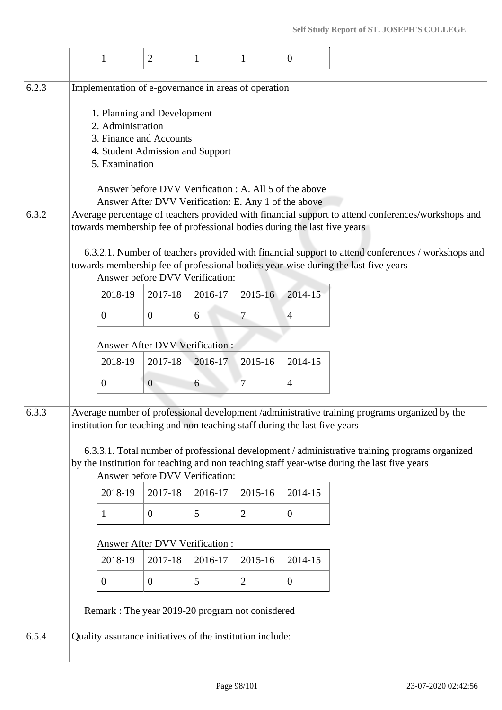| 6.2.3<br>6.3.2<br>6.3.3 | Implementation of e-governance in areas of operation<br>2. Administration<br>5. Examination<br>2018-19<br>$\boldsymbol{0}$ | 1. Planning and Development<br>3. Finance and Accounts<br>4. Student Admission and Support<br>Answer before DVV Verification : A. All 5 of the above<br>Answer After DVV Verification: E. Any 1 of the above<br>Answer before DVV Verification:<br>2017-18<br>$\overline{0}$ | 2016-17<br>6 | 2015-16                                                   | Average percentage of teachers provided with financial support to attend conferences/workshops and<br>towards membership fee of professional bodies during the last five years<br>6.3.2.1. Number of teachers provided with financial support to attend conferences / workshops and<br>towards membership fee of professional bodies year-wise during the last five years<br>2014-15 |  |  |  |  |  |
|-------------------------|----------------------------------------------------------------------------------------------------------------------------|------------------------------------------------------------------------------------------------------------------------------------------------------------------------------------------------------------------------------------------------------------------------------|--------------|-----------------------------------------------------------|--------------------------------------------------------------------------------------------------------------------------------------------------------------------------------------------------------------------------------------------------------------------------------------------------------------------------------------------------------------------------------------|--|--|--|--|--|
|                         |                                                                                                                            |                                                                                                                                                                                                                                                                              |              |                                                           |                                                                                                                                                                                                                                                                                                                                                                                      |  |  |  |  |  |
|                         |                                                                                                                            |                                                                                                                                                                                                                                                                              |              |                                                           |                                                                                                                                                                                                                                                                                                                                                                                      |  |  |  |  |  |
|                         |                                                                                                                            |                                                                                                                                                                                                                                                                              |              |                                                           |                                                                                                                                                                                                                                                                                                                                                                                      |  |  |  |  |  |
|                         |                                                                                                                            |                                                                                                                                                                                                                                                                              |              |                                                           |                                                                                                                                                                                                                                                                                                                                                                                      |  |  |  |  |  |
|                         |                                                                                                                            |                                                                                                                                                                                                                                                                              |              | 7                                                         | $\overline{4}$                                                                                                                                                                                                                                                                                                                                                                       |  |  |  |  |  |
|                         |                                                                                                                            | <b>Answer After DVV Verification:</b>                                                                                                                                                                                                                                        |              |                                                           |                                                                                                                                                                                                                                                                                                                                                                                      |  |  |  |  |  |
|                         | 2018-19                                                                                                                    | 2017-18                                                                                                                                                                                                                                                                      | 2016-17      | 2015-16                                                   | 2014-15                                                                                                                                                                                                                                                                                                                                                                              |  |  |  |  |  |
|                         | $\boldsymbol{0}$                                                                                                           | $\overline{0}$                                                                                                                                                                                                                                                               | 6            | 7                                                         | $\overline{4}$                                                                                                                                                                                                                                                                                                                                                                       |  |  |  |  |  |
|                         | Average number of professional development /administrative training programs organized by the                              |                                                                                                                                                                                                                                                                              |              |                                                           |                                                                                                                                                                                                                                                                                                                                                                                      |  |  |  |  |  |
|                         |                                                                                                                            | Answer before DVV Verification:                                                                                                                                                                                                                                              |              |                                                           | institution for teaching and non teaching staff during the last five years<br>6.3.3.1. Total number of professional development / administrative training programs organized<br>by the Institution for teaching and non teaching staff year-wise during the last five years                                                                                                          |  |  |  |  |  |
|                         | 2018-19                                                                                                                    | 2017-18                                                                                                                                                                                                                                                                      | 2016-17      | 2015-16                                                   | 2014-15                                                                                                                                                                                                                                                                                                                                                                              |  |  |  |  |  |
|                         | 1                                                                                                                          | $\mathbf{0}$                                                                                                                                                                                                                                                                 | 5            | $\mathfrak{2}$                                            | $\overline{0}$                                                                                                                                                                                                                                                                                                                                                                       |  |  |  |  |  |
|                         | Answer After DVV Verification :                                                                                            |                                                                                                                                                                                                                                                                              |              |                                                           |                                                                                                                                                                                                                                                                                                                                                                                      |  |  |  |  |  |
|                         | 2018-19                                                                                                                    | 2017-18                                                                                                                                                                                                                                                                      | 2016-17      | 2015-16                                                   | 2014-15                                                                                                                                                                                                                                                                                                                                                                              |  |  |  |  |  |
|                         | $\boldsymbol{0}$                                                                                                           | $\overline{0}$                                                                                                                                                                                                                                                               | 5            | $\overline{2}$                                            | $\overline{0}$                                                                                                                                                                                                                                                                                                                                                                       |  |  |  |  |  |
|                         | Remark: The year 2019-20 program not conisdered                                                                            |                                                                                                                                                                                                                                                                              |              |                                                           |                                                                                                                                                                                                                                                                                                                                                                                      |  |  |  |  |  |
| 6.5.4                   |                                                                                                                            |                                                                                                                                                                                                                                                                              |              | Quality assurance initiatives of the institution include: |                                                                                                                                                                                                                                                                                                                                                                                      |  |  |  |  |  |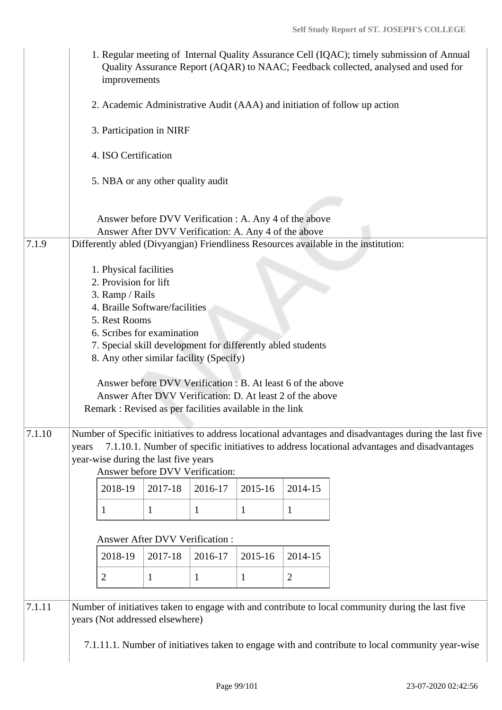|        | improvements                                                                                                                                                                                                                                                                                                             |                                                                                                                          |              |              |                | 1. Regular meeting of Internal Quality Assurance Cell (IQAC); timely submission of Annual<br>Quality Assurance Report (AQAR) to NAAC; Feedback collected, analysed and used for                       |  |  |  |  |  |
|--------|--------------------------------------------------------------------------------------------------------------------------------------------------------------------------------------------------------------------------------------------------------------------------------------------------------------------------|--------------------------------------------------------------------------------------------------------------------------|--------------|--------------|----------------|-------------------------------------------------------------------------------------------------------------------------------------------------------------------------------------------------------|--|--|--|--|--|
|        | 2. Academic Administrative Audit (AAA) and initiation of follow up action<br>3. Participation in NIRF<br>4. ISO Certification                                                                                                                                                                                            |                                                                                                                          |              |              |                |                                                                                                                                                                                                       |  |  |  |  |  |
|        |                                                                                                                                                                                                                                                                                                                          |                                                                                                                          |              |              |                |                                                                                                                                                                                                       |  |  |  |  |  |
|        |                                                                                                                                                                                                                                                                                                                          |                                                                                                                          |              |              |                |                                                                                                                                                                                                       |  |  |  |  |  |
|        | 5. NBA or any other quality audit                                                                                                                                                                                                                                                                                        |                                                                                                                          |              |              |                |                                                                                                                                                                                                       |  |  |  |  |  |
| 7.1.9  |                                                                                                                                                                                                                                                                                                                          | Answer before DVV Verification : A. Any 4 of the above<br>Answer After DVV Verification: A. Any 4 of the above           |              |              |                |                                                                                                                                                                                                       |  |  |  |  |  |
|        | 1. Physical facilities<br>2. Provision for lift<br>3. Ramp / Rails<br>4. Braille Software/facilities<br>5. Rest Rooms<br>6. Scribes for examination<br>7. Special skill development for differently abled students<br>8. Any other similar facility (Specify)<br>Remark: Revised as per facilities available in the link | Answer before DVV Verification : B. At least 6 of the above<br>Answer After DVV Verification: D. At least 2 of the above |              |              |                | Differently abled (Divyangjan) Friendliness Resources available in the institution:                                                                                                                   |  |  |  |  |  |
| 7.1.10 | years<br>year-wise during the last five years<br>2018-19                                                                                                                                                                                                                                                                 | Answer before DVV Verification:<br>2017-18                                                                               | 2016-17      | 2015-16      | 2014-15        | Number of Specific initiatives to address locational advantages and disadvantages during the last five<br>7.1.10.1. Number of specific initiatives to address locational advantages and disadvantages |  |  |  |  |  |
|        | 1                                                                                                                                                                                                                                                                                                                        | 1                                                                                                                        | $\mathbf{1}$ | 1            | 1              |                                                                                                                                                                                                       |  |  |  |  |  |
|        |                                                                                                                                                                                                                                                                                                                          | Answer After DVV Verification :                                                                                          |              |              |                |                                                                                                                                                                                                       |  |  |  |  |  |
|        | 2018-19                                                                                                                                                                                                                                                                                                                  | 2017-18                                                                                                                  | 2016-17      | 2015-16      | 2014-15        |                                                                                                                                                                                                       |  |  |  |  |  |
|        | $\overline{2}$                                                                                                                                                                                                                                                                                                           | $\mathbf{1}$                                                                                                             | $\mathbf{1}$ | $\mathbf{1}$ | $\overline{2}$ |                                                                                                                                                                                                       |  |  |  |  |  |
| 7.1.11 | years (Not addressed elsewhere)                                                                                                                                                                                                                                                                                          |                                                                                                                          |              |              |                | Number of initiatives taken to engage with and contribute to local community during the last five<br>7.1.11.1. Number of initiatives taken to engage with and contribute to local community year-wise |  |  |  |  |  |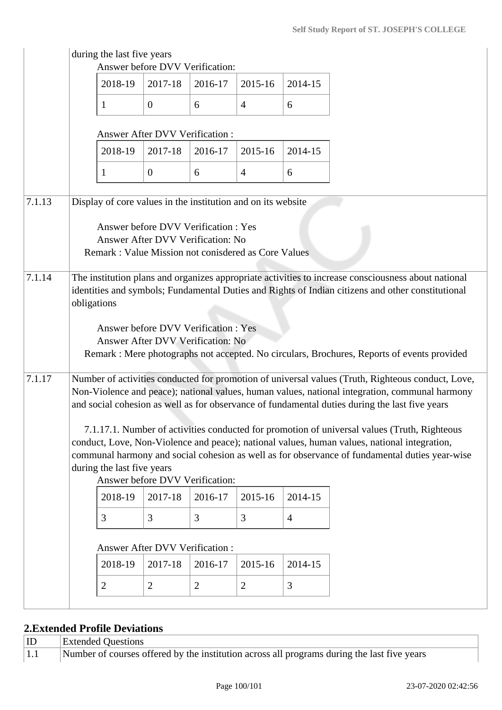|        |             | during the last five years                                   | Answer before DVV Verification:                                          |                |                |                |                                                                                                                                                                                                                                                                                                                                                                                                      |
|--------|-------------|--------------------------------------------------------------|--------------------------------------------------------------------------|----------------|----------------|----------------|------------------------------------------------------------------------------------------------------------------------------------------------------------------------------------------------------------------------------------------------------------------------------------------------------------------------------------------------------------------------------------------------------|
|        |             | 2018-19                                                      | 2017-18                                                                  | 2016-17        | 2015-16        | 2014-15        |                                                                                                                                                                                                                                                                                                                                                                                                      |
|        |             | 1                                                            | $\mathbf{0}$                                                             | 6              | $\overline{4}$ | 6              |                                                                                                                                                                                                                                                                                                                                                                                                      |
|        |             |                                                              | <b>Answer After DVV Verification:</b>                                    |                |                |                |                                                                                                                                                                                                                                                                                                                                                                                                      |
|        |             | 2018-19                                                      | 2017-18                                                                  | 2016-17        | 2015-16        | 2014-15        |                                                                                                                                                                                                                                                                                                                                                                                                      |
|        |             | 1                                                            | $\overline{0}$                                                           | 6              | $\overline{4}$ | 6              |                                                                                                                                                                                                                                                                                                                                                                                                      |
| 7.1.13 |             | Display of core values in the institution and on its website |                                                                          |                |                |                |                                                                                                                                                                                                                                                                                                                                                                                                      |
|        |             | Remark: Value Mission not conisdered as Core Values          | Answer before DVV Verification: Yes<br>Answer After DVV Verification: No |                |                |                |                                                                                                                                                                                                                                                                                                                                                                                                      |
| 7.1.14 | obligations |                                                              | Answer before DVV Verification: Yes<br>Answer After DVV Verification: No |                |                |                | The institution plans and organizes appropriate activities to increase consciousness about national<br>identities and symbols; Fundamental Duties and Rights of Indian citizens and other constitutional                                                                                                                                                                                             |
| 7.1.17 |             |                                                              |                                                                          |                |                |                | Remark : Mere photographs not accepted. No circulars, Brochures, Reports of events provided<br>Number of activities conducted for promotion of universal values (Truth, Righteous conduct, Love,<br>Non-Violence and peace); national values, human values, national integration, communal harmony<br>and social cohesion as well as for observance of fundamental duties during the last five years |
|        |             | during the last five years                                   | Answer before DVV Verification:                                          |                |                |                | 7.1.17.1. Number of activities conducted for promotion of universal values (Truth, Righteous<br>conduct, Love, Non-Violence and peace); national values, human values, national integration,<br>communal harmony and social cohesion as well as for observance of fundamental duties year-wise                                                                                                       |
|        |             | 2018-19                                                      | 2017-18                                                                  | 2016-17        | 2015-16        | 2014-15        |                                                                                                                                                                                                                                                                                                                                                                                                      |
|        |             | 3                                                            | 3                                                                        | 3              | 3              | $\overline{4}$ |                                                                                                                                                                                                                                                                                                                                                                                                      |
|        |             |                                                              | <b>Answer After DVV Verification:</b>                                    |                |                |                |                                                                                                                                                                                                                                                                                                                                                                                                      |
|        |             | 2018-19                                                      | 2017-18                                                                  | 2016-17        | 2015-16        | 2014-15        |                                                                                                                                                                                                                                                                                                                                                                                                      |
|        |             | $\overline{2}$                                               | $\overline{2}$                                                           | $\overline{2}$ | $\overline{2}$ | 3              |                                                                                                                                                                                                                                                                                                                                                                                                      |
|        |             |                                                              |                                                                          |                |                |                |                                                                                                                                                                                                                                                                                                                                                                                                      |

# **2.Extended Profile Deviations**

| $ $ ID      | <b>Extended Questions</b>                                                                   |
|-------------|---------------------------------------------------------------------------------------------|
| $\vert 1.1$ | Number of courses offered by the institution across all programs during the last five years |